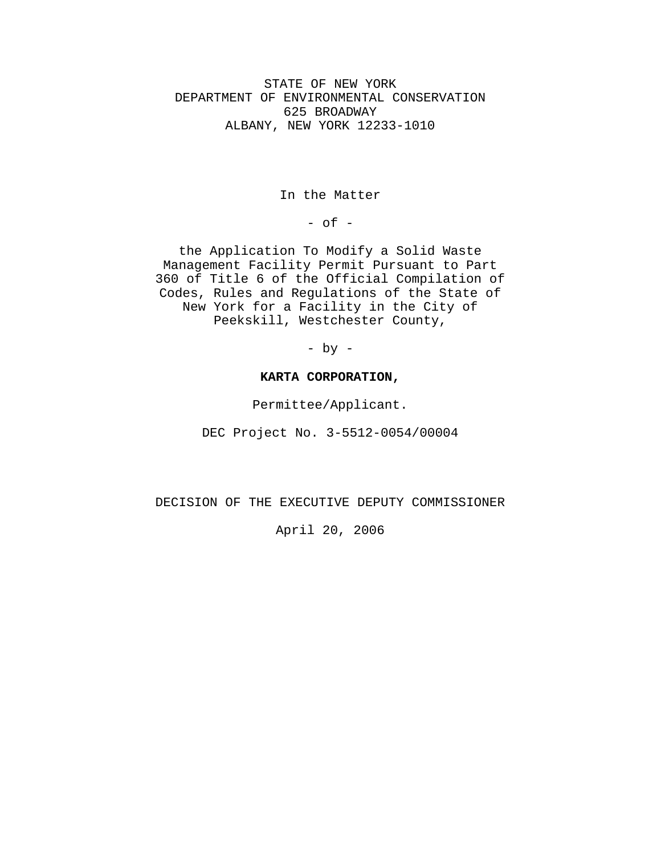STATE OF NEW YORK DEPARTMENT OF ENVIRONMENTAL CONSERVATION 625 BROADWAY ALBANY, NEW YORK 12233-1010

In the Matter

 $-$  of  $-$ 

the Application To Modify a Solid Waste Management Facility Permit Pursuant to Part 360 of Title 6 of the Official Compilation of Codes, Rules and Regulations of the State of New York for a Facility in the City of Peekskill, Westchester County,

- by -

#### **KARTA CORPORATION,**

Permittee/Applicant.

DEC Project No. 3-5512-0054/00004

DECISION OF THE EXECUTIVE DEPUTY COMMISSIONER

April 20, 2006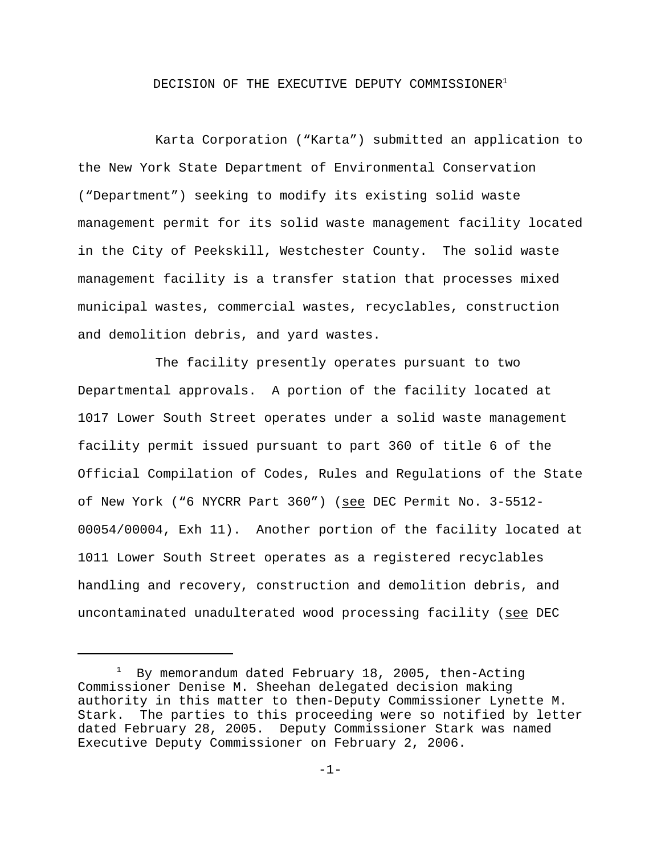# DECISION OF THE EXECUTIVE DEPUTY COMMISSIONER<sup>1</sup>

Karta Corporation ("Karta") submitted an application to the New York State Department of Environmental Conservation ("Department") seeking to modify its existing solid waste management permit for its solid waste management facility located in the City of Peekskill, Westchester County. The solid waste management facility is a transfer station that processes mixed municipal wastes, commercial wastes, recyclables, construction and demolition debris, and yard wastes.

The facility presently operates pursuant to two Departmental approvals. A portion of the facility located at 1017 Lower South Street operates under a solid waste management facility permit issued pursuant to part 360 of title 6 of the Official Compilation of Codes, Rules and Regulations of the State of New York ("6 NYCRR Part 360") (see DEC Permit No. 3-5512-00054/00004, Exh 11). Another portion of the facility located at 1011 Lower South Street operates as a registered recyclables handling and recovery, construction and demolition debris, and uncontaminated unadulterated wood processing facility (see DEC

<sup>&</sup>lt;sup>1</sup> By memorandum dated February 18, 2005, then-Acting Commissioner Denise M. Sheehan delegated decision making authority in this matter to then-Deputy Commissioner Lynette M. Stark. The parties to this proceeding were so notified by letter dated February 28, 2005. Deputy Commissioner Stark was named Executive Deputy Commissioner on February 2, 2006.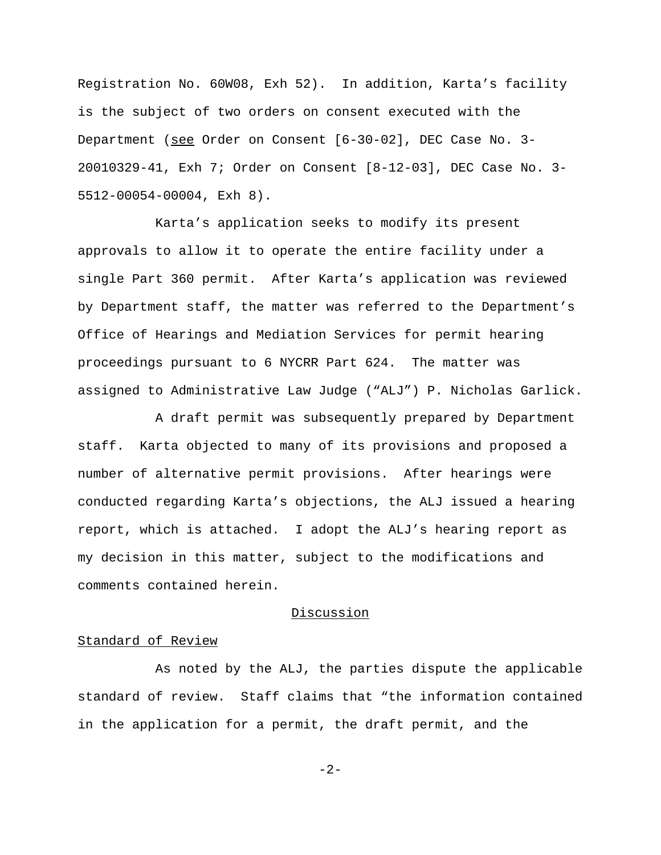Registration No. 60W08, Exh 52). In addition, Karta's facility is the subject of two orders on consent executed with the Department (see Order on Consent [6-30-02], DEC Case No. 3- 20010329-41, Exh 7; Order on Consent [8-12-03], DEC Case No. 3- 5512-00054-00004, Exh 8).

Karta's application seeks to modify its present approvals to allow it to operate the entire facility under a single Part 360 permit. After Karta's application was reviewed by Department staff, the matter was referred to the Department's Office of Hearings and Mediation Services for permit hearing proceedings pursuant to 6 NYCRR Part 624. The matter was assigned to Administrative Law Judge ("ALJ") P. Nicholas Garlick.

A draft permit was subsequently prepared by Department staff. Karta objected to many of its provisions and proposed a number of alternative permit provisions. After hearings were conducted regarding Karta's objections, the ALJ issued a hearing report, which is attached. I adopt the ALJ's hearing report as my decision in this matter, subject to the modifications and comments contained herein.

## Discussion

### Standard of Review

As noted by the ALJ, the parties dispute the applicable standard of review. Staff claims that "the information contained in the application for a permit, the draft permit, and the

-2-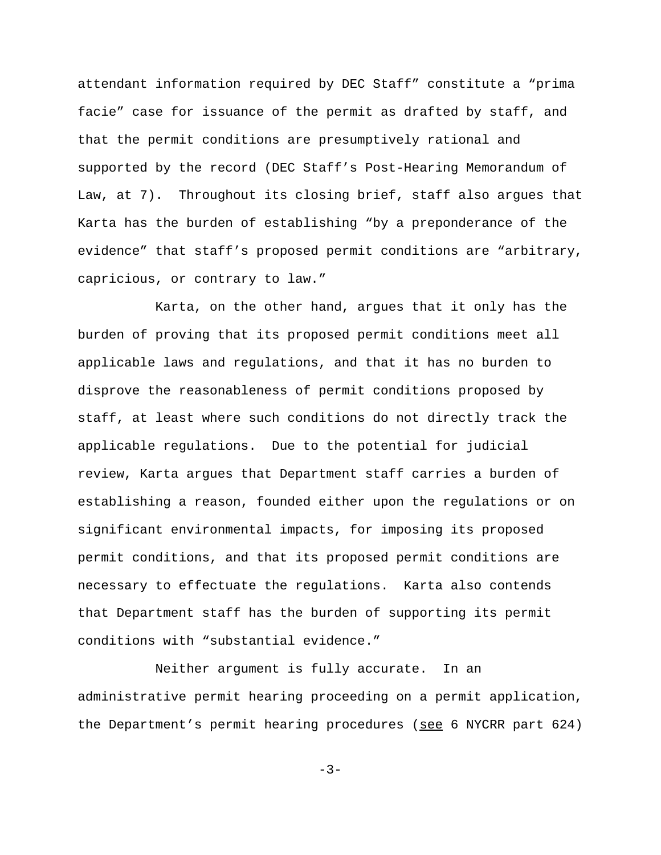attendant information required by DEC Staff" constitute a "prima facie" case for issuance of the permit as drafted by staff, and that the permit conditions are presumptively rational and supported by the record (DEC Staff's Post-Hearing Memorandum of Law, at 7). Throughout its closing brief, staff also argues that Karta has the burden of establishing "by a preponderance of the evidence" that staff's proposed permit conditions are "arbitrary, capricious, or contrary to law."

Karta, on the other hand, argues that it only has the burden of proving that its proposed permit conditions meet all applicable laws and regulations, and that it has no burden to disprove the reasonableness of permit conditions proposed by staff, at least where such conditions do not directly track the applicable regulations. Due to the potential for judicial review, Karta argues that Department staff carries a burden of establishing a reason, founded either upon the regulations or on significant environmental impacts, for imposing its proposed permit conditions, and that its proposed permit conditions are necessary to effectuate the regulations. Karta also contends that Department staff has the burden of supporting its permit conditions with "substantial evidence."

Neither argument is fully accurate. In an administrative permit hearing proceeding on a permit application, the Department's permit hearing procedures (see 6 NYCRR part 624)

 $-3-$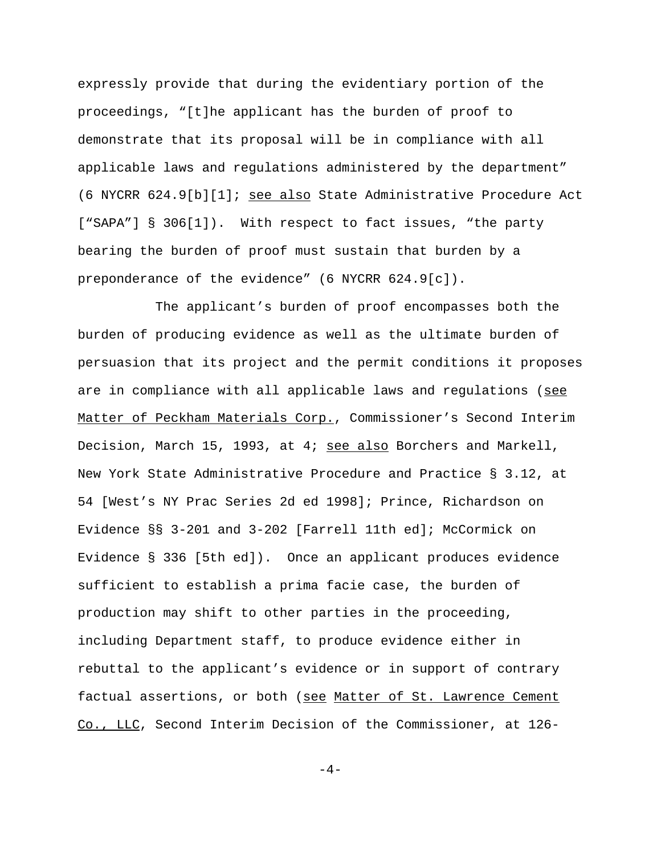expressly provide that during the evidentiary portion of the proceedings, "[t]he applicant has the burden of proof to demonstrate that its proposal will be in compliance with all applicable laws and regulations administered by the department" (6 NYCRR 624.9[b][1]; see also State Administrative Procedure Act ["SAPA"] § 306[1]). With respect to fact issues, "the party bearing the burden of proof must sustain that burden by a preponderance of the evidence" (6 NYCRR 624.9[c]).

The applicant's burden of proof encompasses both the burden of producing evidence as well as the ultimate burden of persuasion that its project and the permit conditions it proposes are in compliance with all applicable laws and regulations (see Matter of Peckham Materials Corp., Commissioner's Second Interim Decision, March 15, 1993, at 4; see also Borchers and Markell, New York State Administrative Procedure and Practice § 3.12, at 54 [West's NY Prac Series 2d ed 1998]; Prince, Richardson on Evidence §§ 3-201 and 3-202 [Farrell 11th ed]; McCormick on Evidence § 336 [5th ed]). Once an applicant produces evidence sufficient to establish a prima facie case, the burden of production may shift to other parties in the proceeding, including Department staff, to produce evidence either in rebuttal to the applicant's evidence or in support of contrary factual assertions, or both (see Matter of St. Lawrence Cement Co., LLC, Second Interim Decision of the Commissioner, at 126-

 $-4-$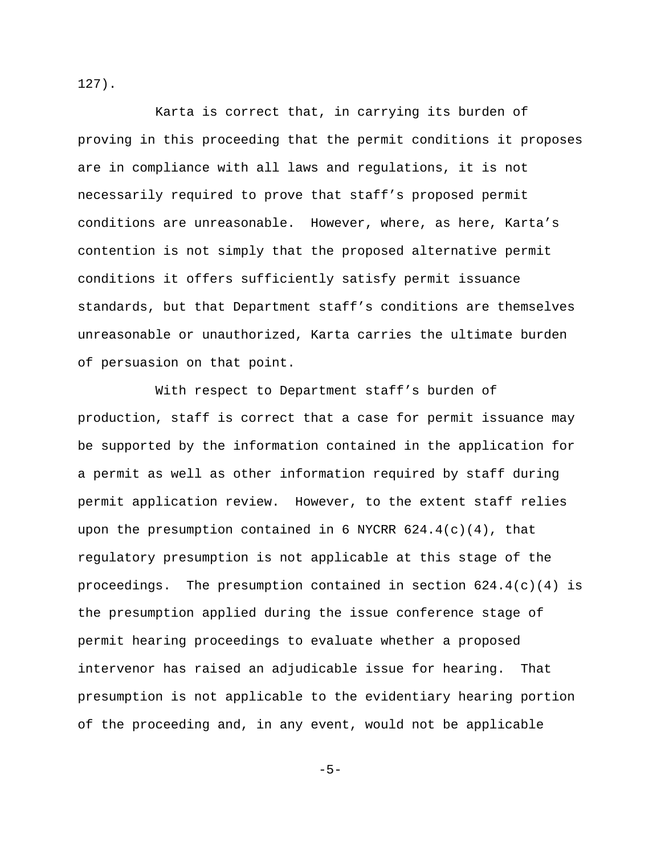127).

Karta is correct that, in carrying its burden of proving in this proceeding that the permit conditions it proposes are in compliance with all laws and regulations, it is not necessarily required to prove that staff's proposed permit conditions are unreasonable. However, where, as here, Karta's contention is not simply that the proposed alternative permit conditions it offers sufficiently satisfy permit issuance standards, but that Department staff's conditions are themselves unreasonable or unauthorized, Karta carries the ultimate burden of persuasion on that point.

With respect to Department staff's burden of production, staff is correct that a case for permit issuance may be supported by the information contained in the application for a permit as well as other information required by staff during permit application review. However, to the extent staff relies upon the presumption contained in 6 NYCRR  $624.4(c)(4)$ , that regulatory presumption is not applicable at this stage of the proceedings. The presumption contained in section  $624.4(c)(4)$  is the presumption applied during the issue conference stage of permit hearing proceedings to evaluate whether a proposed intervenor has raised an adjudicable issue for hearing. That presumption is not applicable to the evidentiary hearing portion of the proceeding and, in any event, would not be applicable

 $-5-$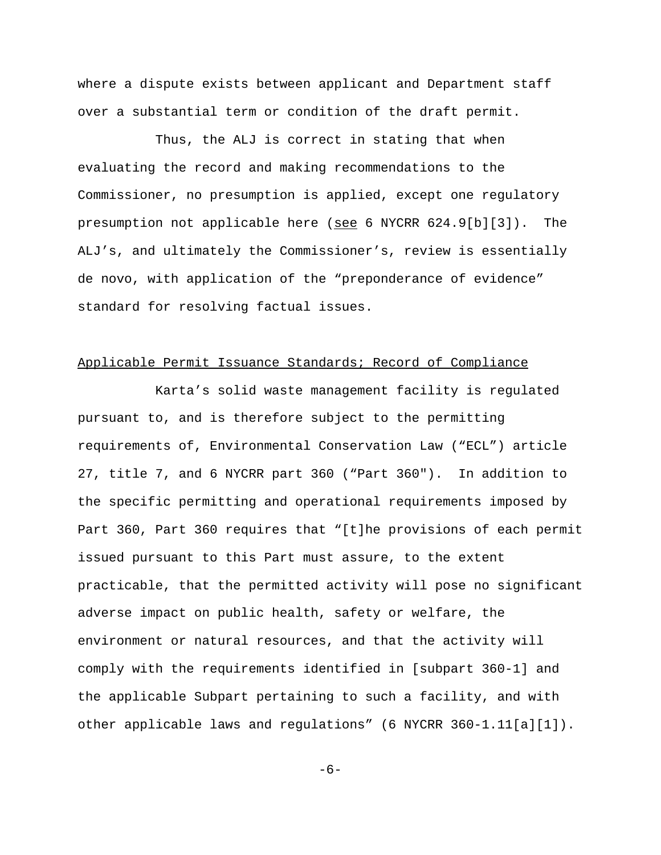where a dispute exists between applicant and Department staff over a substantial term or condition of the draft permit.

Thus, the ALJ is correct in stating that when evaluating the record and making recommendations to the Commissioner, no presumption is applied, except one regulatory presumption not applicable here ( $\frac{\text{see}}{\text{See}}$  6 NYCRR 624.9[b][3]). The ALJ's, and ultimately the Commissioner's, review is essentially de novo, with application of the "preponderance of evidence" standard for resolving factual issues.

### Applicable Permit Issuance Standards; Record of Compliance

Karta's solid waste management facility is regulated pursuant to, and is therefore subject to the permitting requirements of, Environmental Conservation Law ("ECL") article 27, title 7, and 6 NYCRR part 360 ("Part 360"). In addition to the specific permitting and operational requirements imposed by Part 360, Part 360 requires that "[t]he provisions of each permit issued pursuant to this Part must assure, to the extent practicable, that the permitted activity will pose no significant adverse impact on public health, safety or welfare, the environment or natural resources, and that the activity will comply with the requirements identified in [subpart 360-1] and the applicable Subpart pertaining to such a facility, and with other applicable laws and regulations" (6 NYCRR 360-1.11[a][1]).

-6-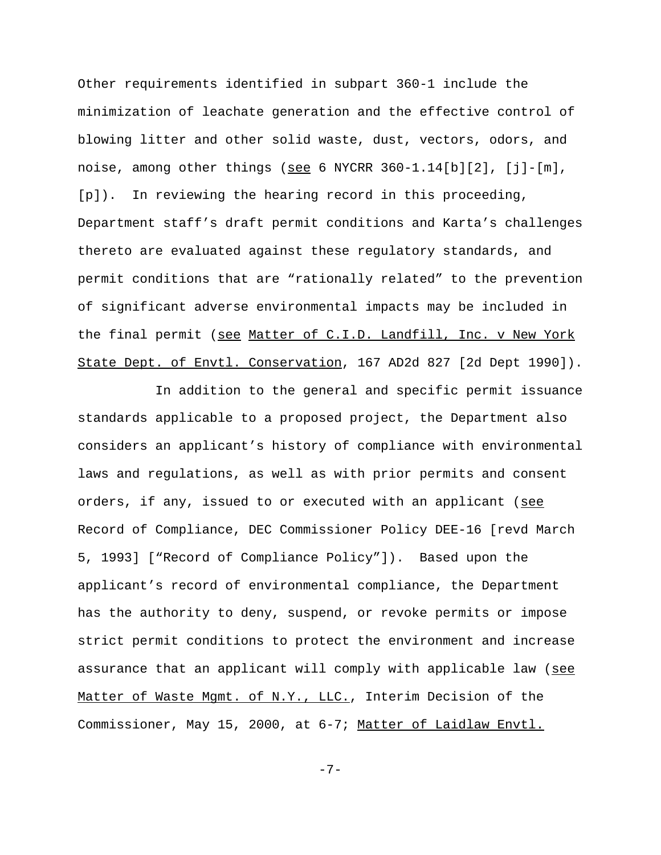Other requirements identified in subpart 360-1 include the minimization of leachate generation and the effective control of blowing litter and other solid waste, dust, vectors, odors, and noise, among other things (see 6 NYCRR  $360-1.14[b][2]$ ,  $[i]-[m]$ , [p]). In reviewing the hearing record in this proceeding, Department staff's draft permit conditions and Karta's challenges thereto are evaluated against these regulatory standards, and permit conditions that are "rationally related" to the prevention of significant adverse environmental impacts may be included in the final permit (see Matter of C.I.D. Landfill, Inc. v New York State Dept. of Envtl. Conservation, 167 AD2d 827 [2d Dept 1990]).

In addition to the general and specific permit issuance standards applicable to a proposed project, the Department also considers an applicant's history of compliance with environmental laws and regulations, as well as with prior permits and consent orders, if any, issued to or executed with an applicant (see Record of Compliance, DEC Commissioner Policy DEE-16 [revd March 5, 1993] ["Record of Compliance Policy"]). Based upon the applicant's record of environmental compliance, the Department has the authority to deny, suspend, or revoke permits or impose strict permit conditions to protect the environment and increase assurance that an applicant will comply with applicable law (see Matter of Waste Mgmt. of N.Y., LLC., Interim Decision of the Commissioner, May 15, 2000, at 6-7; Matter of Laidlaw Envtl.

-7-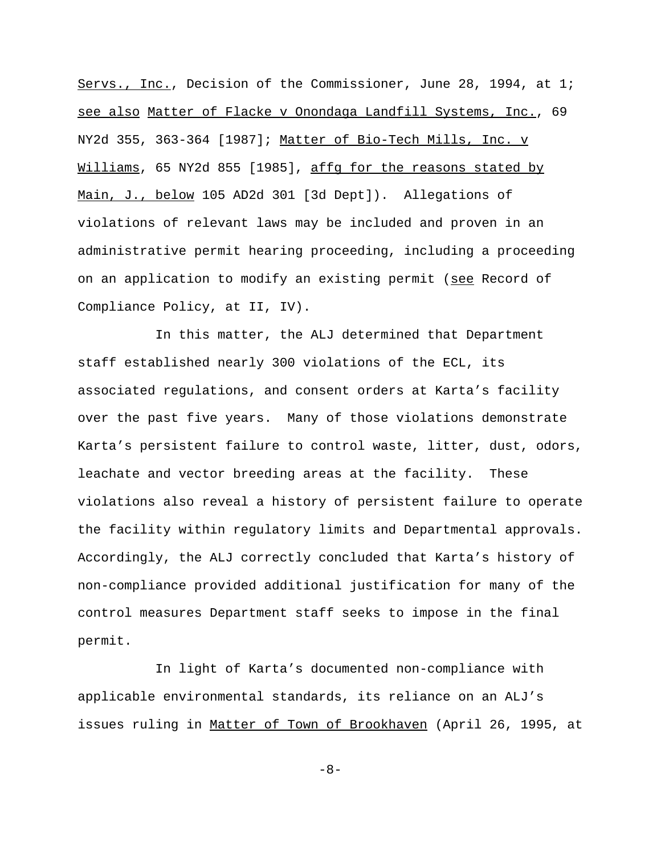Servs., Inc., Decision of the Commissioner, June 28, 1994, at 1; see also Matter of Flacke v Onondaga Landfill Systems, Inc., 69 NY2d 355, 363-364 [1987]; Matter of Bio-Tech Mills, Inc. v Williams, 65 NY2d 855 [1985], affg for the reasons stated by Main, J., below 105 AD2d 301 [3d Dept]). Allegations of violations of relevant laws may be included and proven in an administrative permit hearing proceeding, including a proceeding on an application to modify an existing permit (see Record of Compliance Policy, at II, IV).

In this matter, the ALJ determined that Department staff established nearly 300 violations of the ECL, its associated regulations, and consent orders at Karta's facility over the past five years. Many of those violations demonstrate Karta's persistent failure to control waste, litter, dust, odors, leachate and vector breeding areas at the facility. These violations also reveal a history of persistent failure to operate the facility within regulatory limits and Departmental approvals. Accordingly, the ALJ correctly concluded that Karta's history of non-compliance provided additional justification for many of the control measures Department staff seeks to impose in the final permit.

In light of Karta's documented non-compliance with applicable environmental standards, its reliance on an ALJ's issues ruling in Matter of Town of Brookhaven (April 26, 1995, at

-8-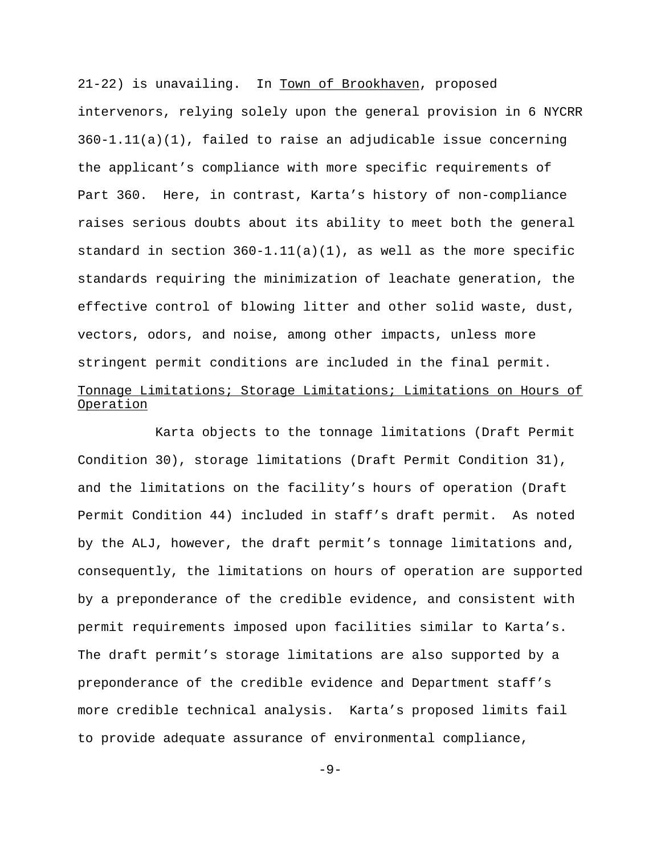21-22) is unavailing. In Town of Brookhaven, proposed intervenors, relying solely upon the general provision in 6 NYCRR  $360-1.11(a)(1)$ , failed to raise an adjudicable issue concerning the applicant's compliance with more specific requirements of Part 360. Here, in contrast, Karta's history of non-compliance raises serious doubts about its ability to meet both the general standard in section  $360-1.11(a)(1)$ , as well as the more specific standards requiring the minimization of leachate generation, the effective control of blowing litter and other solid waste, dust, vectors, odors, and noise, among other impacts, unless more stringent permit conditions are included in the final permit. Tonnage Limitations; Storage Limitations; Limitations on Hours of Operation

Karta objects to the tonnage limitations (Draft Permit Condition 30), storage limitations (Draft Permit Condition 31), and the limitations on the facility's hours of operation (Draft Permit Condition 44) included in staff's draft permit. As noted by the ALJ, however, the draft permit's tonnage limitations and, consequently, the limitations on hours of operation are supported by a preponderance of the credible evidence, and consistent with permit requirements imposed upon facilities similar to Karta's. The draft permit's storage limitations are also supported by a preponderance of the credible evidence and Department staff's more credible technical analysis. Karta's proposed limits fail to provide adequate assurance of environmental compliance,

-9-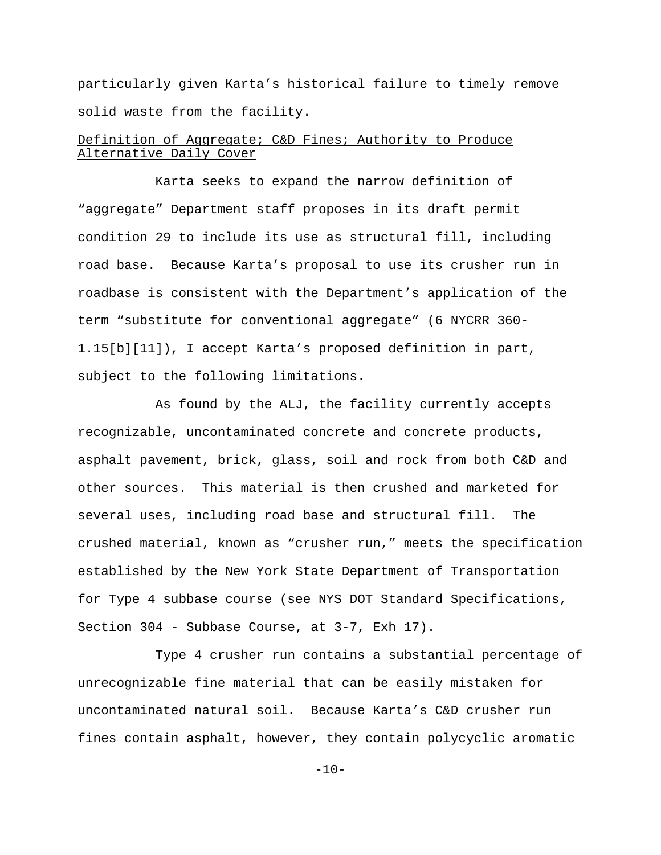particularly given Karta's historical failure to timely remove solid waste from the facility.

# Definition of Aggregate; C&D Fines; Authority to Produce Alternative Daily Cover

Karta seeks to expand the narrow definition of "aggregate" Department staff proposes in its draft permit condition 29 to include its use as structural fill, including road base. Because Karta's proposal to use its crusher run in roadbase is consistent with the Department's application of the term "substitute for conventional aggregate" (6 NYCRR 360- 1.15[b][11]), I accept Karta's proposed definition in part, subject to the following limitations.

As found by the ALJ, the facility currently accepts recognizable, uncontaminated concrete and concrete products, asphalt pavement, brick, glass, soil and rock from both C&D and other sources. This material is then crushed and marketed for several uses, including road base and structural fill. The crushed material, known as "crusher run," meets the specification established by the New York State Department of Transportation for Type 4 subbase course (see NYS DOT Standard Specifications, Section 304 - Subbase Course, at 3-7, Exh 17).

Type 4 crusher run contains a substantial percentage of unrecognizable fine material that can be easily mistaken for uncontaminated natural soil. Because Karta's C&D crusher run fines contain asphalt, however, they contain polycyclic aromatic

 $-10-$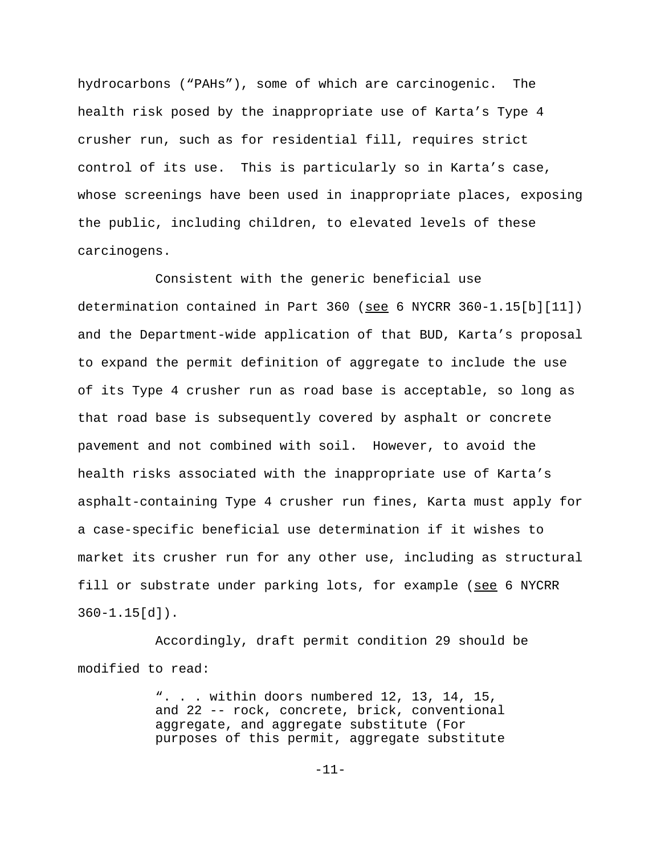hydrocarbons ("PAHs"), some of which are carcinogenic. The health risk posed by the inappropriate use of Karta's Type 4 crusher run, such as for residential fill, requires strict control of its use. This is particularly so in Karta's case, whose screenings have been used in inappropriate places, exposing the public, including children, to elevated levels of these carcinogens.

Consistent with the generic beneficial use determination contained in Part 360 (see 6 NYCRR 360-1.15[b][11]) and the Department-wide application of that BUD, Karta's proposal to expand the permit definition of aggregate to include the use of its Type 4 crusher run as road base is acceptable, so long as that road base is subsequently covered by asphalt or concrete pavement and not combined with soil. However, to avoid the health risks associated with the inappropriate use of Karta's asphalt-containing Type 4 crusher run fines, Karta must apply for a case-specific beneficial use determination if it wishes to market its crusher run for any other use, including as structural fill or substrate under parking lots, for example (see 6 NYCRR  $360 - 1.15$ [d]).

Accordingly, draft permit condition 29 should be modified to read:

> ". . . within doors numbered 12, 13, 14, 15, and 22 -- rock, concrete, brick, conventional aggregate, and aggregate substitute (For purposes of this permit, aggregate substitute

> > -11-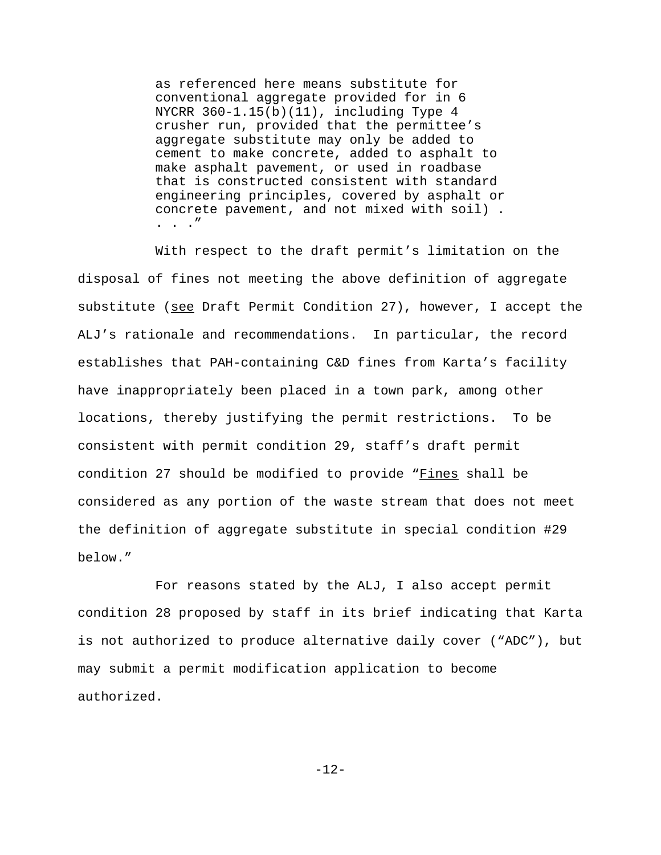as referenced here means substitute for conventional aggregate provided for in 6 NYCRR 360-1.15(b)(11), including Type 4 crusher run, provided that the permittee's aggregate substitute may only be added to cement to make concrete, added to asphalt to make asphalt pavement, or used in roadbase that is constructed consistent with standard engineering principles, covered by asphalt or concrete pavement, and not mixed with soil) . . . ."

With respect to the draft permit's limitation on the disposal of fines not meeting the above definition of aggregate substitute (see Draft Permit Condition 27), however, I accept the ALJ's rationale and recommendations. In particular, the record establishes that PAH-containing C&D fines from Karta's facility have inappropriately been placed in a town park, among other locations, thereby justifying the permit restrictions. To be consistent with permit condition 29, staff's draft permit condition 27 should be modified to provide "Fines shall be considered as any portion of the waste stream that does not meet the definition of aggregate substitute in special condition #29 below."

For reasons stated by the ALJ, I also accept permit condition 28 proposed by staff in its brief indicating that Karta is not authorized to produce alternative daily cover ("ADC"), but may submit a permit modification application to become authorized.

-12-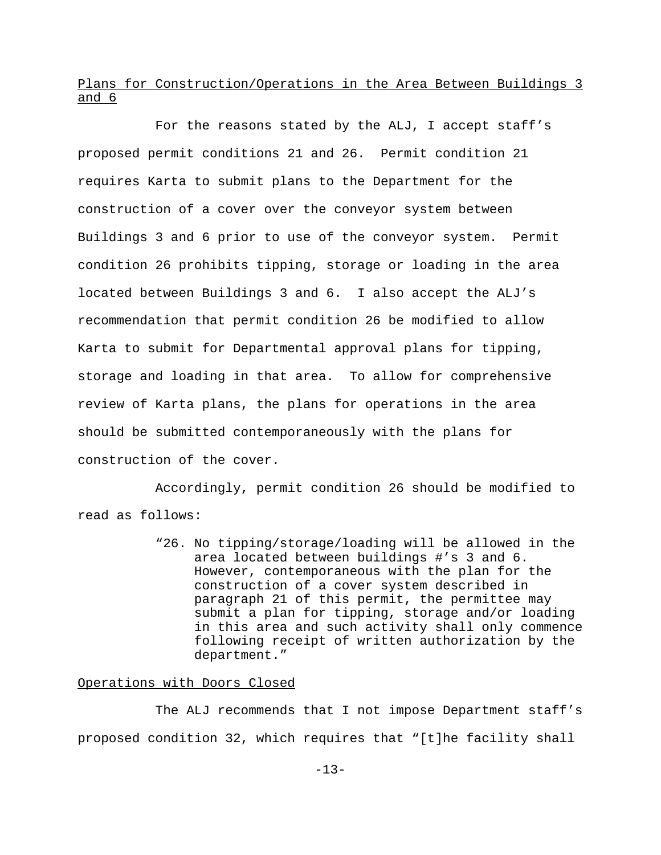# Plans for Construction/Operations in the Area Between Buildings 3 and 6

For the reasons stated by the ALJ, I accept staff's proposed permit conditions 21 and 26. Permit condition 21 requires Karta to submit plans to the Department for the construction of a cover over the conveyor system between Buildings 3 and 6 prior to use of the conveyor system. Permit condition 26 prohibits tipping, storage or loading in the area located between Buildings 3 and 6. I also accept the ALJ's recommendation that permit condition 26 be modified to allow Karta to submit for Departmental approval plans for tipping, storage and loading in that area. To allow for comprehensive review of Karta plans, the plans for operations in the area should be submitted contemporaneously with the plans for construction of the cover.

Accordingly, permit condition 26 should be modified to read as follows:

> "26. No tipping/storage/loading will be allowed in the area located between buildings #'s 3 and 6. However, contemporaneous with the plan for the construction of a cover system described in paragraph 21 of this permit, the permittee may submit a plan for tipping, storage and/or loading in this area and such activity shall only commence following receipt of written authorization by the department."

# Operations with Doors Closed

The ALJ recommends that I not impose Department staff's proposed condition 32, which requires that "[t]he facility shall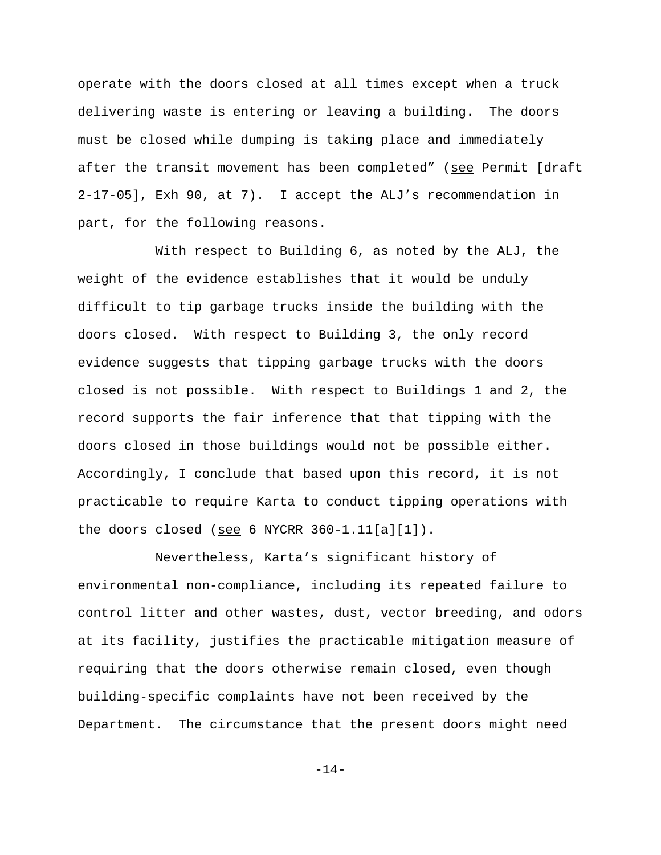operate with the doors closed at all times except when a truck delivering waste is entering or leaving a building. The doors must be closed while dumping is taking place and immediately after the transit movement has been completed" (see Permit [draft 2-17-05], Exh 90, at 7). I accept the ALJ's recommendation in part, for the following reasons.

With respect to Building 6, as noted by the ALJ, the weight of the evidence establishes that it would be unduly difficult to tip garbage trucks inside the building with the doors closed. With respect to Building 3, the only record evidence suggests that tipping garbage trucks with the doors closed is not possible. With respect to Buildings 1 and 2, the record supports the fair inference that that tipping with the doors closed in those buildings would not be possible either. Accordingly, I conclude that based upon this record, it is not practicable to require Karta to conduct tipping operations with the doors closed (see 6 NYCRR 360-1.11[a][1]).

Nevertheless, Karta's significant history of environmental non-compliance, including its repeated failure to control litter and other wastes, dust, vector breeding, and odors at its facility, justifies the practicable mitigation measure of requiring that the doors otherwise remain closed, even though building-specific complaints have not been received by the Department. The circumstance that the present doors might need

-14-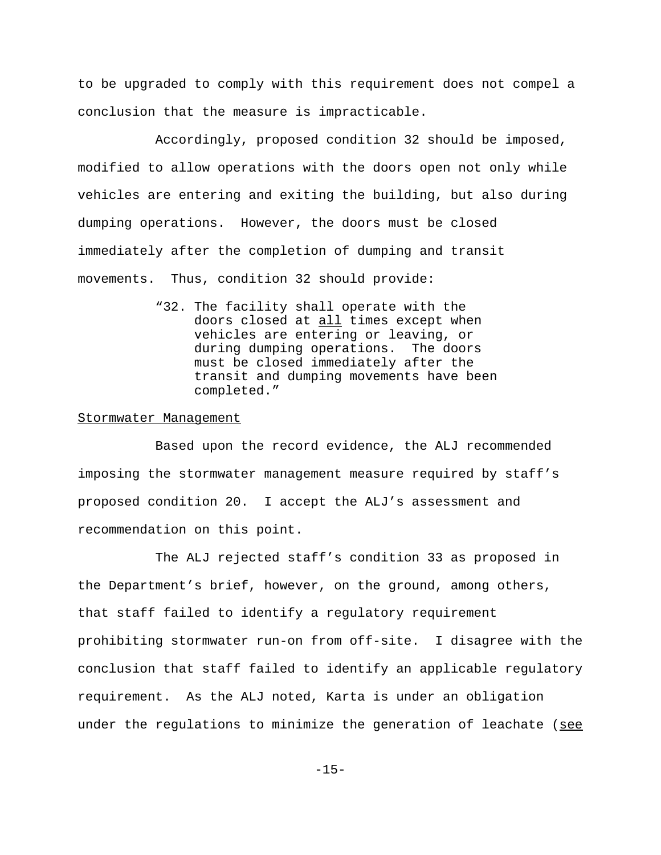to be upgraded to comply with this requirement does not compel a conclusion that the measure is impracticable.

Accordingly, proposed condition 32 should be imposed, modified to allow operations with the doors open not only while vehicles are entering and exiting the building, but also during dumping operations. However, the doors must be closed immediately after the completion of dumping and transit movements. Thus, condition 32 should provide:

> "32. The facility shall operate with the doors closed at all times except when vehicles are entering or leaving, or during dumping operations. The doors must be closed immediately after the transit and dumping movements have been completed."

#### Stormwater Management

Based upon the record evidence, the ALJ recommended imposing the stormwater management measure required by staff's proposed condition 20. I accept the ALJ's assessment and recommendation on this point.

The ALJ rejected staff's condition 33 as proposed in the Department's brief, however, on the ground, among others, that staff failed to identify a regulatory requirement prohibiting stormwater run-on from off-site. I disagree with the conclusion that staff failed to identify an applicable regulatory requirement. As the ALJ noted, Karta is under an obligation under the regulations to minimize the generation of leachate (see

-15-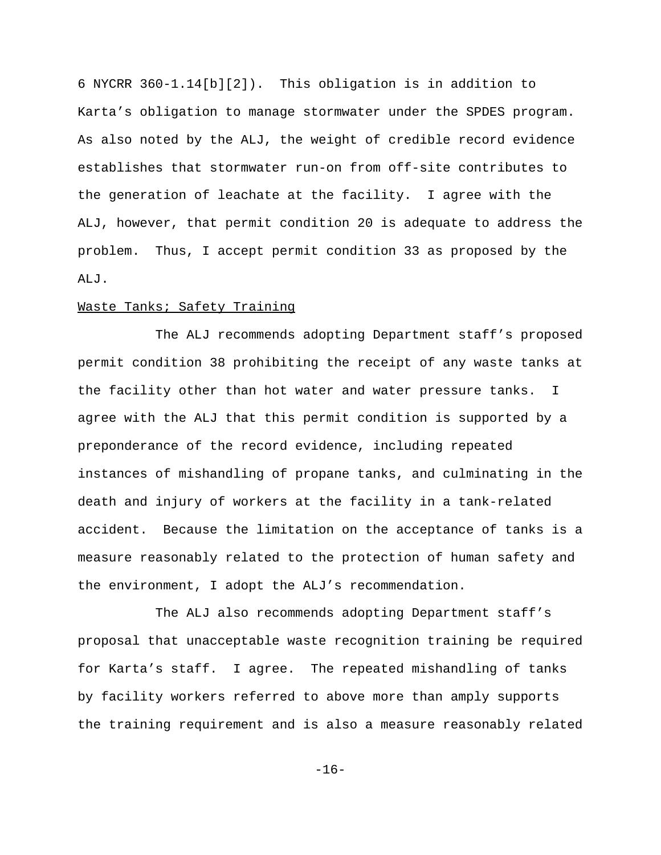6 NYCRR 360-1.14[b][2]). This obligation is in addition to Karta's obligation to manage stormwater under the SPDES program. As also noted by the ALJ, the weight of credible record evidence establishes that stormwater run-on from off-site contributes to the generation of leachate at the facility. I agree with the ALJ, however, that permit condition 20 is adequate to address the problem. Thus, I accept permit condition 33 as proposed by the ALJ.

## Waste Tanks; Safety Training

The ALJ recommends adopting Department staff's proposed permit condition 38 prohibiting the receipt of any waste tanks at the facility other than hot water and water pressure tanks. I agree with the ALJ that this permit condition is supported by a preponderance of the record evidence, including repeated instances of mishandling of propane tanks, and culminating in the death and injury of workers at the facility in a tank-related accident. Because the limitation on the acceptance of tanks is a measure reasonably related to the protection of human safety and the environment, I adopt the ALJ's recommendation.

The ALJ also recommends adopting Department staff's proposal that unacceptable waste recognition training be required for Karta's staff. I agree. The repeated mishandling of tanks by facility workers referred to above more than amply supports the training requirement and is also a measure reasonably related

-16-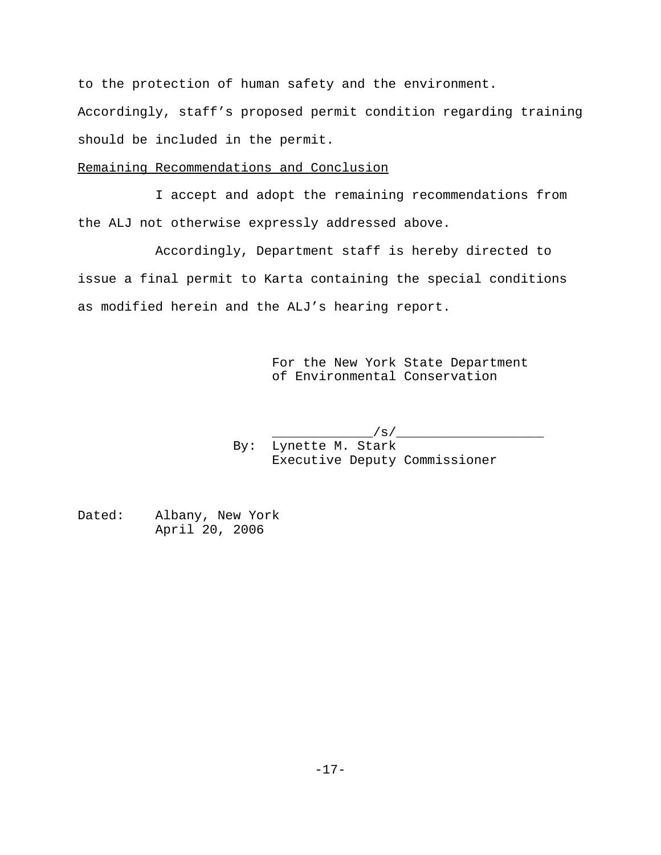to the protection of human safety and the environment.

Accordingly, staff's proposed permit condition regarding training should be included in the permit.

# Remaining Recommendations and Conclusion

I accept and adopt the remaining recommendations from the ALJ not otherwise expressly addressed above.

Accordingly, Department staff is hereby directed to issue a final permit to Karta containing the special conditions as modified herein and the ALJ's hearing report.

> For the New York State Department of Environmental Conservation

 $\_\_\$ s/ By: Lynette M. Stark Executive Deputy Commissioner

Dated: Albany, New York April 20, 2006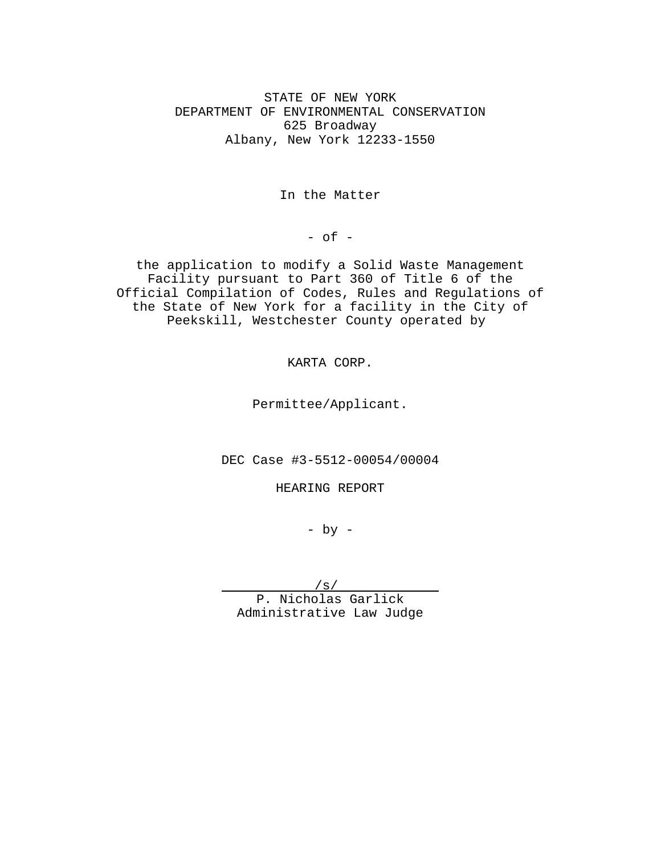STATE OF NEW YORK DEPARTMENT OF ENVIRONMENTAL CONSERVATION 625 Broadway Albany, New York 12233-1550

In the Matter

 $-$  of  $-$ 

the application to modify a Solid Waste Management Facility pursuant to Part 360 of Title 6 of the Official Compilation of Codes, Rules and Regulations of the State of New York for a facility in the City of Peekskill, Westchester County operated by

KARTA CORP.

Permittee/Applicant.

DEC Case #3-5512-00054/00004

HEARING REPORT

 $-$  by  $-$ 

/s/

P. Nicholas Garlick Administrative Law Judge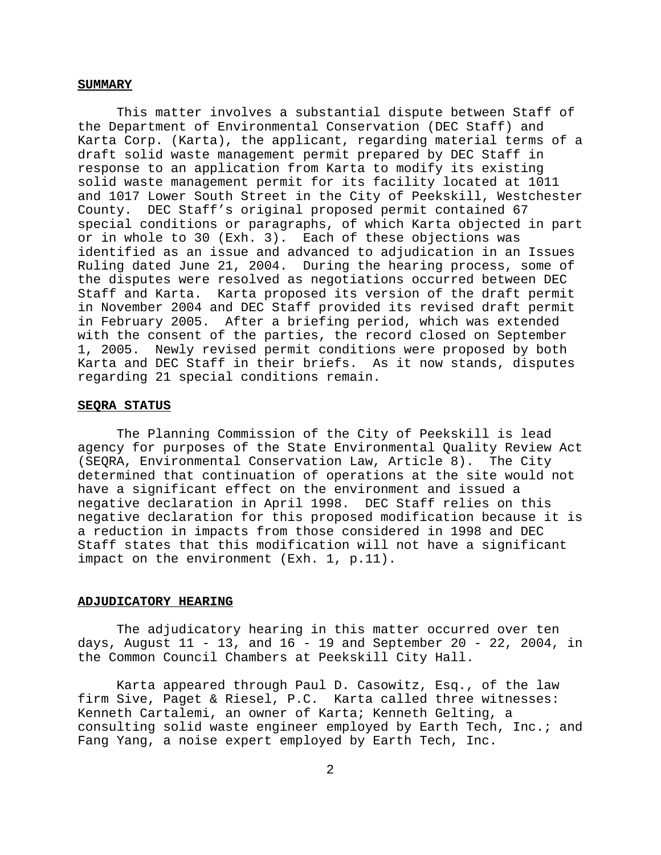#### **SUMMARY**

This matter involves a substantial dispute between Staff of the Department of Environmental Conservation (DEC Staff) and Karta Corp. (Karta), the applicant, regarding material terms of a draft solid waste management permit prepared by DEC Staff in response to an application from Karta to modify its existing solid waste management permit for its facility located at 1011 and 1017 Lower South Street in the City of Peekskill, Westchester County. DEC Staff's original proposed permit contained 67 special conditions or paragraphs, of which Karta objected in part or in whole to 30 (Exh. 3). Each of these objections was identified as an issue and advanced to adjudication in an Issues Ruling dated June 21, 2004. During the hearing process, some of the disputes were resolved as negotiations occurred between DEC Staff and Karta. Karta proposed its version of the draft permit in November 2004 and DEC Staff provided its revised draft permit in February 2005. After a briefing period, which was extended with the consent of the parties, the record closed on September 1, 2005. Newly revised permit conditions were proposed by both Karta and DEC Staff in their briefs. As it now stands, disputes regarding 21 special conditions remain.

#### **SEQRA STATUS**

The Planning Commission of the City of Peekskill is lead agency for purposes of the State Environmental Quality Review Act (SEQRA, Environmental Conservation Law, Article 8). The City determined that continuation of operations at the site would not have a significant effect on the environment and issued a negative declaration in April 1998. DEC Staff relies on this negative declaration for this proposed modification because it is a reduction in impacts from those considered in 1998 and DEC Staff states that this modification will not have a significant impact on the environment (Exh. 1, p.11).

#### **ADJUDICATORY HEARING**

The adjudicatory hearing in this matter occurred over ten days, August 11 - 13, and 16 - 19 and September 20 - 22, 2004, in the Common Council Chambers at Peekskill City Hall.

Karta appeared through Paul D. Casowitz, Esq., of the law firm Sive, Paget & Riesel, P.C. Karta called three witnesses: Kenneth Cartalemi, an owner of Karta; Kenneth Gelting, a consulting solid waste engineer employed by Earth Tech, Inc.; and Fang Yang, a noise expert employed by Earth Tech, Inc.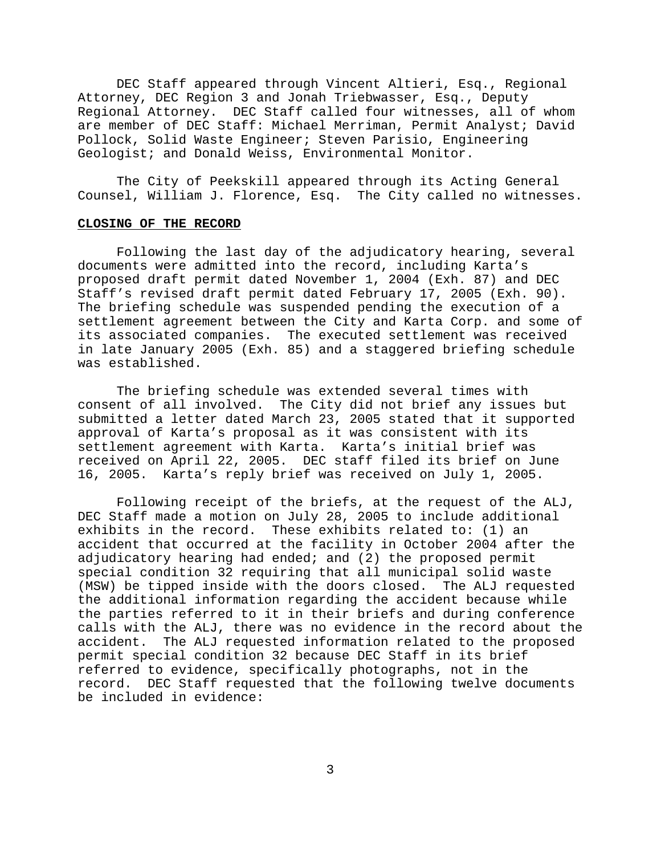DEC Staff appeared through Vincent Altieri, Esq., Regional Attorney, DEC Region 3 and Jonah Triebwasser, Esq., Deputy Regional Attorney. DEC Staff called four witnesses, all of whom are member of DEC Staff: Michael Merriman, Permit Analyst; David Pollock, Solid Waste Engineer; Steven Parisio, Engineering Geologist; and Donald Weiss, Environmental Monitor.

The City of Peekskill appeared through its Acting General Counsel, William J. Florence, Esq. The City called no witnesses.

#### **CLOSING OF THE RECORD**

Following the last day of the adjudicatory hearing, several documents were admitted into the record, including Karta's proposed draft permit dated November 1, 2004 (Exh. 87) and DEC Staff's revised draft permit dated February 17, 2005 (Exh. 90). The briefing schedule was suspended pending the execution of a settlement agreement between the City and Karta Corp. and some of its associated companies. The executed settlement was received in late January 2005 (Exh. 85) and a staggered briefing schedule was established.

The briefing schedule was extended several times with consent of all involved. The City did not brief any issues but submitted a letter dated March 23, 2005 stated that it supported approval of Karta's proposal as it was consistent with its settlement agreement with Karta. Karta's initial brief was received on April 22, 2005. DEC staff filed its brief on June 16, 2005. Karta's reply brief was received on July 1, 2005.

Following receipt of the briefs, at the request of the ALJ, DEC Staff made a motion on July 28, 2005 to include additional exhibits in the record. These exhibits related to: (1) an accident that occurred at the facility in October 2004 after the adjudicatory hearing had ended; and (2) the proposed permit special condition 32 requiring that all municipal solid waste (MSW) be tipped inside with the doors closed. The ALJ requested the additional information regarding the accident because while the parties referred to it in their briefs and during conference calls with the ALJ, there was no evidence in the record about the accident. The ALJ requested information related to the proposed permit special condition 32 because DEC Staff in its brief referred to evidence, specifically photographs, not in the record. DEC Staff requested that the following twelve documents be included in evidence: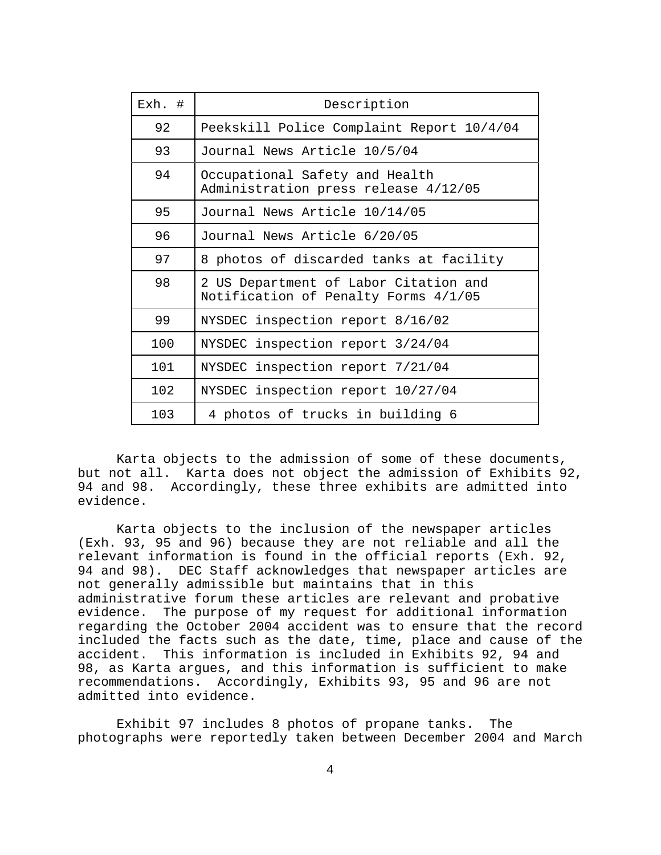| Exh. # | Description                                                                   |
|--------|-------------------------------------------------------------------------------|
| 92     | Peekskill Police Complaint Report 10/4/04                                     |
| 93     | Journal News Article 10/5/04                                                  |
| 94     | Occupational Safety and Health<br>Administration press release 4/12/05        |
| 95     | Journal News Article 10/14/05                                                 |
| 96     | Journal News Article 6/20/05                                                  |
| 97     | 8 photos of discarded tanks at facility                                       |
| 98     | 2 US Department of Labor Citation and<br>Notification of Penalty Forms 4/1/05 |
| 99     | NYSDEC inspection report 8/16/02                                              |
| 100    | NYSDEC inspection report 3/24/04                                              |
| 101    | NYSDEC inspection report 7/21/04                                              |
| 102    | NYSDEC inspection report 10/27/04                                             |
| 103    | 4 photos of trucks in building 6                                              |

Karta objects to the admission of some of these documents, but not all. Karta does not object the admission of Exhibits 92, 94 and 98. Accordingly, these three exhibits are admitted into evidence.

Karta objects to the inclusion of the newspaper articles (Exh. 93, 95 and 96) because they are not reliable and all the relevant information is found in the official reports (Exh. 92, 94 and 98). DEC Staff acknowledges that newspaper articles are not generally admissible but maintains that in this administrative forum these articles are relevant and probative evidence. The purpose of my request for additional information regarding the October 2004 accident was to ensure that the record included the facts such as the date, time, place and cause of the accident. This information is included in Exhibits 92, 94 and 98, as Karta argues, and this information is sufficient to make recommendations. Accordingly, Exhibits 93, 95 and 96 are not admitted into evidence.

Exhibit 97 includes 8 photos of propane tanks. The photographs were reportedly taken between December 2004 and March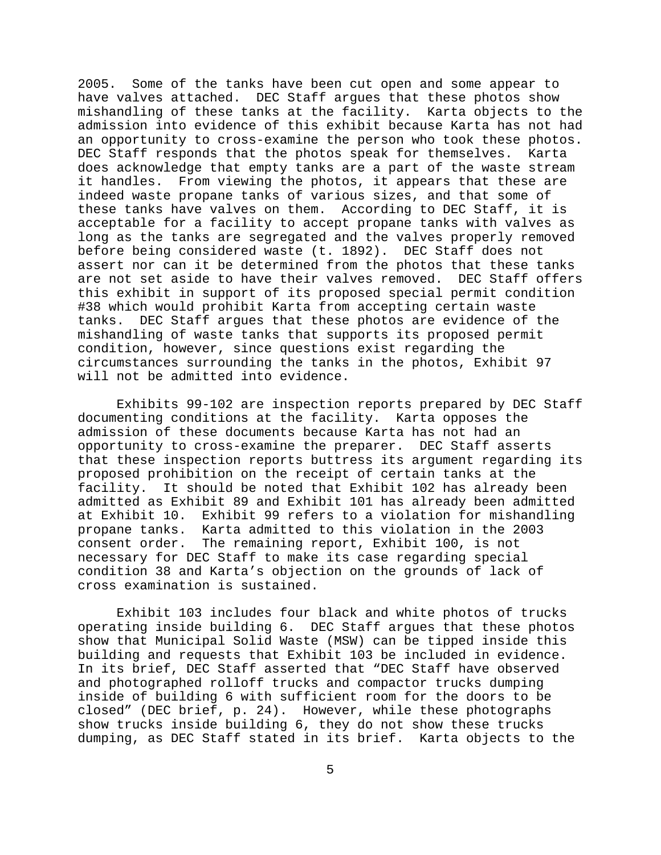2005. Some of the tanks have been cut open and some appear to have valves attached. DEC Staff argues that these photos show mishandling of these tanks at the facility. Karta objects to the admission into evidence of this exhibit because Karta has not had an opportunity to cross-examine the person who took these photos. DEC Staff responds that the photos speak for themselves. Karta does acknowledge that empty tanks are a part of the waste stream it handles. From viewing the photos, it appears that these are indeed waste propane tanks of various sizes, and that some of these tanks have valves on them. According to DEC Staff, it is acceptable for a facility to accept propane tanks with valves as long as the tanks are segregated and the valves properly removed before being considered waste (t. 1892). DEC Staff does not assert nor can it be determined from the photos that these tanks are not set aside to have their valves removed. DEC Staff offers this exhibit in support of its proposed special permit condition #38 which would prohibit Karta from accepting certain waste tanks. DEC Staff argues that these photos are evidence of the mishandling of waste tanks that supports its proposed permit condition, however, since questions exist regarding the circumstances surrounding the tanks in the photos, Exhibit 97 will not be admitted into evidence.

Exhibits 99-102 are inspection reports prepared by DEC Staff documenting conditions at the facility. Karta opposes the admission of these documents because Karta has not had an opportunity to cross-examine the preparer. DEC Staff asserts that these inspection reports buttress its argument regarding its proposed prohibition on the receipt of certain tanks at the facility. It should be noted that Exhibit 102 has already been admitted as Exhibit 89 and Exhibit 101 has already been admitted at Exhibit 10. Exhibit 99 refers to a violation for mishandling propane tanks. Karta admitted to this violation in the 2003 consent order. The remaining report, Exhibit 100, is not necessary for DEC Staff to make its case regarding special condition 38 and Karta's objection on the grounds of lack of cross examination is sustained.

Exhibit 103 includes four black and white photos of trucks operating inside building 6. DEC Staff argues that these photos show that Municipal Solid Waste (MSW) can be tipped inside this building and requests that Exhibit 103 be included in evidence. In its brief, DEC Staff asserted that "DEC Staff have observed and photographed rolloff trucks and compactor trucks dumping inside of building 6 with sufficient room for the doors to be closed" (DEC brief, p. 24). However, while these photographs show trucks inside building 6, they do not show these trucks dumping, as DEC Staff stated in its brief. Karta objects to the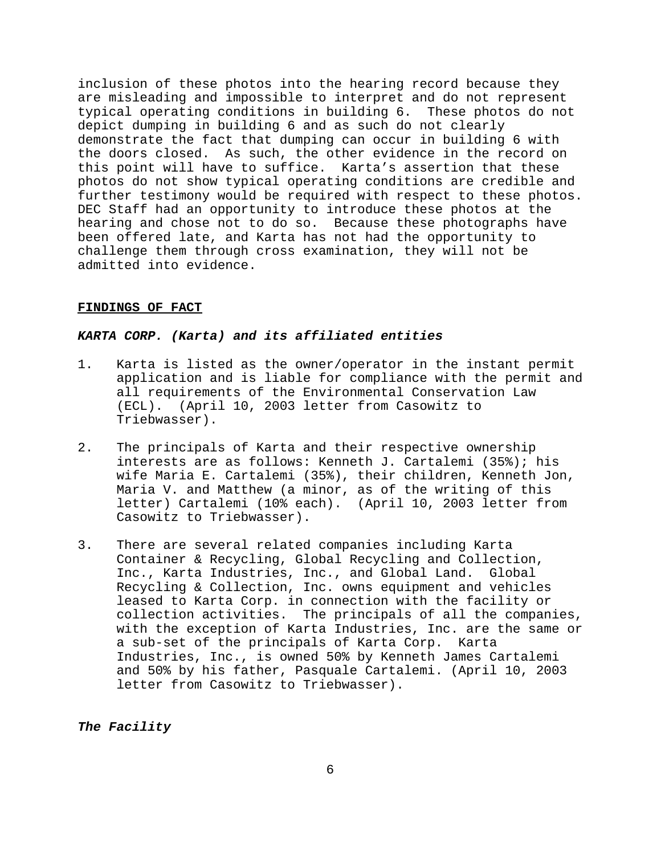inclusion of these photos into the hearing record because they are misleading and impossible to interpret and do not represent typical operating conditions in building 6. These photos do not depict dumping in building 6 and as such do not clearly demonstrate the fact that dumping can occur in building 6 with the doors closed. As such, the other evidence in the record on this point will have to suffice. Karta's assertion that these photos do not show typical operating conditions are credible and further testimony would be required with respect to these photos. DEC Staff had an opportunity to introduce these photos at the hearing and chose not to do so. Because these photographs have been offered late, and Karta has not had the opportunity to challenge them through cross examination, they will not be admitted into evidence.

#### **FINDINGS OF FACT**

### *KARTA CORP. (Karta) and its affiliated entities*

- 1. Karta is listed as the owner/operator in the instant permit application and is liable for compliance with the permit and all requirements of the Environmental Conservation Law (ECL). (April 10, 2003 letter from Casowitz to Triebwasser).
- 2. The principals of Karta and their respective ownership interests are as follows: Kenneth J. Cartalemi (35%); his wife Maria E. Cartalemi (35%), their children, Kenneth Jon, Maria V. and Matthew (a minor, as of the writing of this letter) Cartalemi (10% each). (April 10, 2003 letter from Casowitz to Triebwasser).
- 3. There are several related companies including Karta Container & Recycling, Global Recycling and Collection, Inc., Karta Industries, Inc., and Global Land. Global Recycling & Collection, Inc. owns equipment and vehicles leased to Karta Corp. in connection with the facility or collection activities. The principals of all the companies, with the exception of Karta Industries, Inc. are the same or a sub-set of the principals of Karta Corp. Karta Industries, Inc., is owned 50% by Kenneth James Cartalemi and 50% by his father, Pasquale Cartalemi. (April 10, 2003 letter from Casowitz to Triebwasser).

*The Facility*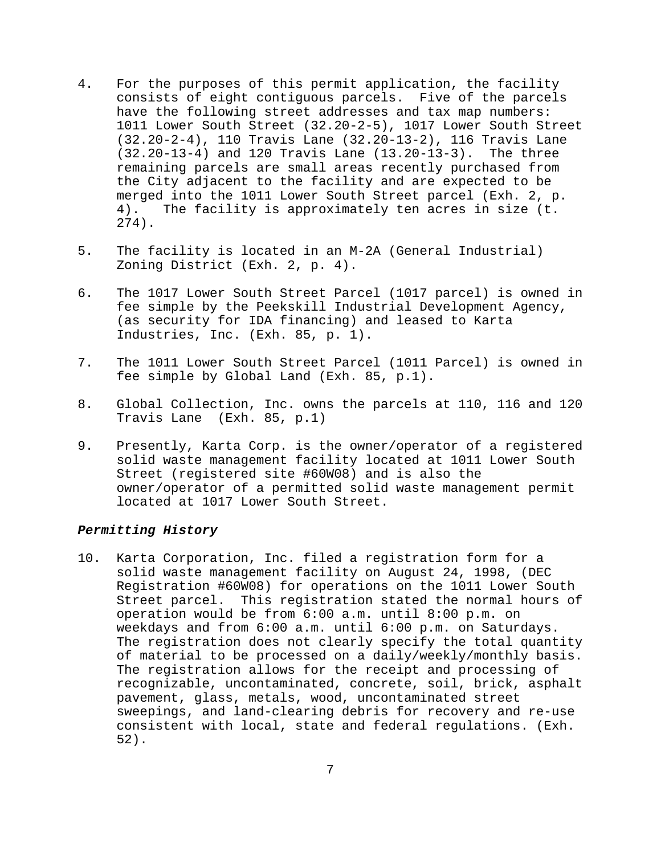- 4. For the purposes of this permit application, the facility consists of eight contiguous parcels. Five of the parcels have the following street addresses and tax map numbers: 1011 Lower South Street (32.20-2-5), 1017 Lower South Street (32.20-2-4), 110 Travis Lane (32.20-13-2), 116 Travis Lane (32.20-13-4) and 120 Travis Lane (13.20-13-3). The three remaining parcels are small areas recently purchased from the City adjacent to the facility and are expected to be merged into the 1011 Lower South Street parcel (Exh. 2, p. 4). The facility is approximately ten acres in size (t. 274).
- 5. The facility is located in an M-2A (General Industrial) Zoning District (Exh. 2, p. 4).
- 6. The 1017 Lower South Street Parcel (1017 parcel) is owned in fee simple by the Peekskill Industrial Development Agency, (as security for IDA financing) and leased to Karta Industries, Inc. (Exh. 85, p. 1).
- 7. The 1011 Lower South Street Parcel (1011 Parcel) is owned in fee simple by Global Land (Exh. 85, p.1).
- 8. Global Collection, Inc. owns the parcels at 110, 116 and 120 Travis Lane (Exh. 85, p.1)
- 9. Presently, Karta Corp. is the owner/operator of a registered solid waste management facility located at 1011 Lower South Street (registered site #60W08) and is also the owner/operator of a permitted solid waste management permit located at 1017 Lower South Street.

## *Permitting History*

10. Karta Corporation, Inc. filed a registration form for a solid waste management facility on August 24, 1998, (DEC Registration #60W08) for operations on the 1011 Lower South Street parcel. This registration stated the normal hours of operation would be from 6:00 a.m. until 8:00 p.m. on weekdays and from 6:00 a.m. until 6:00 p.m. on Saturdays. The registration does not clearly specify the total quantity of material to be processed on a daily/weekly/monthly basis. The registration allows for the receipt and processing of recognizable, uncontaminated, concrete, soil, brick, asphalt pavement, glass, metals, wood, uncontaminated street sweepings, and land-clearing debris for recovery and re-use consistent with local, state and federal regulations. (Exh. 52).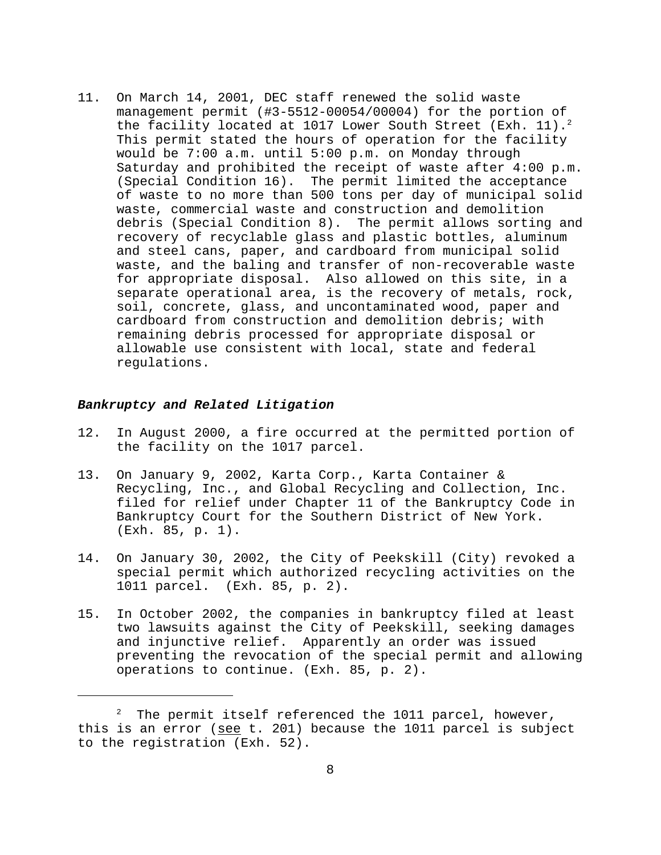11. On March 14, 2001, DEC staff renewed the solid waste management permit (#3-5512-00054/00004) for the portion of the facility located at 1017 Lower South Street (Exh. 11).<sup>2</sup> This permit stated the hours of operation for the facility would be 7:00 a.m. until 5:00 p.m. on Monday through Saturday and prohibited the receipt of waste after 4:00 p.m. (Special Condition 16). The permit limited the acceptance of waste to no more than 500 tons per day of municipal solid waste, commercial waste and construction and demolition debris (Special Condition 8). The permit allows sorting and recovery of recyclable glass and plastic bottles, aluminum and steel cans, paper, and cardboard from municipal solid waste, and the baling and transfer of non-recoverable waste for appropriate disposal. Also allowed on this site, in a separate operational area, is the recovery of metals, rock, soil, concrete, glass, and uncontaminated wood, paper and cardboard from construction and demolition debris; with remaining debris processed for appropriate disposal or allowable use consistent with local, state and federal regulations.

#### *Bankruptcy and Related Litigation*

- 12. In August 2000, a fire occurred at the permitted portion of the facility on the 1017 parcel.
- 13. On January 9, 2002, Karta Corp., Karta Container & Recycling, Inc., and Global Recycling and Collection, Inc. filed for relief under Chapter 11 of the Bankruptcy Code in Bankruptcy Court for the Southern District of New York. (Exh. 85, p. 1).
- 14. On January 30, 2002, the City of Peekskill (City) revoked a special permit which authorized recycling activities on the 1011 parcel. (Exh. 85, p. 2).
- 15. In October 2002, the companies in bankruptcy filed at least two lawsuits against the City of Peekskill, seeking damages and injunctive relief. Apparently an order was issued preventing the revocation of the special permit and allowing operations to continue. (Exh. 85, p. 2).

 $2$  The permit itself referenced the 1011 parcel, however, this is an error (see t. 201) because the 1011 parcel is subject to the registration (Exh. 52).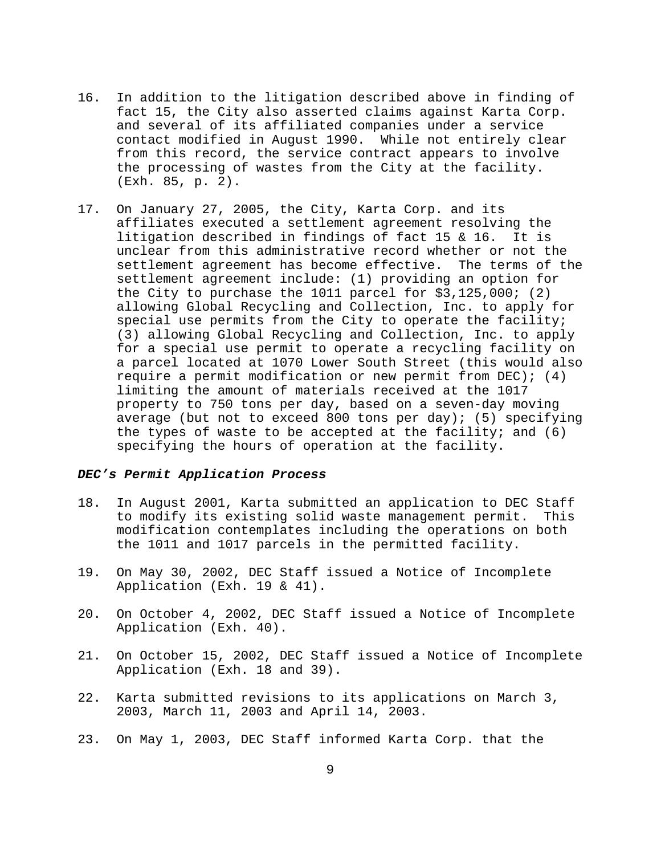- 16. In addition to the litigation described above in finding of fact 15, the City also asserted claims against Karta Corp. and several of its affiliated companies under a service contact modified in August 1990. While not entirely clear from this record, the service contract appears to involve the processing of wastes from the City at the facility. (Exh. 85, p. 2).
- 17. On January 27, 2005, the City, Karta Corp. and its affiliates executed a settlement agreement resolving the litigation described in findings of fact 15 & 16. It is unclear from this administrative record whether or not the settlement agreement has become effective. The terms of the settlement agreement include: (1) providing an option for the City to purchase the 1011 parcel for \$3,125,000; (2) allowing Global Recycling and Collection, Inc. to apply for special use permits from the City to operate the facility; (3) allowing Global Recycling and Collection, Inc. to apply for a special use permit to operate a recycling facility on a parcel located at 1070 Lower South Street (this would also require a permit modification or new permit from DEC); (4) limiting the amount of materials received at the 1017 property to 750 tons per day, based on a seven-day moving average (but not to exceed 800 tons per day); (5) specifying the types of waste to be accepted at the facility; and  $(6)$ specifying the hours of operation at the facility.

# *DEC's Permit Application Process*

- 18. In August 2001, Karta submitted an application to DEC Staff to modify its existing solid waste management permit. This modification contemplates including the operations on both the 1011 and 1017 parcels in the permitted facility.
- 19. On May 30, 2002, DEC Staff issued a Notice of Incomplete Application (Exh. 19 & 41).
- 20. On October 4, 2002, DEC Staff issued a Notice of Incomplete Application (Exh. 40).
- 21. On October 15, 2002, DEC Staff issued a Notice of Incomplete Application (Exh. 18 and 39).
- 22. Karta submitted revisions to its applications on March 3, 2003, March 11, 2003 and April 14, 2003.
- 23. On May 1, 2003, DEC Staff informed Karta Corp. that the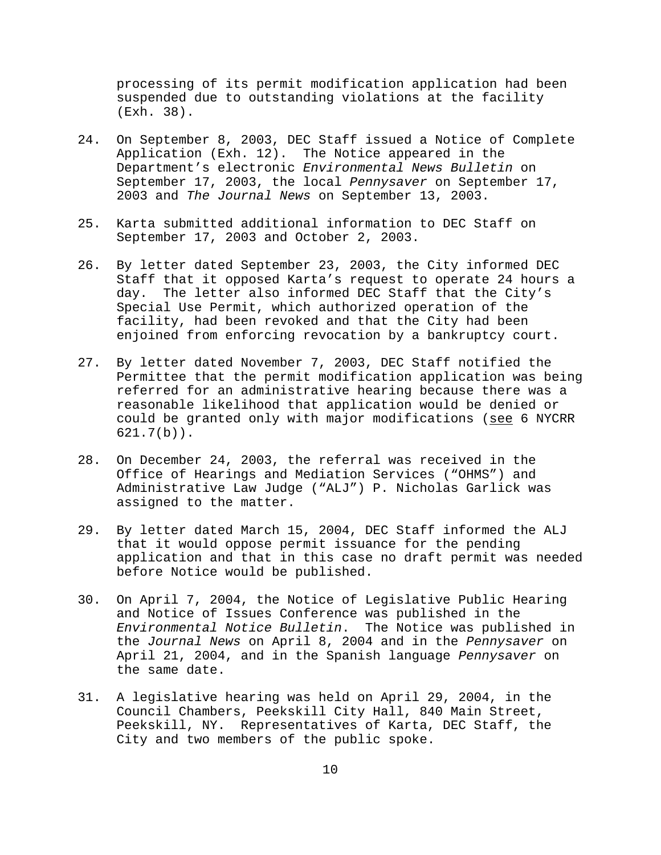processing of its permit modification application had been suspended due to outstanding violations at the facility (Exh. 38).

- 24. On September 8, 2003, DEC Staff issued a Notice of Complete Application (Exh. 12). The Notice appeared in the Department's electronic *Environmental News Bulletin* on September 17, 2003, the local *Pennysaver* on September 17, 2003 and *The Journal News* on September 13, 2003.
- 25. Karta submitted additional information to DEC Staff on September 17, 2003 and October 2, 2003.
- 26. By letter dated September 23, 2003, the City informed DEC Staff that it opposed Karta's request to operate 24 hours a day. The letter also informed DEC Staff that the City's Special Use Permit, which authorized operation of the facility, had been revoked and that the City had been enjoined from enforcing revocation by a bankruptcy court.
- 27. By letter dated November 7, 2003, DEC Staff notified the Permittee that the permit modification application was being referred for an administrative hearing because there was a reasonable likelihood that application would be denied or could be granted only with major modifications (see 6 NYCRR 621.7(b)).
- 28. On December 24, 2003, the referral was received in the Office of Hearings and Mediation Services ("OHMS") and Administrative Law Judge ("ALJ") P. Nicholas Garlick was assigned to the matter.
- 29. By letter dated March 15, 2004, DEC Staff informed the ALJ that it would oppose permit issuance for the pending application and that in this case no draft permit was needed before Notice would be published.
- 30. On April 7, 2004, the Notice of Legislative Public Hearing and Notice of Issues Conference was published in the *Environmental Notice Bulletin*. The Notice was published in the *Journal News* on April 8, 2004 and in the *Pennysaver* on April 21, 2004, and in the Spanish language *Pennysaver* on the same date.
- 31. A legislative hearing was held on April 29, 2004, in the Council Chambers, Peekskill City Hall, 840 Main Street, Peekskill, NY. Representatives of Karta, DEC Staff, the City and two members of the public spoke.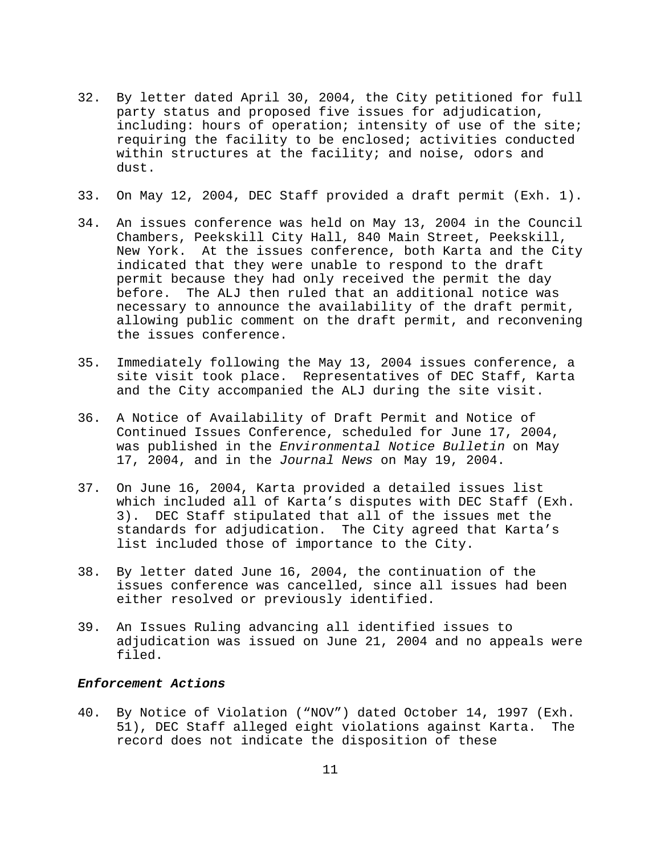- 32. By letter dated April 30, 2004, the City petitioned for full party status and proposed five issues for adjudication, including: hours of operation; intensity of use of the site; requiring the facility to be enclosed; activities conducted within structures at the facility; and noise, odors and dust.
- 33. On May 12, 2004, DEC Staff provided a draft permit (Exh. 1).
- 34. An issues conference was held on May 13, 2004 in the Council Chambers, Peekskill City Hall, 840 Main Street, Peekskill, New York. At the issues conference, both Karta and the City indicated that they were unable to respond to the draft permit because they had only received the permit the day before. The ALJ then ruled that an additional notice was necessary to announce the availability of the draft permit, allowing public comment on the draft permit, and reconvening the issues conference.
- 35. Immediately following the May 13, 2004 issues conference, a site visit took place. Representatives of DEC Staff, Karta and the City accompanied the ALJ during the site visit.
- 36. A Notice of Availability of Draft Permit and Notice of Continued Issues Conference, scheduled for June 17, 2004, was published in the *Environmental Notice Bulletin* on May 17, 2004, and in the *Journal News* on May 19, 2004.
- 37. On June 16, 2004, Karta provided a detailed issues list which included all of Karta's disputes with DEC Staff (Exh. 3). DEC Staff stipulated that all of the issues met the standards for adjudication. The City agreed that Karta's list included those of importance to the City.
- 38. By letter dated June 16, 2004, the continuation of the issues conference was cancelled, since all issues had been either resolved or previously identified.
- 39. An Issues Ruling advancing all identified issues to adjudication was issued on June 21, 2004 and no appeals were filed.

# *Enforcement Actions*

40. By Notice of Violation ("NOV") dated October 14, 1997 (Exh. 51), DEC Staff alleged eight violations against Karta. The record does not indicate the disposition of these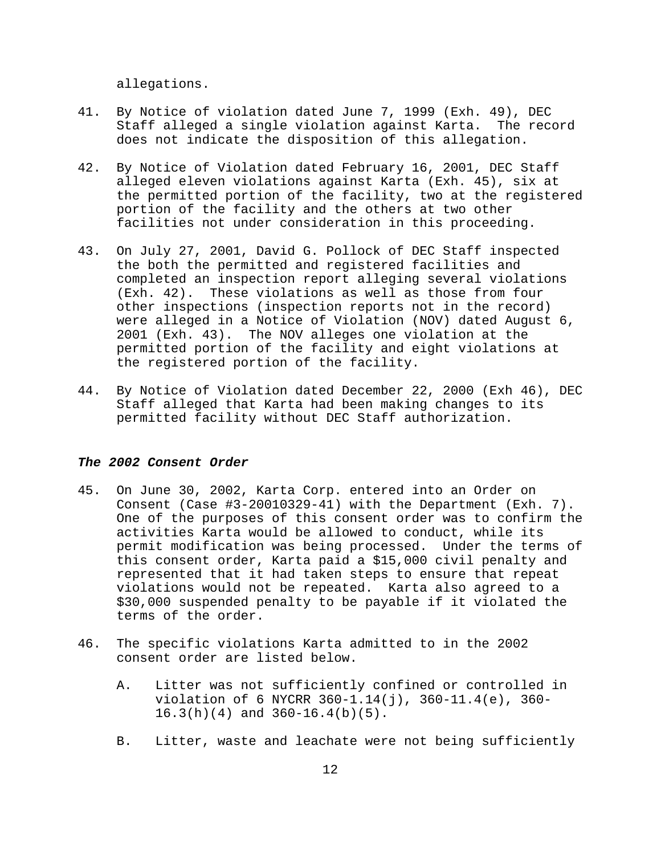allegations.

- 41. By Notice of violation dated June 7, 1999 (Exh. 49), DEC Staff alleged a single violation against Karta. The record does not indicate the disposition of this allegation.
- 42. By Notice of Violation dated February 16, 2001, DEC Staff alleged eleven violations against Karta (Exh. 45), six at the permitted portion of the facility, two at the registered portion of the facility and the others at two other facilities not under consideration in this proceeding.
- 43. On July 27, 2001, David G. Pollock of DEC Staff inspected the both the permitted and registered facilities and completed an inspection report alleging several violations (Exh. 42). These violations as well as those from four other inspections (inspection reports not in the record) were alleged in a Notice of Violation (NOV) dated August 6, 2001 (Exh. 43). The NOV alleges one violation at the permitted portion of the facility and eight violations at the registered portion of the facility.
- 44. By Notice of Violation dated December 22, 2000 (Exh 46), DEC Staff alleged that Karta had been making changes to its permitted facility without DEC Staff authorization.

# *The 2002 Consent Order*

- 45. On June 30, 2002, Karta Corp. entered into an Order on Consent (Case #3-20010329-41) with the Department (Exh. 7). One of the purposes of this consent order was to confirm the activities Karta would be allowed to conduct, while its permit modification was being processed. Under the terms of this consent order, Karta paid a \$15,000 civil penalty and represented that it had taken steps to ensure that repeat violations would not be repeated. Karta also agreed to a \$30,000 suspended penalty to be payable if it violated the terms of the order.
- 46. The specific violations Karta admitted to in the 2002 consent order are listed below.
	- A. Litter was not sufficiently confined or controlled in violation of 6 NYCRR 360-1.14(j), 360-11.4(e), 360- 16.3(h)(4) and 360-16.4(b)(5).
	- B. Litter, waste and leachate were not being sufficiently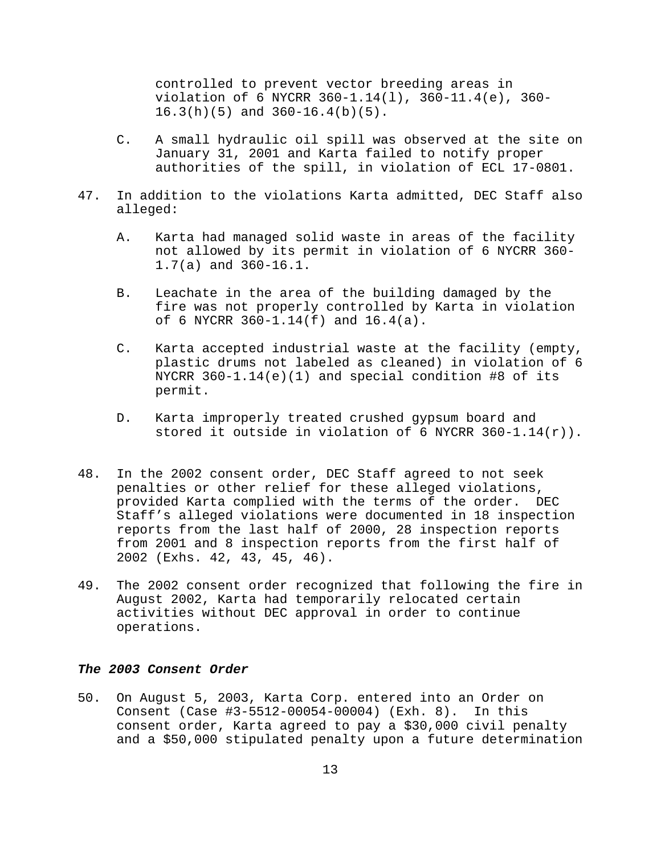controlled to prevent vector breeding areas in violation of 6 NYCRR 360-1.14(l), 360-11.4(e), 360- 16.3(h)(5) and 360-16.4(b)(5).

- C. A small hydraulic oil spill was observed at the site on January 31, 2001 and Karta failed to notify proper authorities of the spill, in violation of ECL 17-0801.
- 47. In addition to the violations Karta admitted, DEC Staff also alleged:
	- A. Karta had managed solid waste in areas of the facility not allowed by its permit in violation of 6 NYCRR 360- 1.7(a) and 360-16.1.
	- B. Leachate in the area of the building damaged by the fire was not properly controlled by Karta in violation of 6 NYCRR 360-1.14(f) and 16.4(a).
	- C. Karta accepted industrial waste at the facility (empty, plastic drums not labeled as cleaned) in violation of 6 NYCRR 360-1.14(e)(1) and special condition #8 of its permit.
	- D. Karta improperly treated crushed gypsum board and stored it outside in violation of 6 NYCRR  $360-1.14(r)$ .
- 48. In the 2002 consent order, DEC Staff agreed to not seek penalties or other relief for these alleged violations, provided Karta complied with the terms of the order. DEC Staff's alleged violations were documented in 18 inspection reports from the last half of 2000, 28 inspection reports from 2001 and 8 inspection reports from the first half of 2002 (Exhs. 42, 43, 45, 46).
- 49. The 2002 consent order recognized that following the fire in August 2002, Karta had temporarily relocated certain activities without DEC approval in order to continue operations.

## *The 2003 Consent Order*

50. On August 5, 2003, Karta Corp. entered into an Order on Consent (Case #3-5512-00054-00004) (Exh. 8). In this consent order, Karta agreed to pay a \$30,000 civil penalty and a \$50,000 stipulated penalty upon a future determination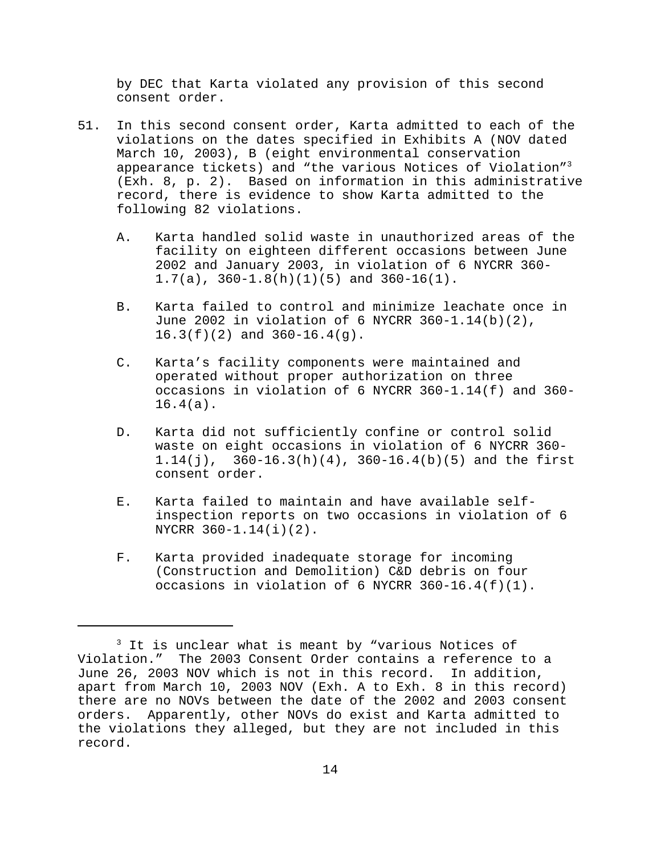by DEC that Karta violated any provision of this second consent order.

- 51. In this second consent order, Karta admitted to each of the violations on the dates specified in Exhibits A (NOV dated March 10, 2003), B (eight environmental conservation appearance tickets) and "the various Notices of Violation"3 (Exh. 8, p. 2). Based on information in this administrative record, there is evidence to show Karta admitted to the following 82 violations.
	- A. Karta handled solid waste in unauthorized areas of the facility on eighteen different occasions between June 2002 and January 2003, in violation of 6 NYCRR 360- 1.7(a), 360-1.8(h)(1)(5) and 360-16(1).
	- B. Karta failed to control and minimize leachate once in June 2002 in violation of 6 NYCRR 360-1.14(b)(2), 16.3(f)(2) and 360-16.4(g).
	- C. Karta's facility components were maintained and operated without proper authorization on three occasions in violation of 6 NYCRR 360-1.14(f) and 360- 16.4(a).
	- D. Karta did not sufficiently confine or control solid waste on eight occasions in violation of 6 NYCRR 360- 1.14(j), 360-16.3(h)(4), 360-16.4(b)(5) and the first consent order.
	- E. Karta failed to maintain and have available selfinspection reports on two occasions in violation of 6 NYCRR 360-1.14(i)(2).
	- F. Karta provided inadequate storage for incoming (Construction and Demolition) C&D debris on four occasions in violation of 6 NYCRR  $360-16.4(f)(1)$ .

<sup>&</sup>lt;sup>3</sup> It is unclear what is meant by "various Notices of Violation." The 2003 Consent Order contains a reference to a June 26, 2003 NOV which is not in this record. In addition, apart from March 10, 2003 NOV (Exh. A to Exh. 8 in this record) there are no NOVs between the date of the 2002 and 2003 consent orders. Apparently, other NOVs do exist and Karta admitted to the violations they alleged, but they are not included in this record.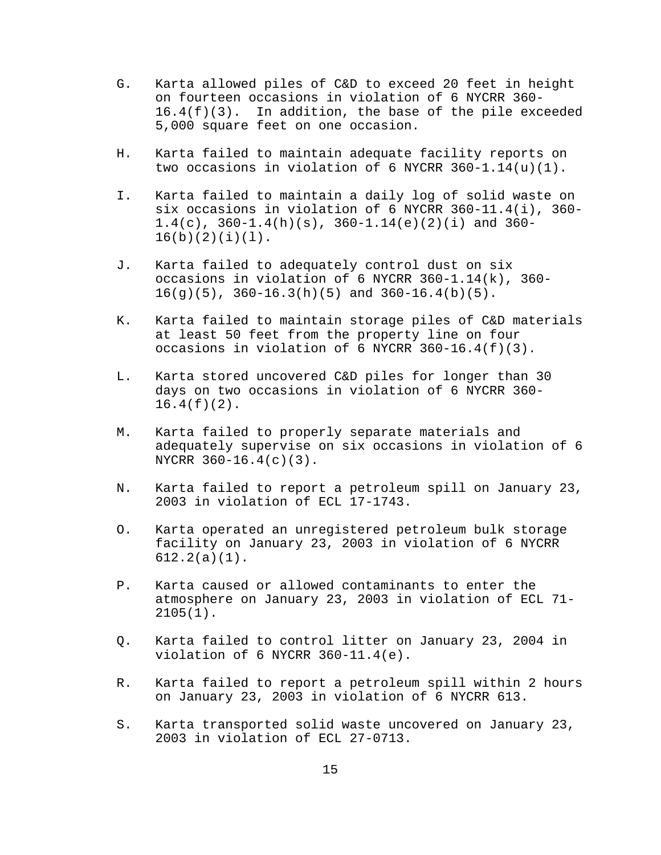- G. Karta allowed piles of C&D to exceed 20 feet in height on fourteen occasions in violation of 6 NYCRR 360-  $16.4(f)(3)$ . In addition, the base of the pile exceeded 5,000 square feet on one occasion.
- H. Karta failed to maintain adequate facility reports on two occasions in violation of 6 NYCRR  $360-1.14(u)(1)$ .
- I. Karta failed to maintain a daily log of solid waste on six occasions in violation of 6 NYCRR 360-11.4(i), 360-  $1.4(c)$ ,  $360-1.4(h)(s)$ ,  $360-1.14(e)(2)(i)$  and  $360 16(b)(2)(i)(1)$ .
- J. Karta failed to adequately control dust on six occasions in violation of 6 NYCRR 360-1.14(k), 360-  $16(g)(5)$ ,  $360-16.3(h)(5)$  and  $360-16.4(b)(5)$ .
- K. Karta failed to maintain storage piles of C&D materials at least 50 feet from the property line on four occasions in violation of 6 NYCRR  $360-16.4(f)(3)$ .
- L. Karta stored uncovered C&D piles for longer than 30 days on two occasions in violation of 6 NYCRR 360-  $16.4(f)(2)$ .
- M. Karta failed to properly separate materials and adequately supervise on six occasions in violation of 6 NYCRR 360-16.4(c)(3).
- N. Karta failed to report a petroleum spill on January 23, 2003 in violation of ECL 17-1743.
- O. Karta operated an unregistered petroleum bulk storage facility on January 23, 2003 in violation of 6 NYCRR 612.2(a)(1).
- P. Karta caused or allowed contaminants to enter the atmosphere on January 23, 2003 in violation of ECL 71- 2105(1).
- Q. Karta failed to control litter on January 23, 2004 in violation of 6 NYCRR 360-11.4(e).
- R. Karta failed to report a petroleum spill within 2 hours on January 23, 2003 in violation of 6 NYCRR 613.
- S. Karta transported solid waste uncovered on January 23, 2003 in violation of ECL 27-0713.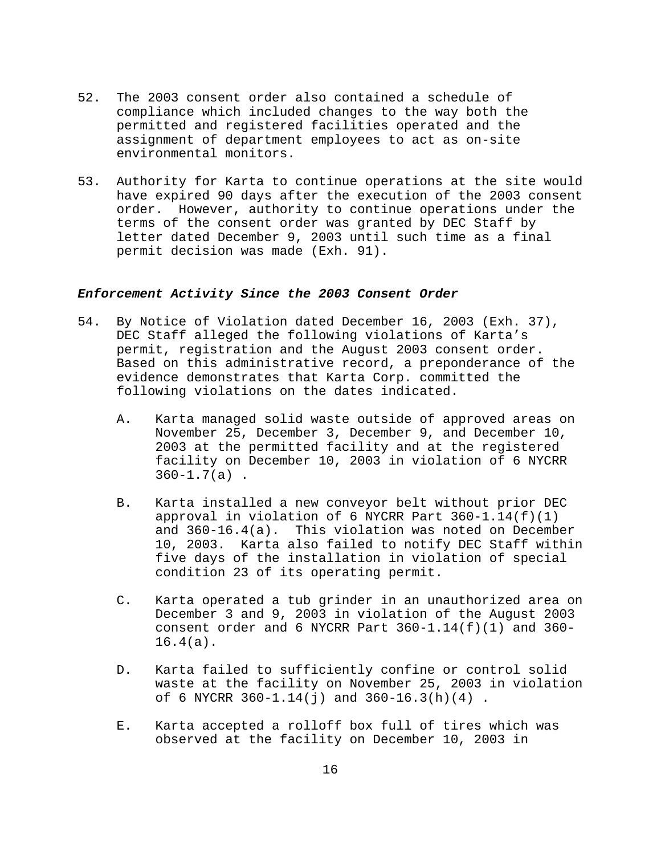- 52. The 2003 consent order also contained a schedule of compliance which included changes to the way both the permitted and registered facilities operated and the assignment of department employees to act as on-site environmental monitors.
- 53. Authority for Karta to continue operations at the site would have expired 90 days after the execution of the 2003 consent order. However, authority to continue operations under the terms of the consent order was granted by DEC Staff by letter dated December 9, 2003 until such time as a final permit decision was made (Exh. 91).

### *Enforcement Activity Since the 2003 Consent Order*

- 54. By Notice of Violation dated December 16, 2003 (Exh. 37), DEC Staff alleged the following violations of Karta's permit, registration and the August 2003 consent order. Based on this administrative record, a preponderance of the evidence demonstrates that Karta Corp. committed the following violations on the dates indicated.
	- A. Karta managed solid waste outside of approved areas on November 25, December 3, December 9, and December 10, 2003 at the permitted facility and at the registered facility on December 10, 2003 in violation of 6 NYCRR  $360 - 1.7(a)$ .
	- B. Karta installed a new conveyor belt without prior DEC approval in violation of 6 NYCRR Part 360-1.14(f)(1) and 360-16.4(a). This violation was noted on December 10, 2003. Karta also failed to notify DEC Staff within five days of the installation in violation of special condition 23 of its operating permit.
	- C. Karta operated a tub grinder in an unauthorized area on December 3 and 9, 2003 in violation of the August 2003 consent order and 6 NYCRR Part  $360-1.14(f)(1)$  and  $360-$ 16.4(a).
	- D. Karta failed to sufficiently confine or control solid waste at the facility on November 25, 2003 in violation of 6 NYCRR 360-1.14(j) and 360-16.3(h)(4) .
	- E. Karta accepted a rolloff box full of tires which was observed at the facility on December 10, 2003 in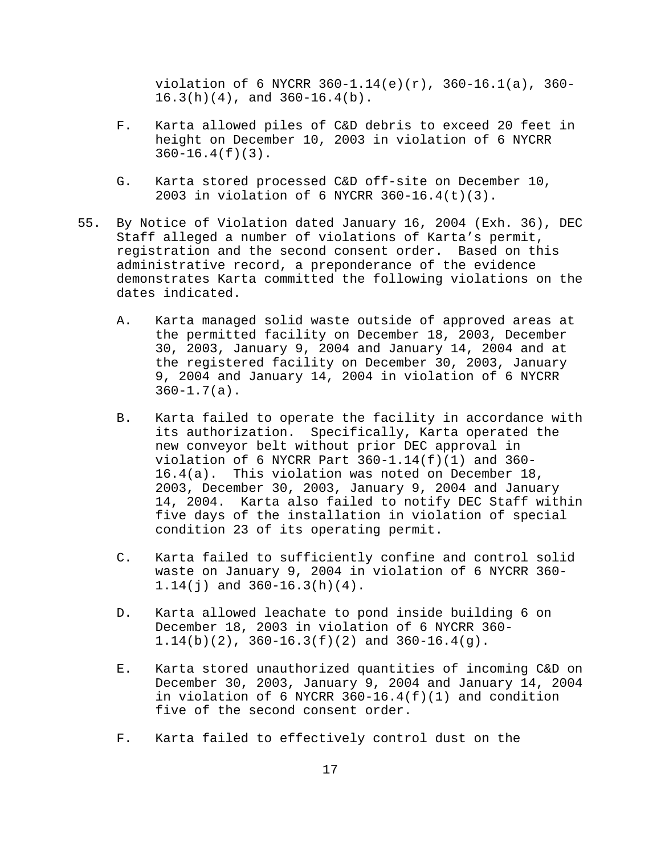violation of 6 NYCRR 360-1.14(e)(r), 360-16.1(a), 360- 16.3(h)(4), and 360-16.4(b).

- F. Karta allowed piles of C&D debris to exceed 20 feet in height on December 10, 2003 in violation of 6 NYCRR 360-16.4(f)(3).
- G. Karta stored processed C&D off-site on December 10, 2003 in violation of 6 NYCRR 360-16.4(t)(3).
- 55. By Notice of Violation dated January 16, 2004 (Exh. 36), DEC Staff alleged a number of violations of Karta's permit, registration and the second consent order. Based on this administrative record, a preponderance of the evidence demonstrates Karta committed the following violations on the dates indicated.
	- A. Karta managed solid waste outside of approved areas at the permitted facility on December 18, 2003, December 30, 2003, January 9, 2004 and January 14, 2004 and at the registered facility on December 30, 2003, January 9, 2004 and January 14, 2004 in violation of 6 NYCRR  $360 - 1.7(a)$ .
	- B. Karta failed to operate the facility in accordance with its authorization. Specifically, Karta operated the new conveyor belt without prior DEC approval in violation of 6 NYCRR Part  $360-1.14(f)(1)$  and  $360-$ 16.4(a). This violation was noted on December 18, 2003, December 30, 2003, January 9, 2004 and January 14, 2004. Karta also failed to notify DEC Staff within five days of the installation in violation of special condition 23 of its operating permit.
	- C. Karta failed to sufficiently confine and control solid waste on January 9, 2004 in violation of 6 NYCRR 360- 1.14(j) and 360-16.3(h)(4).
	- D. Karta allowed leachate to pond inside building 6 on December 18, 2003 in violation of 6 NYCRR 360- 1.14(b)(2), 360-16.3(f)(2) and 360-16.4(g).
	- E. Karta stored unauthorized quantities of incoming C&D on December 30, 2003, January 9, 2004 and January 14, 2004 in violation of 6 NYCRR  $360-16.4(f)(1)$  and condition five of the second consent order.
	- F. Karta failed to effectively control dust on the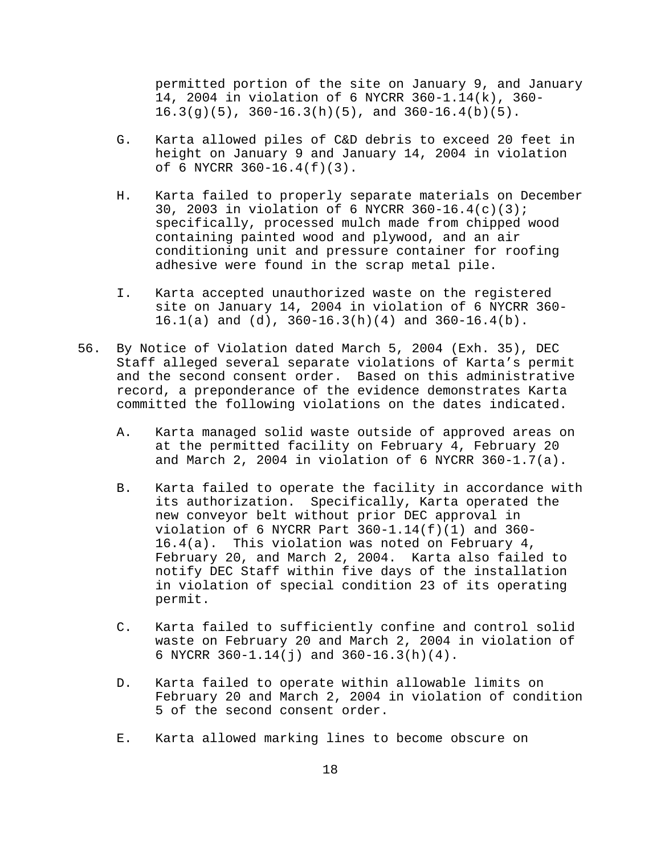permitted portion of the site on January 9, and January 14, 2004 in violation of 6 NYCRR 360-1.14(k), 360- 16.3(g)(5), 360-16.3(h)(5), and 360-16.4(b)(5).

- G. Karta allowed piles of C&D debris to exceed 20 feet in height on January 9 and January 14, 2004 in violation of 6 NYCRR 360-16.4(f)(3).
- H. Karta failed to properly separate materials on December 30, 2003 in violation of 6 NYCRR 360-16.4(c)(3); specifically, processed mulch made from chipped wood containing painted wood and plywood, and an air conditioning unit and pressure container for roofing adhesive were found in the scrap metal pile.
- I. Karta accepted unauthorized waste on the registered site on January 14, 2004 in violation of 6 NYCRR 360- 16.1(a) and (d), 360-16.3(h)(4) and 360-16.4(b).
- 56. By Notice of Violation dated March 5, 2004 (Exh. 35), DEC Staff alleged several separate violations of Karta's permit and the second consent order. Based on this administrative record, a preponderance of the evidence demonstrates Karta committed the following violations on the dates indicated.
	- A. Karta managed solid waste outside of approved areas on at the permitted facility on February 4, February 20 and March 2, 2004 in violation of 6 NYCRR  $360-1.7(a)$ .
	- B. Karta failed to operate the facility in accordance with its authorization. Specifically, Karta operated the new conveyor belt without prior DEC approval in violation of 6 NYCRR Part  $360-1.14(f)(1)$  and  $360-$ 16.4(a). This violation was noted on February 4, February 20, and March 2, 2004. Karta also failed to notify DEC Staff within five days of the installation in violation of special condition 23 of its operating permit.
	- C. Karta failed to sufficiently confine and control solid waste on February 20 and March 2, 2004 in violation of 6 NYCRR 360-1.14(j) and 360-16.3(h)(4).
	- D. Karta failed to operate within allowable limits on February 20 and March 2, 2004 in violation of condition 5 of the second consent order.
	- E. Karta allowed marking lines to become obscure on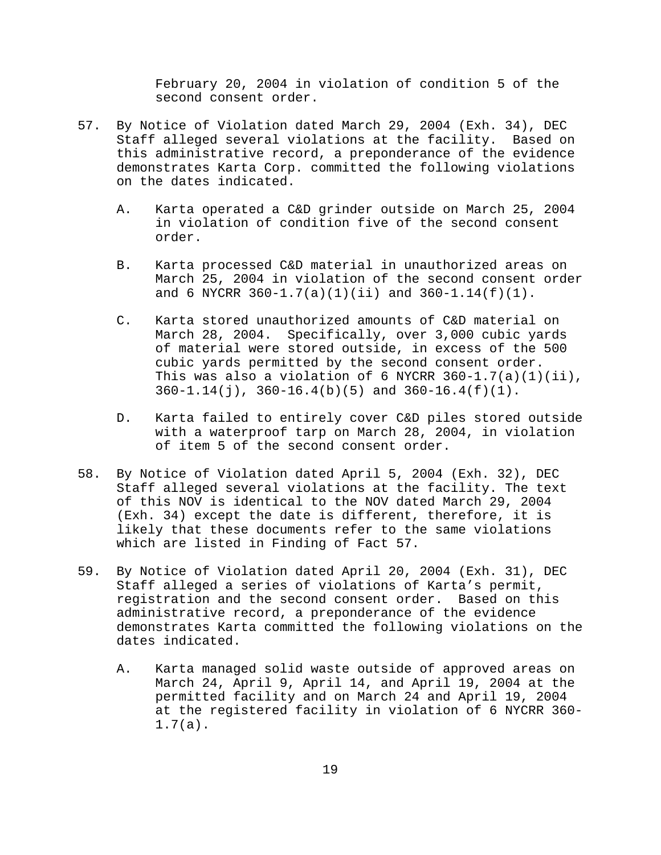February 20, 2004 in violation of condition 5 of the second consent order.

- 57. By Notice of Violation dated March 29, 2004 (Exh. 34), DEC Staff alleged several violations at the facility. Based on this administrative record, a preponderance of the evidence demonstrates Karta Corp. committed the following violations on the dates indicated.
	- A. Karta operated a C&D grinder outside on March 25, 2004 in violation of condition five of the second consent order.
	- B. Karta processed C&D material in unauthorized areas on March 25, 2004 in violation of the second consent order and 6 NYCRR  $360-1.7(a)(1)(ii)$  and  $360-1.14(f)(1)$ .
	- C. Karta stored unauthorized amounts of C&D material on March 28, 2004. Specifically, over 3,000 cubic yards of material were stored outside, in excess of the 500 cubic yards permitted by the second consent order. This was also a violation of 6 NYCRR  $360-1.7(a)(1)(ii)$ , 360-1.14(j), 360-16.4(b)(5) and 360-16.4(f)(1).
	- D. Karta failed to entirely cover C&D piles stored outside with a waterproof tarp on March 28, 2004, in violation of item 5 of the second consent order.
- 58. By Notice of Violation dated April 5, 2004 (Exh. 32), DEC Staff alleged several violations at the facility. The text of this NOV is identical to the NOV dated March 29, 2004 (Exh. 34) except the date is different, therefore, it is likely that these documents refer to the same violations which are listed in Finding of Fact 57.
- 59. By Notice of Violation dated April 20, 2004 (Exh. 31), DEC Staff alleged a series of violations of Karta's permit, registration and the second consent order. Based on this administrative record, a preponderance of the evidence demonstrates Karta committed the following violations on the dates indicated.
	- A. Karta managed solid waste outside of approved areas on March 24, April 9, April 14, and April 19, 2004 at the permitted facility and on March 24 and April 19, 2004 at the registered facility in violation of 6 NYCRR 360- 1.7(a).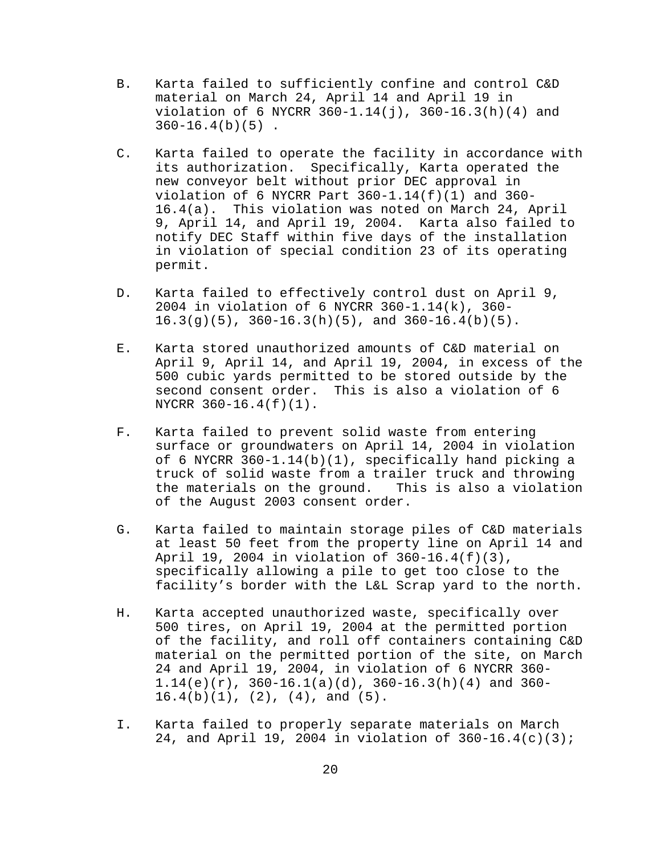- B. Karta failed to sufficiently confine and control C&D material on March 24, April 14 and April 19 in violation of 6 NYCRR  $360-1.14(j)$ ,  $360-16.3(h)(4)$  and  $360 - 16.4(b)(5)$ .
- C. Karta failed to operate the facility in accordance with its authorization. Specifically, Karta operated the new conveyor belt without prior DEC approval in violation of 6 NYCRR Part  $360-1.14(f)(1)$  and  $360-$ 16.4(a). This violation was noted on March 24, April 9, April 14, and April 19, 2004. Karta also failed to notify DEC Staff within five days of the installation in violation of special condition 23 of its operating permit.
- D. Karta failed to effectively control dust on April 9, 2004 in violation of 6 NYCRR 360-1.14(k), 360- 16.3(g)(5), 360-16.3(h)(5), and 360-16.4(b)(5).
- E. Karta stored unauthorized amounts of C&D material on April 9, April 14, and April 19, 2004, in excess of the 500 cubic yards permitted to be stored outside by the second consent order. This is also a violation of 6 NYCRR 360-16.4(f)(1).
- F. Karta failed to prevent solid waste from entering surface or groundwaters on April 14, 2004 in violation of 6 NYCRR 360-1.14(b)(1), specifically hand picking a truck of solid waste from a trailer truck and throwing the materials on the ground. This is also a violation of the August 2003 consent order.
- G. Karta failed to maintain storage piles of C&D materials at least 50 feet from the property line on April 14 and April 19, 2004 in violation of 360-16.4(f)(3), specifically allowing a pile to get too close to the facility's border with the L&L Scrap yard to the north.
- H. Karta accepted unauthorized waste, specifically over 500 tires, on April 19, 2004 at the permitted portion of the facility, and roll off containers containing C&D material on the permitted portion of the site, on March 24 and April 19, 2004, in violation of 6 NYCRR 360-  $1.14(e)(r)$ ,  $360-16.1(a)(d)$ ,  $360-16.3(h)(4)$  and  $360 16.4(b)(1)$ ,  $(2)$ ,  $(4)$ , and  $(5)$ .
- I. Karta failed to properly separate materials on March 24, and April 19, 2004 in violation of 360-16.4(c)(3);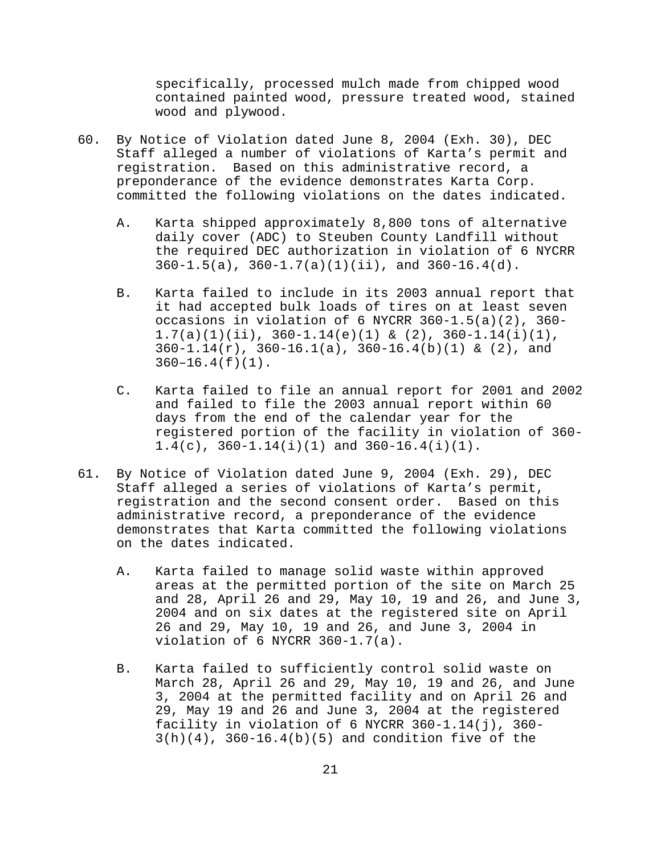specifically, processed mulch made from chipped wood contained painted wood, pressure treated wood, stained wood and plywood.

- 60. By Notice of Violation dated June 8, 2004 (Exh. 30), DEC Staff alleged a number of violations of Karta's permit and registration. Based on this administrative record, a preponderance of the evidence demonstrates Karta Corp. committed the following violations on the dates indicated.
	- A. Karta shipped approximately 8,800 tons of alternative daily cover (ADC) to Steuben County Landfill without the required DEC authorization in violation of 6 NYCRR  $360-1.5(a)$ ,  $360-1.7(a)(1)(ii)$ , and  $360-16.4(d)$ .
	- B. Karta failed to include in its 2003 annual report that it had accepted bulk loads of tires on at least seven occasions in violation of 6 NYCRR 360-1.5(a)(2), 360-  $1.7(a)(1)(ii)$ ,  $360-1.14(e)(1)$  &  $(2)$ ,  $360-1.14(i)(1)$ ,  $360-1.14(r)$ ,  $360-16.1(a)$ ,  $360-16.4(b)(1)$  &  $(2)$ , and  $360-16.4(f)(1)$ .
	- C. Karta failed to file an annual report for 2001 and 2002 and failed to file the 2003 annual report within 60 days from the end of the calendar year for the registered portion of the facility in violation of 360-  $1.4(c)$ ,  $360-1.14(i)(1)$  and  $360-16.4(i)(1)$ .
- 61. By Notice of Violation dated June 9, 2004 (Exh. 29), DEC Staff alleged a series of violations of Karta's permit, registration and the second consent order. Based on this administrative record, a preponderance of the evidence demonstrates that Karta committed the following violations on the dates indicated.
	- A. Karta failed to manage solid waste within approved areas at the permitted portion of the site on March 25 and 28, April 26 and 29, May 10, 19 and 26, and June 3, 2004 and on six dates at the registered site on April 26 and 29, May 10, 19 and 26, and June 3, 2004 in violation of 6 NYCRR 360-1.7(a).
	- B. Karta failed to sufficiently control solid waste on March 28, April 26 and 29, May 10, 19 and 26, and June 3, 2004 at the permitted facility and on April 26 and 29, May 19 and 26 and June 3, 2004 at the registered facility in violation of 6 NYCRR 360-1.14(j), 360-  $3(h)(4)$ ,  $360-16.4(b)(5)$  and condition five of the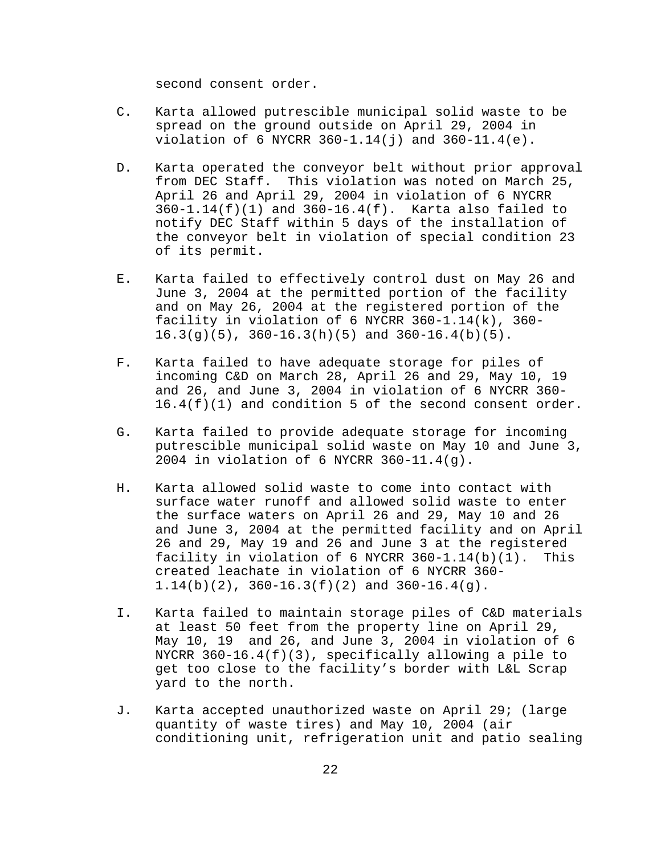second consent order.

- C. Karta allowed putrescible municipal solid waste to be spread on the ground outside on April 29, 2004 in violation of 6 NYCRR  $360 - 1.14(j)$  and  $360 - 11.4(e)$ .
- D. Karta operated the conveyor belt without prior approval from DEC Staff. This violation was noted on March 25, April 26 and April 29, 2004 in violation of 6 NYCRR 360-1.14(f)(1) and 360-16.4(f). Karta also failed to notify DEC Staff within 5 days of the installation of the conveyor belt in violation of special condition 23 of its permit.
- E. Karta failed to effectively control dust on May 26 and June 3, 2004 at the permitted portion of the facility and on May 26, 2004 at the registered portion of the facility in violation of 6 NYCRR 360-1.14(k), 360-  $16.3(g)(5)$ ,  $360-16.3(h)(5)$  and  $360-16.4(b)(5)$ .
- F. Karta failed to have adequate storage for piles of incoming C&D on March 28, April 26 and 29, May 10, 19 and 26, and June 3, 2004 in violation of 6 NYCRR 360- 16.4(f)(1) and condition 5 of the second consent order.
- G. Karta failed to provide adequate storage for incoming putrescible municipal solid waste on May 10 and June 3, 2004 in violation of 6 NYCRR 360-11.4(g).
- H. Karta allowed solid waste to come into contact with surface water runoff and allowed solid waste to enter the surface waters on April 26 and 29, May 10 and 26 and June 3, 2004 at the permitted facility and on April 26 and 29, May 19 and 26 and June 3 at the registered facility in violation of 6 NYCRR  $360-1.14(b)(1)$ . This created leachate in violation of 6 NYCRR 360- 1.14(b)(2), 360-16.3(f)(2) and 360-16.4(g).
- I. Karta failed to maintain storage piles of C&D materials at least 50 feet from the property line on April 29, May 10, 19 and 26, and June 3, 2004 in violation of 6 NYCRR 360-16.4(f)(3), specifically allowing a pile to get too close to the facility's border with L&L Scrap yard to the north.
- J. Karta accepted unauthorized waste on April 29; (large quantity of waste tires) and May 10, 2004 (air conditioning unit, refrigeration unit and patio sealing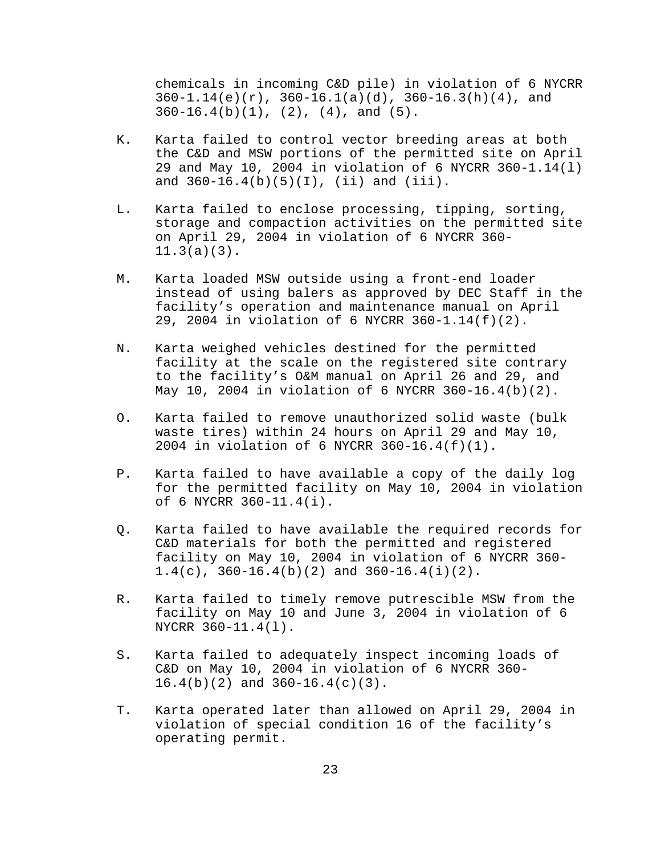chemicals in incoming C&D pile) in violation of 6 NYCRR  $360-1.14(e)(r)$ ,  $360-16.1(a)(d)$ ,  $360-16.3(h)(4)$ , and  $360-16.4(b)(1)$ ,  $(2)$ ,  $(4)$ , and  $(5)$ .

- K. Karta failed to control vector breeding areas at both the C&D and MSW portions of the permitted site on April 29 and May 10, 2004 in violation of 6 NYCRR 360-1.14(l) and  $360-16.4(b)(5)(I)$ , (ii) and (iii).
- L. Karta failed to enclose processing, tipping, sorting, storage and compaction activities on the permitted site on April 29, 2004 in violation of 6 NYCRR 360- 11.3(a)(3).
- M. Karta loaded MSW outside using a front-end loader instead of using balers as approved by DEC Staff in the facility's operation and maintenance manual on April 29, 2004 in violation of 6 NYCRR 360-1.14(f)(2).
- N. Karta weighed vehicles destined for the permitted facility at the scale on the registered site contrary to the facility's O&M manual on April 26 and 29, and May 10, 2004 in violation of 6 NYCRR 360-16.4(b)(2).
- O. Karta failed to remove unauthorized solid waste (bulk waste tires) within 24 hours on April 29 and May 10, 2004 in violation of 6 NYCRR 360-16.4(f)(1).
- P. Karta failed to have available a copy of the daily log for the permitted facility on May 10, 2004 in violation of 6 NYCRR 360-11.4(i).
- Q. Karta failed to have available the required records for C&D materials for both the permitted and registered facility on May 10, 2004 in violation of 6 NYCRR 360-  $1.4(c)$ ,  $360-16.4(b)(2)$  and  $360-16.4(i)(2)$ .
- R. Karta failed to timely remove putrescible MSW from the facility on May 10 and June 3, 2004 in violation of 6 NYCRR 360-11.4(l).
- S. Karta failed to adequately inspect incoming loads of C&D on May 10, 2004 in violation of 6 NYCRR 360-  $16.4(b)(2)$  and  $360-16.4(c)(3)$ .
- T. Karta operated later than allowed on April 29, 2004 in violation of special condition 16 of the facility's operating permit.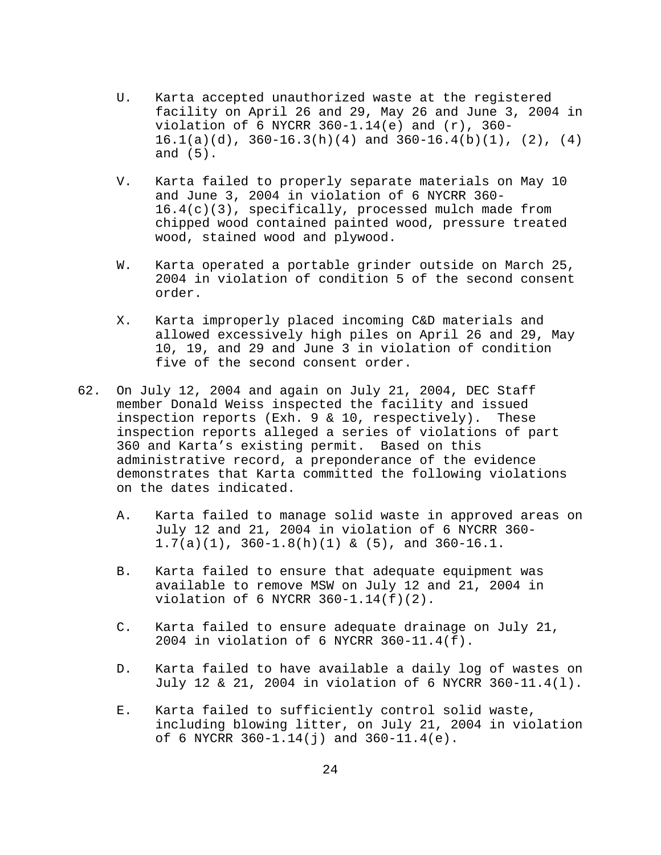- U. Karta accepted unauthorized waste at the registered facility on April 26 and 29, May 26 and June 3, 2004 in violation of 6 NYCRR  $360-1.14(e)$  and  $(r)$ ,  $360 16.1(a)(d)$ ,  $360-16.3(h)(4)$  and  $360-16.4(b)(1)$ ,  $(2)$ ,  $(4)$ and (5).
- V. Karta failed to properly separate materials on May 10 and June 3, 2004 in violation of 6 NYCRR 360- 16.4(c)(3), specifically, processed mulch made from chipped wood contained painted wood, pressure treated wood, stained wood and plywood.
- W. Karta operated a portable grinder outside on March 25, 2004 in violation of condition 5 of the second consent order.
- X. Karta improperly placed incoming C&D materials and allowed excessively high piles on April 26 and 29, May 10, 19, and 29 and June 3 in violation of condition five of the second consent order.
- 62. On July 12, 2004 and again on July 21, 2004, DEC Staff member Donald Weiss inspected the facility and issued inspection reports (Exh. 9 & 10, respectively). These inspection reports alleged a series of violations of part 360 and Karta's existing permit. Based on this administrative record, a preponderance of the evidence demonstrates that Karta committed the following violations on the dates indicated.
	- A. Karta failed to manage solid waste in approved areas on July 12 and 21, 2004 in violation of 6 NYCRR 360-  $1.7(a)(1)$ ,  $360-1.8(h)(1)$  &  $(5)$ , and  $360-16.1$ .
	- B. Karta failed to ensure that adequate equipment was available to remove MSW on July 12 and 21, 2004 in violation of 6 NYCRR 360-1.14(f)(2).
	- C. Karta failed to ensure adequate drainage on July 21, 2004 in violation of 6 NYCRR 360-11.4(f).
	- D. Karta failed to have available a daily log of wastes on July 12 & 21, 2004 in violation of 6 NYCRR 360-11.4(l).
	- E. Karta failed to sufficiently control solid waste, including blowing litter, on July 21, 2004 in violation of 6 NYCRR 360-1.14(j) and 360-11.4(e).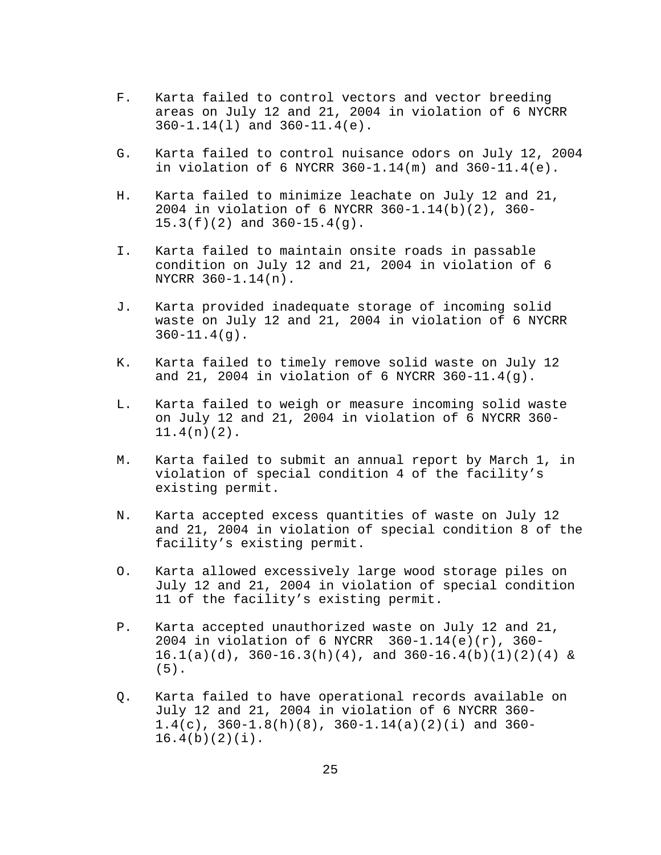- F. Karta failed to control vectors and vector breeding areas on July 12 and 21, 2004 in violation of 6 NYCRR 360-1.14(l) and 360-11.4(e).
- G. Karta failed to control nuisance odors on July 12, 2004 in violation of 6 NYCRR 360-1.14(m) and 360-11.4(e).
- H. Karta failed to minimize leachate on July 12 and 21, 2004 in violation of 6 NYCRR 360-1.14(b)(2), 360- 15.3(f)(2) and 360-15.4(g).
- I. Karta failed to maintain onsite roads in passable condition on July 12 and 21, 2004 in violation of 6 NYCRR 360-1.14(n).
- J. Karta provided inadequate storage of incoming solid waste on July 12 and 21, 2004 in violation of 6 NYCRR  $360 - 11.4(q)$ .
- K. Karta failed to timely remove solid waste on July 12 and 21, 2004 in violation of 6 NYCRR 360-11.4(g).
- L. Karta failed to weigh or measure incoming solid waste on July 12 and 21, 2004 in violation of 6 NYCRR 360- 11.4(n)(2).
- M. Karta failed to submit an annual report by March 1, in violation of special condition 4 of the facility's existing permit.
- N. Karta accepted excess quantities of waste on July 12 and 21, 2004 in violation of special condition 8 of the facility's existing permit.
- O. Karta allowed excessively large wood storage piles on July 12 and 21, 2004 in violation of special condition 11 of the facility's existing permit.
- P. Karta accepted unauthorized waste on July 12 and 21, 2004 in violation of 6 NYCRR 360-1.14(e)(r), 360-  $16.1(a)(d)$ ,  $360-16.3(h)(4)$ , and  $360-16.4(b)(1)(2)(4)$  & (5).
- Q. Karta failed to have operational records available on July 12 and 21, 2004 in violation of 6 NYCRR 360-  $1.4(c)$ ,  $360-1.8(h)(8)$ ,  $360-1.14(a)(2)(i)$  and  $360 16.4(b)(2)(i)$ .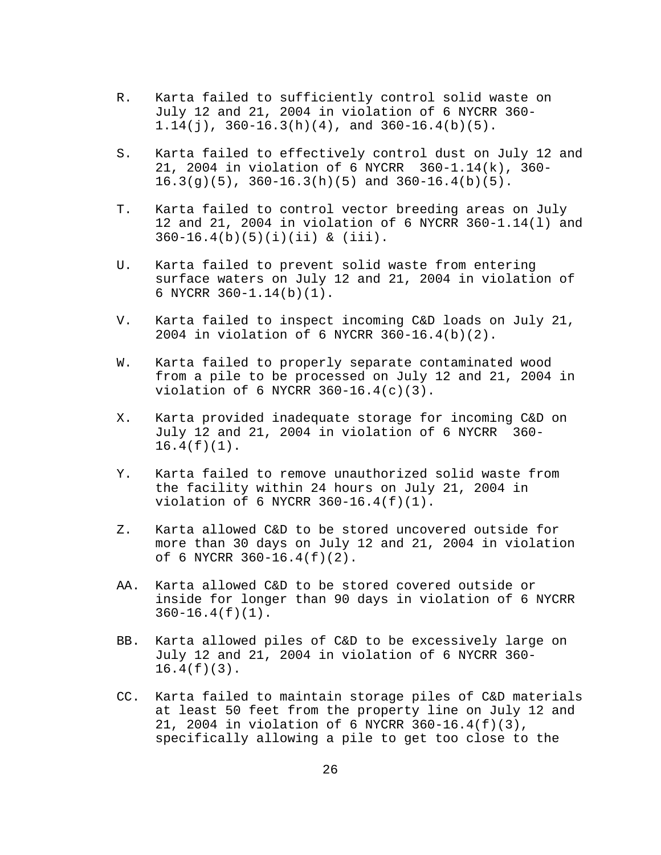- R. Karta failed to sufficiently control solid waste on July 12 and 21, 2004 in violation of 6 NYCRR 360- 1.14(j),  $360-16.3(h)(4)$ , and  $360-16.4(b)(5)$ .
- S. Karta failed to effectively control dust on July 12 and 21, 2004 in violation of 6 NYCRR 360-1.14(k), 360- 16.3(g)(5), 360-16.3(h)(5) and 360-16.4(b)(5).
- T. Karta failed to control vector breeding areas on July 12 and 21, 2004 in violation of 6 NYCRR 360-1.14(l) and 360-16.4(b)(5)(i)(ii) & (iii).
- U. Karta failed to prevent solid waste from entering surface waters on July 12 and 21, 2004 in violation of 6 NYCRR 360-1.14(b)(1).
- V. Karta failed to inspect incoming C&D loads on July 21, 2004 in violation of 6 NYCRR 360-16.4(b)(2).
- W. Karta failed to properly separate contaminated wood from a pile to be processed on July 12 and 21, 2004 in violation of 6 NYCRR 360-16.4(c)(3).
- X. Karta provided inadequate storage for incoming C&D on July 12 and 21, 2004 in violation of 6 NYCRR 360-  $16.4(f)(1)$ .
- Y. Karta failed to remove unauthorized solid waste from the facility within 24 hours on July 21, 2004 in violation of 6 NYCRR 360-16.4(f)(1).
- Z. Karta allowed C&D to be stored uncovered outside for more than 30 days on July 12 and 21, 2004 in violation of 6 NYCRR 360-16.4(f)(2).
- AA. Karta allowed C&D to be stored covered outside or inside for longer than 90 days in violation of 6 NYCRR 360-16.4(f)(1).
- BB. Karta allowed piles of C&D to be excessively large on July 12 and 21, 2004 in violation of 6 NYCRR 360- 16.4(f)(3).
- CC. Karta failed to maintain storage piles of C&D materials at least 50 feet from the property line on July 12 and 21, 2004 in violation of 6 NYCRR 360-16.4(f)(3), specifically allowing a pile to get too close to the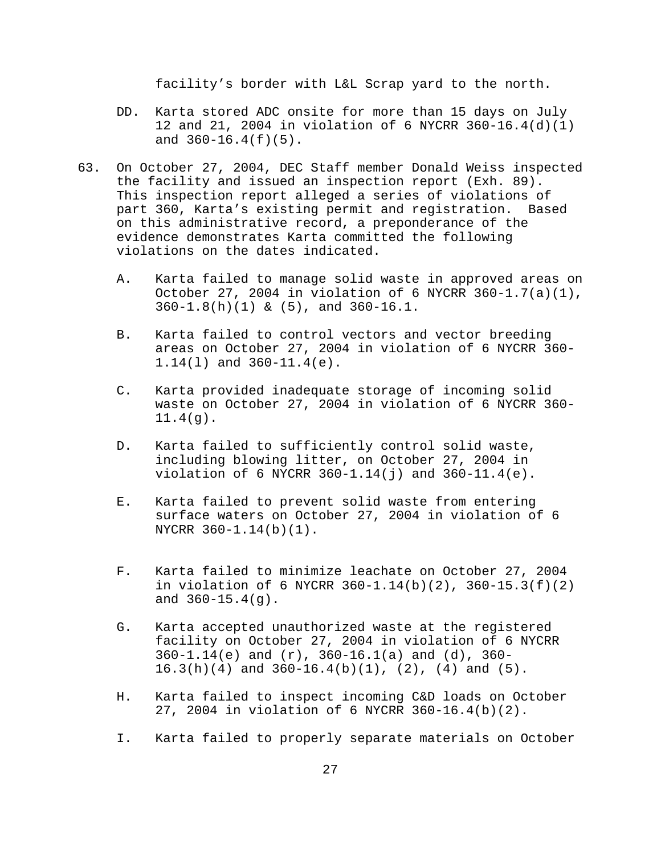facility's border with L&L Scrap yard to the north.

- DD. Karta stored ADC onsite for more than 15 days on July 12 and 21, 2004 in violation of 6 NYCRR 360-16.4(d)(1) and  $360-16.4(f)(5)$ .
- 63. On October 27, 2004, DEC Staff member Donald Weiss inspected the facility and issued an inspection report (Exh. 89). This inspection report alleged a series of violations of part 360, Karta's existing permit and registration. Based on this administrative record, a preponderance of the evidence demonstrates Karta committed the following violations on the dates indicated.
	- A. Karta failed to manage solid waste in approved areas on October 27, 2004 in violation of 6 NYCRR 360-1.7(a)(1), 360-1.8(h)(1) & (5), and 360-16.1.
	- B. Karta failed to control vectors and vector breeding areas on October 27, 2004 in violation of 6 NYCRR 360- 1.14(l) and 360-11.4(e).
	- C. Karta provided inadequate storage of incoming solid waste on October 27, 2004 in violation of 6 NYCRR 360- 11.4(g).
	- D. Karta failed to sufficiently control solid waste, including blowing litter, on October 27, 2004 in violation of 6 NYCRR 360-1.14(j) and 360-11.4(e).
	- E. Karta failed to prevent solid waste from entering surface waters on October 27, 2004 in violation of 6 NYCRR 360-1.14(b)(1).
	- F. Karta failed to minimize leachate on October 27, 2004 in violation of 6 NYCRR  $360-1.14(b)(2)$ ,  $360-15.3(f)(2)$ and 360-15.4(g).
	- G. Karta accepted unauthorized waste at the registered facility on October 27, 2004 in violation of 6 NYCRR 360-1.14(e) and (r), 360-16.1(a) and (d), 360-  $16.3(h)(4)$  and  $360-16.4(b)(1)$ ,  $(2)$ ,  $(4)$  and  $(5)$ .
	- H. Karta failed to inspect incoming C&D loads on October 27, 2004 in violation of 6 NYCRR 360-16.4(b)(2).
	- I. Karta failed to properly separate materials on October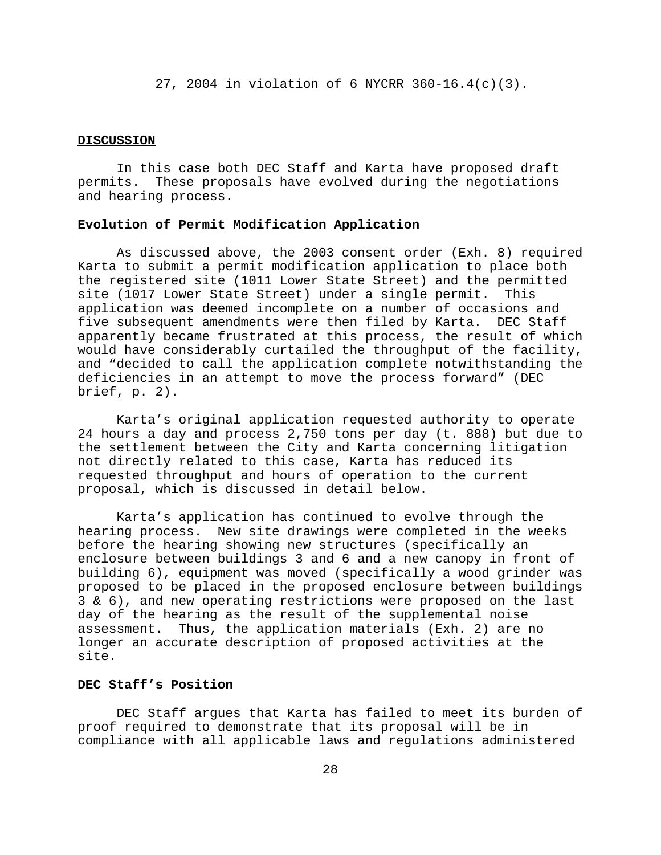27, 2004 in violation of 6 NYCRR 360-16.4(c)(3).

#### **DISCUSSION**

In this case both DEC Staff and Karta have proposed draft permits. These proposals have evolved during the negotiations and hearing process.

## **Evolution of Permit Modification Application**

As discussed above, the 2003 consent order (Exh. 8) required Karta to submit a permit modification application to place both the registered site (1011 Lower State Street) and the permitted site (1017 Lower State Street) under a single permit. This application was deemed incomplete on a number of occasions and five subsequent amendments were then filed by Karta. DEC Staff apparently became frustrated at this process, the result of which would have considerably curtailed the throughput of the facility, and "decided to call the application complete notwithstanding the deficiencies in an attempt to move the process forward" (DEC brief, p. 2).

Karta's original application requested authority to operate 24 hours a day and process 2,750 tons per day (t. 888) but due to the settlement between the City and Karta concerning litigation not directly related to this case, Karta has reduced its requested throughput and hours of operation to the current proposal, which is discussed in detail below.

Karta's application has continued to evolve through the hearing process. New site drawings were completed in the weeks before the hearing showing new structures (specifically an enclosure between buildings 3 and 6 and a new canopy in front of building 6), equipment was moved (specifically a wood grinder was proposed to be placed in the proposed enclosure between buildings 3 & 6), and new operating restrictions were proposed on the last day of the hearing as the result of the supplemental noise assessment. Thus, the application materials (Exh. 2) are no longer an accurate description of proposed activities at the site.

# **DEC Staff's Position**

DEC Staff argues that Karta has failed to meet its burden of proof required to demonstrate that its proposal will be in compliance with all applicable laws and regulations administered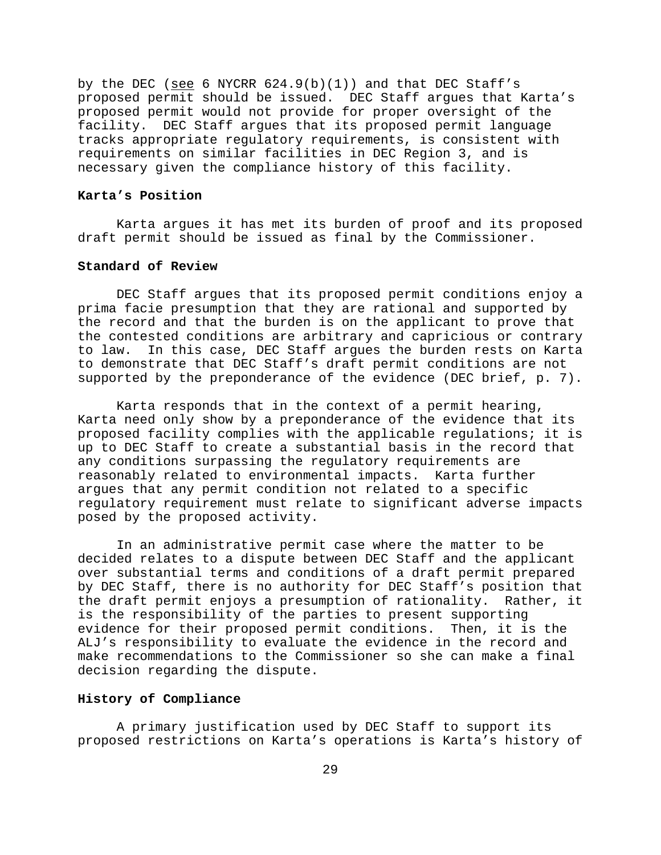by the DEC (see 6 NYCRR  $624.9(b)(1)$ ) and that DEC Staff's proposed permit should be issued. DEC Staff argues that Karta's proposed permit would not provide for proper oversight of the facility. DEC Staff argues that its proposed permit language tracks appropriate regulatory requirements, is consistent with requirements on similar facilities in DEC Region 3, and is necessary given the compliance history of this facility.

## **Karta's Position**

Karta argues it has met its burden of proof and its proposed draft permit should be issued as final by the Commissioner.

# **Standard of Review**

DEC Staff argues that its proposed permit conditions enjoy a prima facie presumption that they are rational and supported by the record and that the burden is on the applicant to prove that the contested conditions are arbitrary and capricious or contrary to law. In this case, DEC Staff argues the burden rests on Karta to demonstrate that DEC Staff's draft permit conditions are not supported by the preponderance of the evidence (DEC brief, p. 7).

Karta responds that in the context of a permit hearing, Karta need only show by a preponderance of the evidence that its proposed facility complies with the applicable regulations; it is up to DEC Staff to create a substantial basis in the record that any conditions surpassing the regulatory requirements are reasonably related to environmental impacts. Karta further argues that any permit condition not related to a specific regulatory requirement must relate to significant adverse impacts posed by the proposed activity.

In an administrative permit case where the matter to be decided relates to a dispute between DEC Staff and the applicant over substantial terms and conditions of a draft permit prepared by DEC Staff, there is no authority for DEC Staff's position that the draft permit enjoys a presumption of rationality. Rather, it is the responsibility of the parties to present supporting evidence for their proposed permit conditions. Then, it is the ALJ's responsibility to evaluate the evidence in the record and make recommendations to the Commissioner so she can make a final decision regarding the dispute.

### **History of Compliance**

A primary justification used by DEC Staff to support its proposed restrictions on Karta's operations is Karta's history of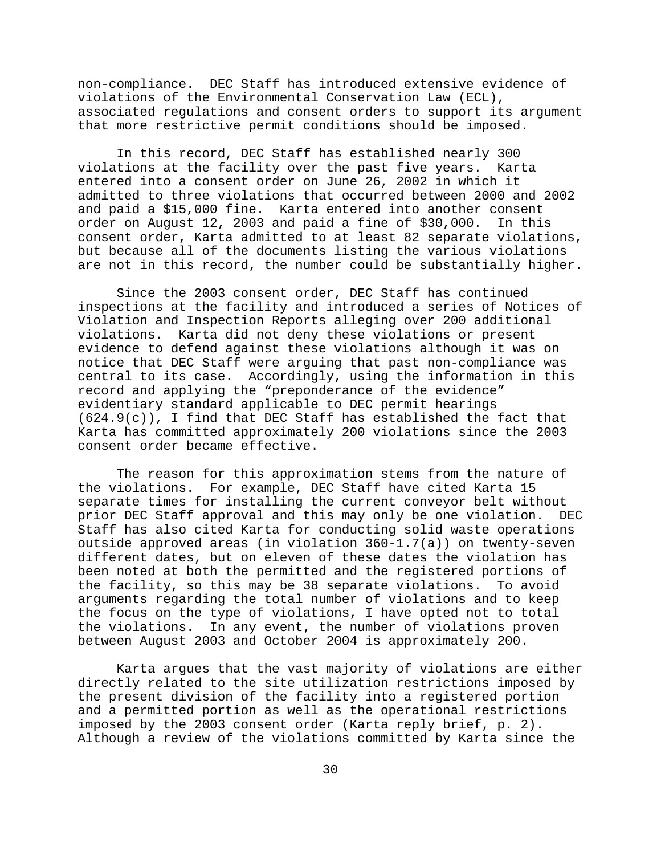non-compliance. DEC Staff has introduced extensive evidence of violations of the Environmental Conservation Law (ECL), associated regulations and consent orders to support its argument that more restrictive permit conditions should be imposed.

In this record, DEC Staff has established nearly 300 violations at the facility over the past five years. Karta entered into a consent order on June 26, 2002 in which it admitted to three violations that occurred between 2000 and 2002 and paid a \$15,000 fine. Karta entered into another consent order on August 12, 2003 and paid a fine of \$30,000. In this consent order, Karta admitted to at least 82 separate violations, but because all of the documents listing the various violations are not in this record, the number could be substantially higher.

Since the 2003 consent order, DEC Staff has continued inspections at the facility and introduced a series of Notices of Violation and Inspection Reports alleging over 200 additional violations. Karta did not deny these violations or present evidence to defend against these violations although it was on notice that DEC Staff were arguing that past non-compliance was central to its case. Accordingly, using the information in this record and applying the "preponderance of the evidence" evidentiary standard applicable to DEC permit hearings  $(624.9(c))$ , I find that DEC Staff has established the fact that Karta has committed approximately 200 violations since the 2003 consent order became effective.

The reason for this approximation stems from the nature of the violations. For example, DEC Staff have cited Karta 15 separate times for installing the current conveyor belt without prior DEC Staff approval and this may only be one violation. DEC Staff has also cited Karta for conducting solid waste operations outside approved areas (in violation 360-1.7(a)) on twenty-seven different dates, but on eleven of these dates the violation has been noted at both the permitted and the registered portions of the facility, so this may be 38 separate violations. To avoid arguments regarding the total number of violations and to keep the focus on the type of violations, I have opted not to total the violations. In any event, the number of violations proven between August 2003 and October 2004 is approximately 200.

Karta argues that the vast majority of violations are either directly related to the site utilization restrictions imposed by the present division of the facility into a registered portion and a permitted portion as well as the operational restrictions imposed by the 2003 consent order (Karta reply brief, p. 2). Although a review of the violations committed by Karta since the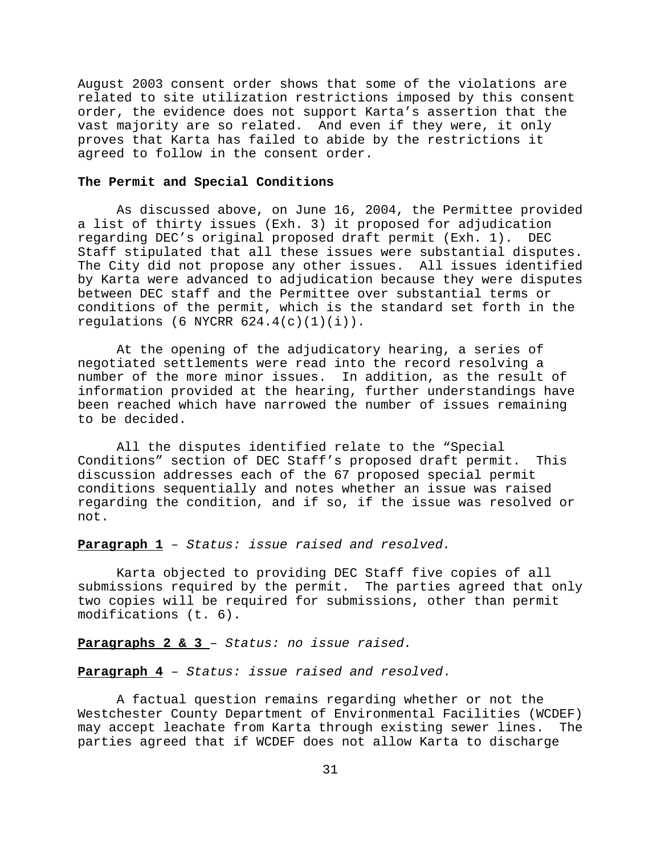August 2003 consent order shows that some of the violations are related to site utilization restrictions imposed by this consent order, the evidence does not support Karta's assertion that the vast majority are so related. And even if they were, it only proves that Karta has failed to abide by the restrictions it agreed to follow in the consent order.

#### **The Permit and Special Conditions**

As discussed above, on June 16, 2004, the Permittee provided a list of thirty issues (Exh. 3) it proposed for adjudication regarding DEC's original proposed draft permit (Exh. 1). DEC Staff stipulated that all these issues were substantial disputes. The City did not propose any other issues. All issues identified by Karta were advanced to adjudication because they were disputes between DEC staff and the Permittee over substantial terms or conditions of the permit, which is the standard set forth in the regulations (6 NYCRR  $624.4(c)(1)(i)$ ).

At the opening of the adjudicatory hearing, a series of negotiated settlements were read into the record resolving a number of the more minor issues. In addition, as the result of information provided at the hearing, further understandings have been reached which have narrowed the number of issues remaining to be decided.

All the disputes identified relate to the "Special Conditions" section of DEC Staff's proposed draft permit. This discussion addresses each of the 67 proposed special permit conditions sequentially and notes whether an issue was raised regarding the condition, and if so, if the issue was resolved or not.

### **Paragraph 1** – *Status: issue raised and resolved.*

Karta objected to providing DEC Staff five copies of all submissions required by the permit. The parties agreed that only two copies will be required for submissions, other than permit modifications (t. 6).

**Paragraphs 2 & 3** – *Status: no issue raised.*

**Paragraph 4** – *Status: issue raised and resolved*.

A factual question remains regarding whether or not the Westchester County Department of Environmental Facilities (WCDEF) may accept leachate from Karta through existing sewer lines. The parties agreed that if WCDEF does not allow Karta to discharge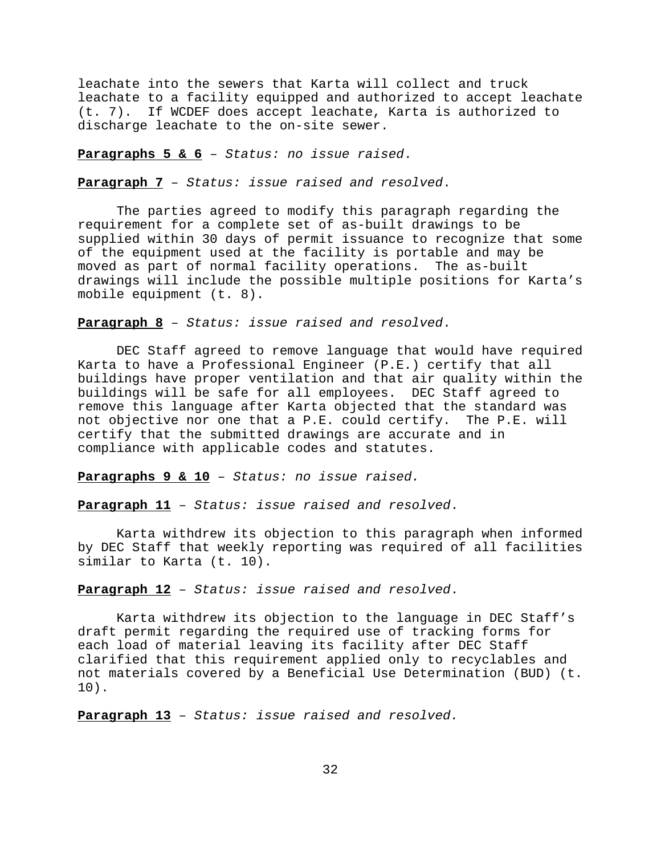leachate into the sewers that Karta will collect and truck leachate to a facility equipped and authorized to accept leachate (t. 7). If WCDEF does accept leachate, Karta is authorized to discharge leachate to the on-site sewer.

**Paragraphs 5 & 6** – *Status: no issue raised*.

**Paragraph 7** – *Status: issue raised and resolved*.

The parties agreed to modify this paragraph regarding the requirement for a complete set of as-built drawings to be supplied within 30 days of permit issuance to recognize that some of the equipment used at the facility is portable and may be moved as part of normal facility operations. The as-built drawings will include the possible multiple positions for Karta's mobile equipment (t. 8).

**Paragraph 8** – *Status: issue raised and resolved*.

DEC Staff agreed to remove language that would have required Karta to have a Professional Engineer (P.E.) certify that all buildings have proper ventilation and that air quality within the buildings will be safe for all employees. DEC Staff agreed to remove this language after Karta objected that the standard was not objective nor one that a P.E. could certify. The P.E. will certify that the submitted drawings are accurate and in compliance with applicable codes and statutes.

**Paragraphs 9 & 10** – *Status: no issue raised.*

**Paragraph 11** – *Status: issue raised and resolved*.

Karta withdrew its objection to this paragraph when informed by DEC Staff that weekly reporting was required of all facilities similar to Karta (t. 10).

**Paragraph 12** – *Status: issue raised and resolved*.

Karta withdrew its objection to the language in DEC Staff's draft permit regarding the required use of tracking forms for each load of material leaving its facility after DEC Staff clarified that this requirement applied only to recyclables and not materials covered by a Beneficial Use Determination (BUD) (t. 10).

**Paragraph 13** – *Status: issue raised and resolved.*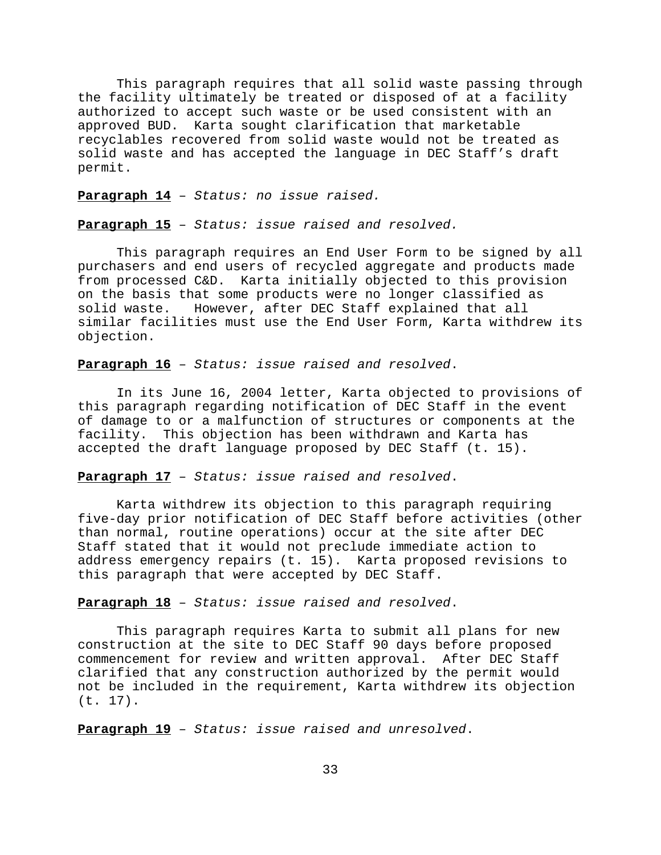This paragraph requires that all solid waste passing through the facility ultimately be treated or disposed of at a facility authorized to accept such waste or be used consistent with an approved BUD. Karta sought clarification that marketable recyclables recovered from solid waste would not be treated as solid waste and has accepted the language in DEC Staff's draft permit.

**Paragraph 14** – *Status: no issue raised.*

**Paragraph 15** – *Status: issue raised and resolved.*

This paragraph requires an End User Form to be signed by all purchasers and end users of recycled aggregate and products made from processed C&D. Karta initially objected to this provision on the basis that some products were no longer classified as solid waste. However, after DEC Staff explained that all similar facilities must use the End User Form, Karta withdrew its objection.

# **Paragraph 16** – *Status: issue raised and resolved*.

In its June 16, 2004 letter, Karta objected to provisions of this paragraph regarding notification of DEC Staff in the event of damage to or a malfunction of structures or components at the facility. This objection has been withdrawn and Karta has accepted the draft language proposed by DEC Staff (t. 15).

# **Paragraph 17** – *Status: issue raised and resolved*.

Karta withdrew its objection to this paragraph requiring five-day prior notification of DEC Staff before activities (other than normal, routine operations) occur at the site after DEC Staff stated that it would not preclude immediate action to address emergency repairs (t. 15). Karta proposed revisions to this paragraph that were accepted by DEC Staff.

# **Paragraph 18** – *Status: issue raised and resolved*.

This paragraph requires Karta to submit all plans for new construction at the site to DEC Staff 90 days before proposed commencement for review and written approval. After DEC Staff clarified that any construction authorized by the permit would not be included in the requirement, Karta withdrew its objection (t. 17).

**Paragraph 19** – *Status: issue raised and unresolved*.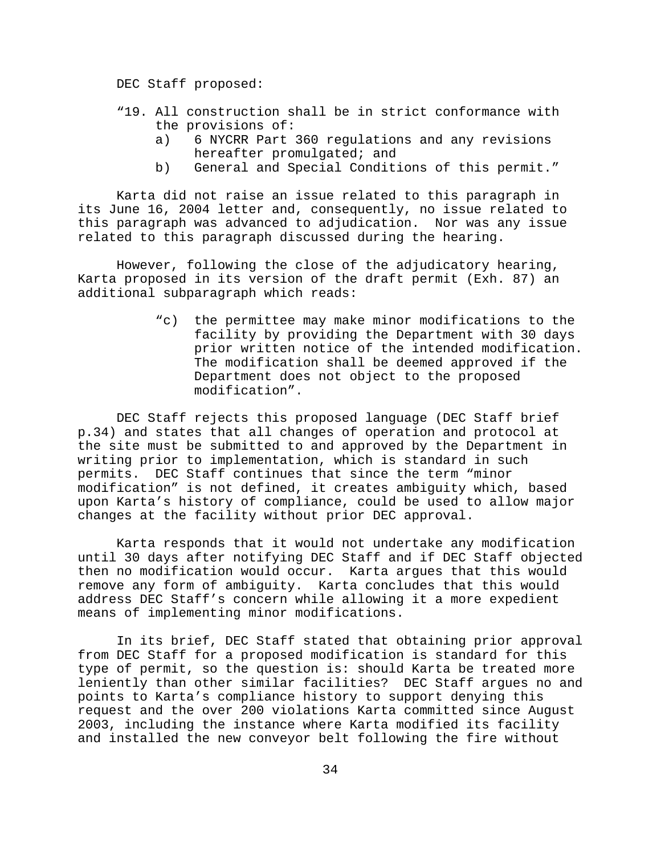DEC Staff proposed:

- "19. All construction shall be in strict conformance with the provisions of:
	- a) 6 NYCRR Part 360 regulations and any revisions hereafter promulgated; and
	- b) General and Special Conditions of this permit."

Karta did not raise an issue related to this paragraph in its June 16, 2004 letter and, consequently, no issue related to this paragraph was advanced to adjudication. Nor was any issue related to this paragraph discussed during the hearing.

However, following the close of the adjudicatory hearing, Karta proposed in its version of the draft permit (Exh. 87) an additional subparagraph which reads:

> "c) the permittee may make minor modifications to the facility by providing the Department with 30 days prior written notice of the intended modification. The modification shall be deemed approved if the Department does not object to the proposed modification".

DEC Staff rejects this proposed language (DEC Staff brief p.34) and states that all changes of operation and protocol at the site must be submitted to and approved by the Department in writing prior to implementation, which is standard in such permits. DEC Staff continues that since the term "minor modification" is not defined, it creates ambiguity which, based upon Karta's history of compliance, could be used to allow major changes at the facility without prior DEC approval.

Karta responds that it would not undertake any modification until 30 days after notifying DEC Staff and if DEC Staff objected then no modification would occur. Karta argues that this would remove any form of ambiguity. Karta concludes that this would address DEC Staff's concern while allowing it a more expedient means of implementing minor modifications.

In its brief, DEC Staff stated that obtaining prior approval from DEC Staff for a proposed modification is standard for this type of permit, so the question is: should Karta be treated more leniently than other similar facilities? DEC Staff argues no and points to Karta's compliance history to support denying this request and the over 200 violations Karta committed since August 2003, including the instance where Karta modified its facility and installed the new conveyor belt following the fire without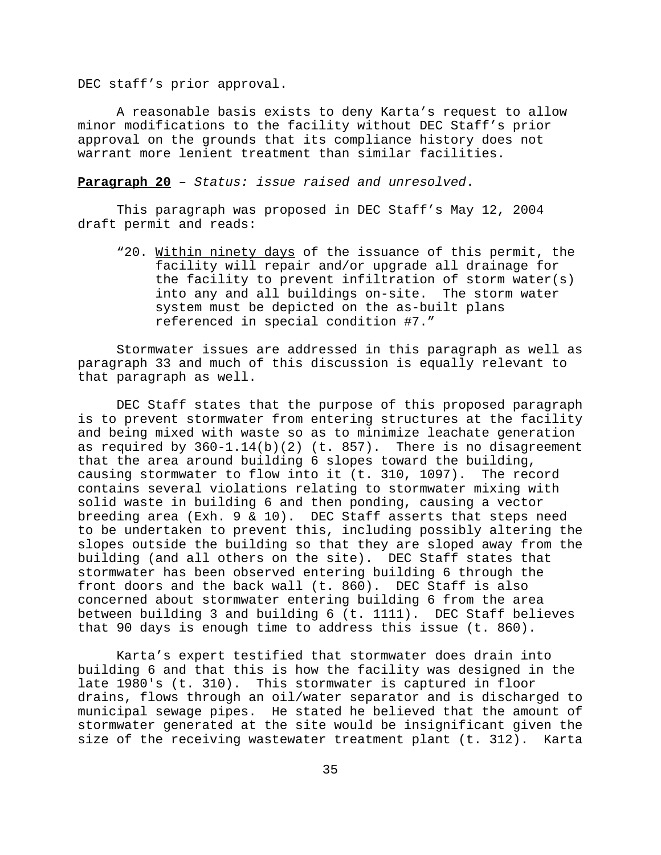DEC staff's prior approval.

A reasonable basis exists to deny Karta's request to allow minor modifications to the facility without DEC Staff's prior approval on the grounds that its compliance history does not warrant more lenient treatment than similar facilities.

**Paragraph 20** – *Status: issue raised and unresolved*.

This paragraph was proposed in DEC Staff's May 12, 2004 draft permit and reads:

"20. Within ninety days of the issuance of this permit, the facility will repair and/or upgrade all drainage for the facility to prevent infiltration of storm water(s) into any and all buildings on-site. The storm water system must be depicted on the as-built plans referenced in special condition #7."

Stormwater issues are addressed in this paragraph as well as paragraph 33 and much of this discussion is equally relevant to that paragraph as well.

DEC Staff states that the purpose of this proposed paragraph is to prevent stormwater from entering structures at the facility and being mixed with waste so as to minimize leachate generation as required by  $360-1.14(b)(2)$  (t. 857). There is no disagreement that the area around building 6 slopes toward the building, causing stormwater to flow into it (t. 310, 1097). The record contains several violations relating to stormwater mixing with solid waste in building 6 and then ponding, causing a vector breeding area (Exh. 9 & 10). DEC Staff asserts that steps need to be undertaken to prevent this, including possibly altering the slopes outside the building so that they are sloped away from the building (and all others on the site). DEC Staff states that stormwater has been observed entering building 6 through the front doors and the back wall (t. 860). DEC Staff is also concerned about stormwater entering building 6 from the area between building 3 and building 6 (t. 1111). DEC Staff believes that 90 days is enough time to address this issue (t. 860).

Karta's expert testified that stormwater does drain into building 6 and that this is how the facility was designed in the late 1980's (t. 310). This stormwater is captured in floor drains, flows through an oil/water separator and is discharged to municipal sewage pipes. He stated he believed that the amount of stormwater generated at the site would be insignificant given the size of the receiving wastewater treatment plant (t. 312). Karta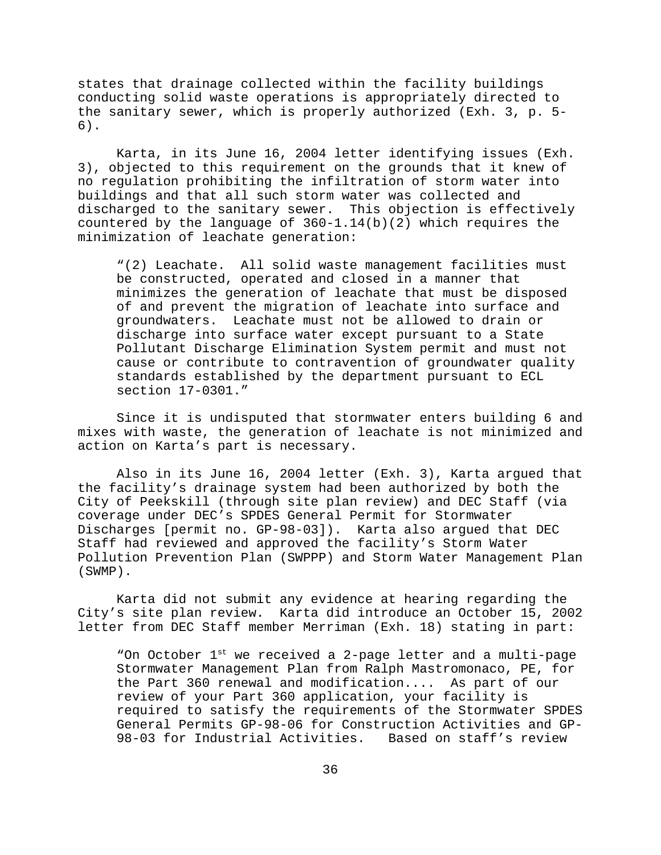states that drainage collected within the facility buildings conducting solid waste operations is appropriately directed to the sanitary sewer, which is properly authorized (Exh. 3, p. 5- 6).

Karta, in its June 16, 2004 letter identifying issues (Exh. 3), objected to this requirement on the grounds that it knew of no regulation prohibiting the infiltration of storm water into buildings and that all such storm water was collected and discharged to the sanitary sewer. This objection is effectively countered by the language of 360-1.14(b)(2) which requires the minimization of leachate generation:

"(2) Leachate. All solid waste management facilities must be constructed, operated and closed in a manner that minimizes the generation of leachate that must be disposed of and prevent the migration of leachate into surface and groundwaters. Leachate must not be allowed to drain or discharge into surface water except pursuant to a State Pollutant Discharge Elimination System permit and must not cause or contribute to contravention of groundwater quality standards established by the department pursuant to ECL section 17-0301."

Since it is undisputed that stormwater enters building 6 and mixes with waste, the generation of leachate is not minimized and action on Karta's part is necessary.

Also in its June 16, 2004 letter (Exh. 3), Karta argued that the facility's drainage system had been authorized by both the City of Peekskill (through site plan review) and DEC Staff (via coverage under DEC's SPDES General Permit for Stormwater Discharges [permit no. GP-98-03]). Karta also argued that DEC Staff had reviewed and approved the facility's Storm Water Pollution Prevention Plan (SWPPP) and Storm Water Management Plan (SWMP).

Karta did not submit any evidence at hearing regarding the City's site plan review. Karta did introduce an October 15, 2002 letter from DEC Staff member Merriman (Exh. 18) stating in part:

"On October 1<sup>st</sup> we received a 2-page letter and a multi-page Stormwater Management Plan from Ralph Mastromonaco, PE, for the Part 360 renewal and modification.... As part of our review of your Part 360 application, your facility is required to satisfy the requirements of the Stormwater SPDES General Permits GP-98-06 for Construction Activities and GP-98-03 for Industrial Activities. Based on staff's review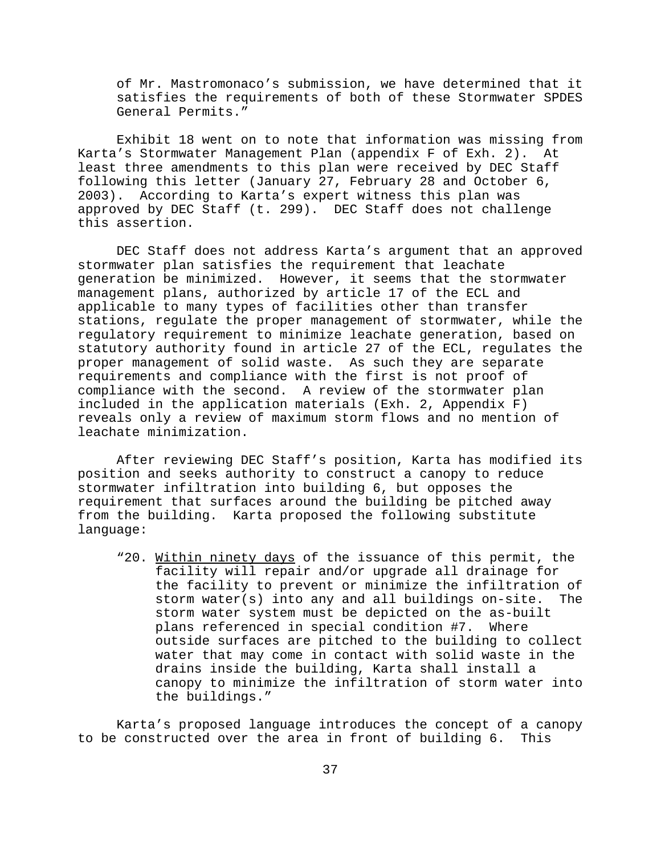of Mr. Mastromonaco's submission, we have determined that it satisfies the requirements of both of these Stormwater SPDES General Permits."

Exhibit 18 went on to note that information was missing from Karta's Stormwater Management Plan (appendix F of Exh. 2). At least three amendments to this plan were received by DEC Staff following this letter (January 27, February 28 and October 6, 2003). According to Karta's expert witness this plan was approved by DEC Staff (t. 299). DEC Staff does not challenge this assertion.

DEC Staff does not address Karta's argument that an approved stormwater plan satisfies the requirement that leachate generation be minimized. However, it seems that the stormwater management plans, authorized by article 17 of the ECL and applicable to many types of facilities other than transfer stations, regulate the proper management of stormwater, while the regulatory requirement to minimize leachate generation, based on statutory authority found in article 27 of the ECL, regulates the proper management of solid waste. As such they are separate requirements and compliance with the first is not proof of compliance with the second. A review of the stormwater plan included in the application materials (Exh. 2, Appendix F) reveals only a review of maximum storm flows and no mention of leachate minimization.

After reviewing DEC Staff's position, Karta has modified its position and seeks authority to construct a canopy to reduce stormwater infiltration into building 6, but opposes the requirement that surfaces around the building be pitched away from the building. Karta proposed the following substitute language:

"20. Within ninety days of the issuance of this permit, the facility will repair and/or upgrade all drainage for the facility to prevent or minimize the infiltration of storm water(s) into any and all buildings on-site. The storm water system must be depicted on the as-built plans referenced in special condition #7. Where outside surfaces are pitched to the building to collect water that may come in contact with solid waste in the drains inside the building, Karta shall install a canopy to minimize the infiltration of storm water into the buildings."

Karta's proposed language introduces the concept of a canopy to be constructed over the area in front of building 6. This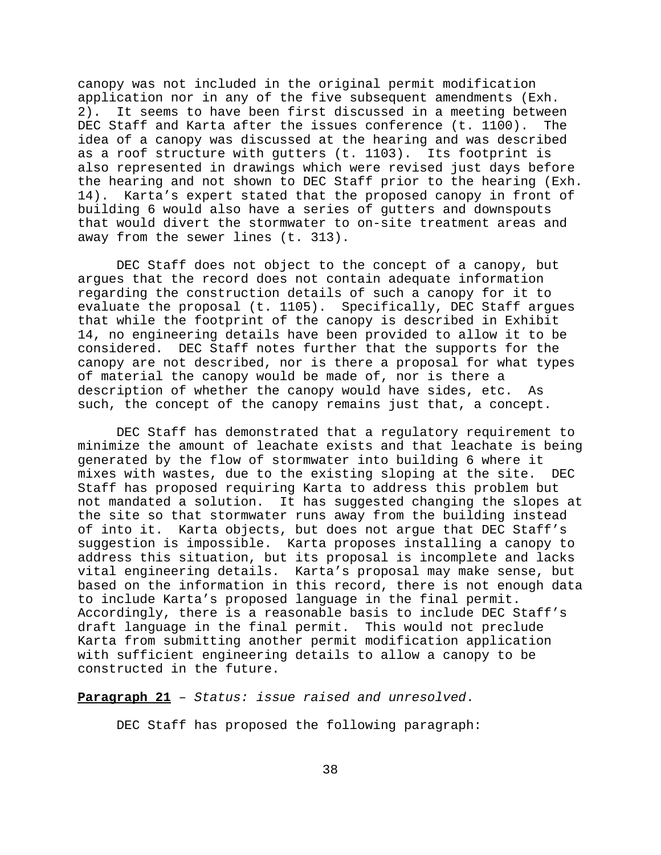canopy was not included in the original permit modification application nor in any of the five subsequent amendments (Exh. 2). It seems to have been first discussed in a meeting between DEC Staff and Karta after the issues conference (t. 1100). The idea of a canopy was discussed at the hearing and was described as a roof structure with gutters (t. 1103). Its footprint is also represented in drawings which were revised just days before the hearing and not shown to DEC Staff prior to the hearing (Exh. 14). Karta's expert stated that the proposed canopy in front of building 6 would also have a series of gutters and downspouts that would divert the stormwater to on-site treatment areas and away from the sewer lines (t. 313).

DEC Staff does not object to the concept of a canopy, but argues that the record does not contain adequate information regarding the construction details of such a canopy for it to evaluate the proposal (t. 1105). Specifically, DEC Staff argues that while the footprint of the canopy is described in Exhibit 14, no engineering details have been provided to allow it to be considered. DEC Staff notes further that the supports for the canopy are not described, nor is there a proposal for what types of material the canopy would be made of, nor is there a description of whether the canopy would have sides, etc. As such, the concept of the canopy remains just that, a concept.

DEC Staff has demonstrated that a regulatory requirement to minimize the amount of leachate exists and that leachate is being generated by the flow of stormwater into building 6 where it mixes with wastes, due to the existing sloping at the site. DEC Staff has proposed requiring Karta to address this problem but not mandated a solution. It has suggested changing the slopes at the site so that stormwater runs away from the building instead of into it. Karta objects, but does not argue that DEC Staff's suggestion is impossible. Karta proposes installing a canopy to address this situation, but its proposal is incomplete and lacks vital engineering details. Karta's proposal may make sense, but based on the information in this record, there is not enough data to include Karta's proposed language in the final permit. Accordingly, there is a reasonable basis to include DEC Staff's draft language in the final permit. This would not preclude Karta from submitting another permit modification application with sufficient engineering details to allow a canopy to be constructed in the future.

**Paragraph 21** – *Status: issue raised and unresolved*.

DEC Staff has proposed the following paragraph: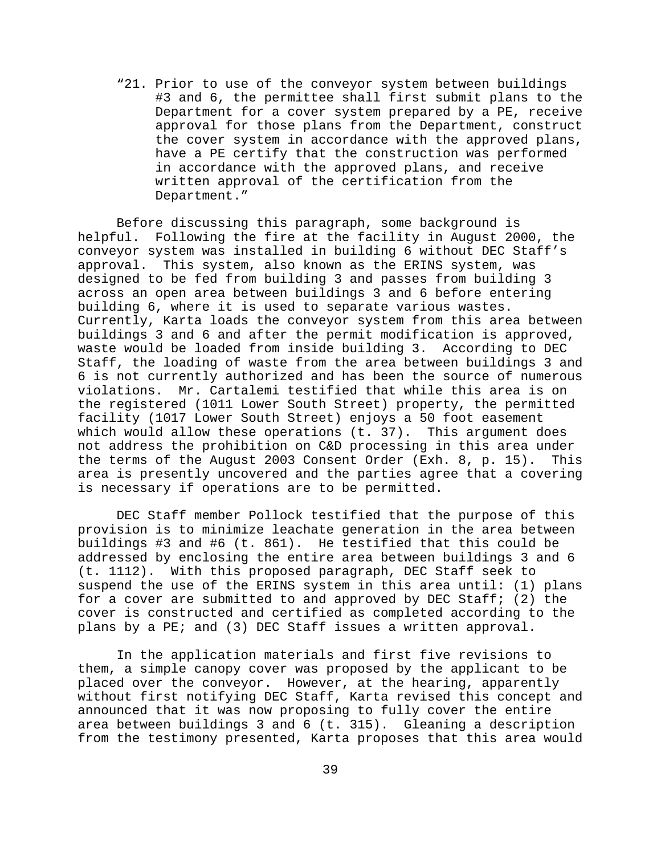"21. Prior to use of the conveyor system between buildings #3 and 6, the permittee shall first submit plans to the Department for a cover system prepared by a PE, receive approval for those plans from the Department, construct the cover system in accordance with the approved plans, have a PE certify that the construction was performed in accordance with the approved plans, and receive written approval of the certification from the Department."

Before discussing this paragraph, some background is helpful. Following the fire at the facility in August 2000, the conveyor system was installed in building 6 without DEC Staff's approval. This system, also known as the ERINS system, was designed to be fed from building 3 and passes from building 3 across an open area between buildings 3 and 6 before entering building 6, where it is used to separate various wastes. Currently, Karta loads the conveyor system from this area between buildings 3 and 6 and after the permit modification is approved, waste would be loaded from inside building 3. According to DEC Staff, the loading of waste from the area between buildings 3 and 6 is not currently authorized and has been the source of numerous violations. Mr. Cartalemi testified that while this area is on the registered (1011 Lower South Street) property, the permitted facility (1017 Lower South Street) enjoys a 50 foot easement which would allow these operations (t. 37). This argument does not address the prohibition on C&D processing in this area under the terms of the August 2003 Consent Order (Exh. 8, p. 15). This area is presently uncovered and the parties agree that a covering is necessary if operations are to be permitted.

DEC Staff member Pollock testified that the purpose of this provision is to minimize leachate generation in the area between buildings #3 and #6 (t. 861). He testified that this could be addressed by enclosing the entire area between buildings 3 and 6 (t. 1112). With this proposed paragraph, DEC Staff seek to suspend the use of the ERINS system in this area until: (1) plans for a cover are submitted to and approved by DEC Staff; (2) the cover is constructed and certified as completed according to the plans by a PE; and (3) DEC Staff issues a written approval.

In the application materials and first five revisions to them, a simple canopy cover was proposed by the applicant to be placed over the conveyor. However, at the hearing, apparently without first notifying DEC Staff, Karta revised this concept and announced that it was now proposing to fully cover the entire area between buildings 3 and 6 (t. 315). Gleaning a description from the testimony presented, Karta proposes that this area would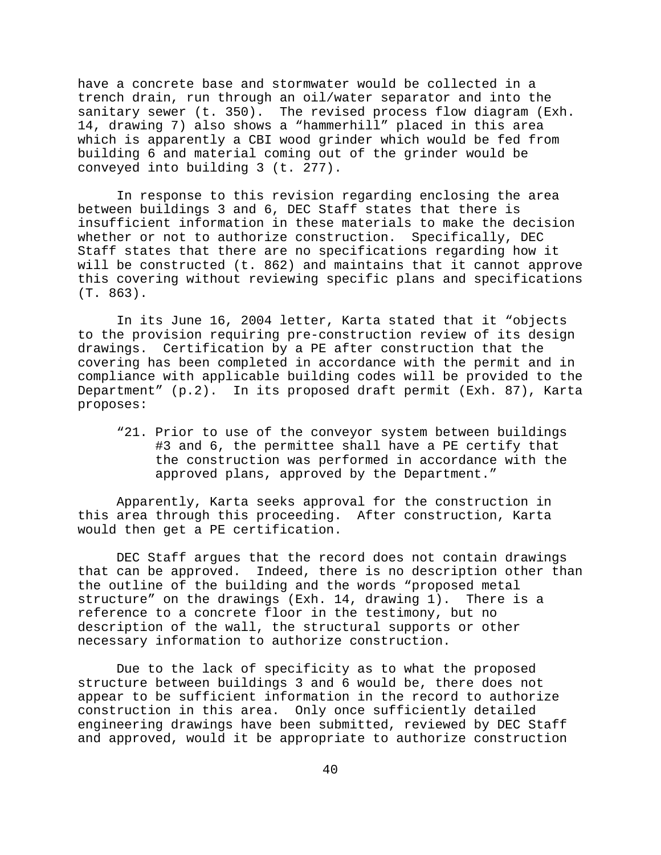have a concrete base and stormwater would be collected in a trench drain, run through an oil/water separator and into the sanitary sewer (t. 350). The revised process flow diagram (Exh. 14, drawing 7) also shows a "hammerhill" placed in this area which is apparently a CBI wood grinder which would be fed from building 6 and material coming out of the grinder would be conveyed into building 3 (t. 277).

In response to this revision regarding enclosing the area between buildings 3 and 6, DEC Staff states that there is insufficient information in these materials to make the decision whether or not to authorize construction. Specifically, DEC Staff states that there are no specifications regarding how it will be constructed (t. 862) and maintains that it cannot approve this covering without reviewing specific plans and specifications (T. 863).

In its June 16, 2004 letter, Karta stated that it "objects to the provision requiring pre-construction review of its design drawings. Certification by a PE after construction that the covering has been completed in accordance with the permit and in compliance with applicable building codes will be provided to the Department" (p.2). In its proposed draft permit (Exh. 87), Karta proposes:

"21. Prior to use of the conveyor system between buildings #3 and 6, the permittee shall have a PE certify that the construction was performed in accordance with the approved plans, approved by the Department."

Apparently, Karta seeks approval for the construction in this area through this proceeding. After construction, Karta would then get a PE certification.

DEC Staff argues that the record does not contain drawings that can be approved. Indeed, there is no description other than the outline of the building and the words "proposed metal structure" on the drawings (Exh. 14, drawing 1). There is a reference to a concrete floor in the testimony, but no description of the wall, the structural supports or other necessary information to authorize construction.

Due to the lack of specificity as to what the proposed structure between buildings 3 and 6 would be, there does not appear to be sufficient information in the record to authorize construction in this area. Only once sufficiently detailed engineering drawings have been submitted, reviewed by DEC Staff and approved, would it be appropriate to authorize construction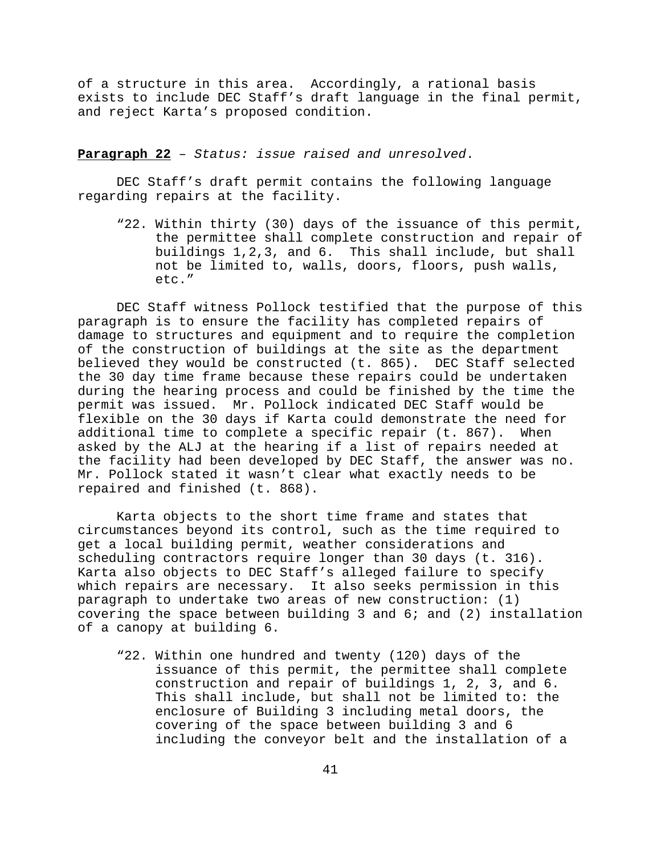of a structure in this area. Accordingly, a rational basis exists to include DEC Staff's draft language in the final permit, and reject Karta's proposed condition.

**Paragraph 22** – *Status: issue raised and unresolved*.

DEC Staff's draft permit contains the following language regarding repairs at the facility.

"22. Within thirty (30) days of the issuance of this permit, the permittee shall complete construction and repair of buildings 1,2,3, and 6. This shall include, but shall not be limited to, walls, doors, floors, push walls, etc."

DEC Staff witness Pollock testified that the purpose of this paragraph is to ensure the facility has completed repairs of damage to structures and equipment and to require the completion of the construction of buildings at the site as the department believed they would be constructed (t. 865). DEC Staff selected the 30 day time frame because these repairs could be undertaken during the hearing process and could be finished by the time the permit was issued. Mr. Pollock indicated DEC Staff would be flexible on the 30 days if Karta could demonstrate the need for additional time to complete a specific repair (t. 867). When asked by the ALJ at the hearing if a list of repairs needed at the facility had been developed by DEC Staff, the answer was no. Mr. Pollock stated it wasn't clear what exactly needs to be repaired and finished (t. 868).

Karta objects to the short time frame and states that circumstances beyond its control, such as the time required to get a local building permit, weather considerations and scheduling contractors require longer than 30 days (t. 316). Karta also objects to DEC Staff's alleged failure to specify which repairs are necessary. It also seeks permission in this paragraph to undertake two areas of new construction: (1) covering the space between building 3 and 6; and (2) installation of a canopy at building 6.

"22. Within one hundred and twenty (120) days of the issuance of this permit, the permittee shall complete construction and repair of buildings 1, 2, 3, and 6. This shall include, but shall not be limited to: the enclosure of Building 3 including metal doors, the covering of the space between building 3 and 6 including the conveyor belt and the installation of a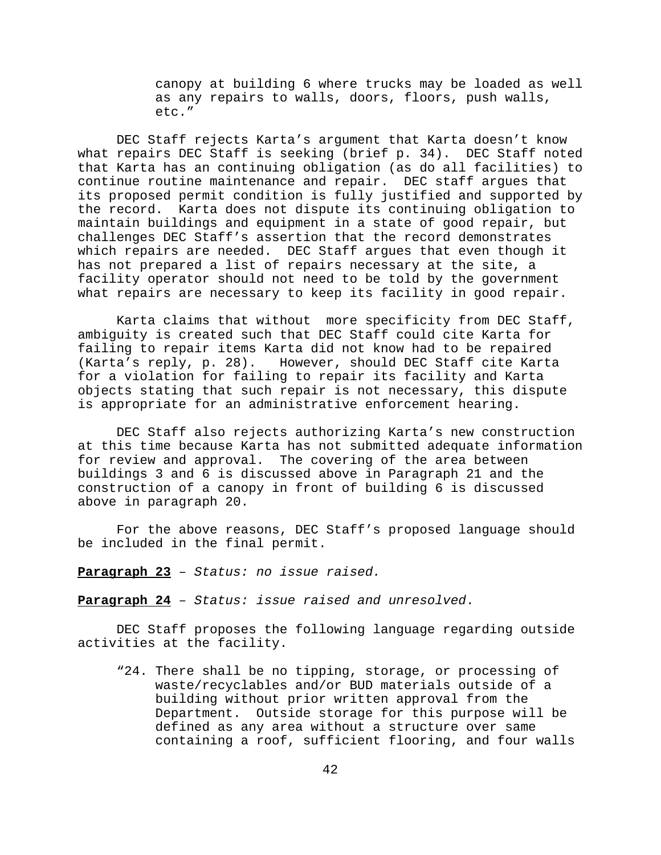canopy at building 6 where trucks may be loaded as well as any repairs to walls, doors, floors, push walls, etc."

DEC Staff rejects Karta's argument that Karta doesn't know what repairs DEC Staff is seeking (brief p. 34). DEC Staff noted that Karta has an continuing obligation (as do all facilities) to continue routine maintenance and repair. DEC staff argues that its proposed permit condition is fully justified and supported by the record. Karta does not dispute its continuing obligation to maintain buildings and equipment in a state of good repair, but challenges DEC Staff's assertion that the record demonstrates which repairs are needed. DEC Staff argues that even though it has not prepared a list of repairs necessary at the site, a facility operator should not need to be told by the government what repairs are necessary to keep its facility in good repair.

Karta claims that without more specificity from DEC Staff, ambiguity is created such that DEC Staff could cite Karta for failing to repair items Karta did not know had to be repaired (Karta's reply, p. 28). However, should DEC Staff cite Karta for a violation for failing to repair its facility and Karta objects stating that such repair is not necessary, this dispute is appropriate for an administrative enforcement hearing.

DEC Staff also rejects authorizing Karta's new construction at this time because Karta has not submitted adequate information for review and approval. The covering of the area between buildings 3 and 6 is discussed above in Paragraph 21 and the construction of a canopy in front of building 6 is discussed above in paragraph 20.

For the above reasons, DEC Staff's proposed language should be included in the final permit.

**Paragraph 23** – *Status: no issue raised.*

**Paragraph 24** – *Status: issue raised and unresolved*.

DEC Staff proposes the following language regarding outside activities at the facility.

"24. There shall be no tipping, storage, or processing of waste/recyclables and/or BUD materials outside of a building without prior written approval from the Department. Outside storage for this purpose will be defined as any area without a structure over same containing a roof, sufficient flooring, and four walls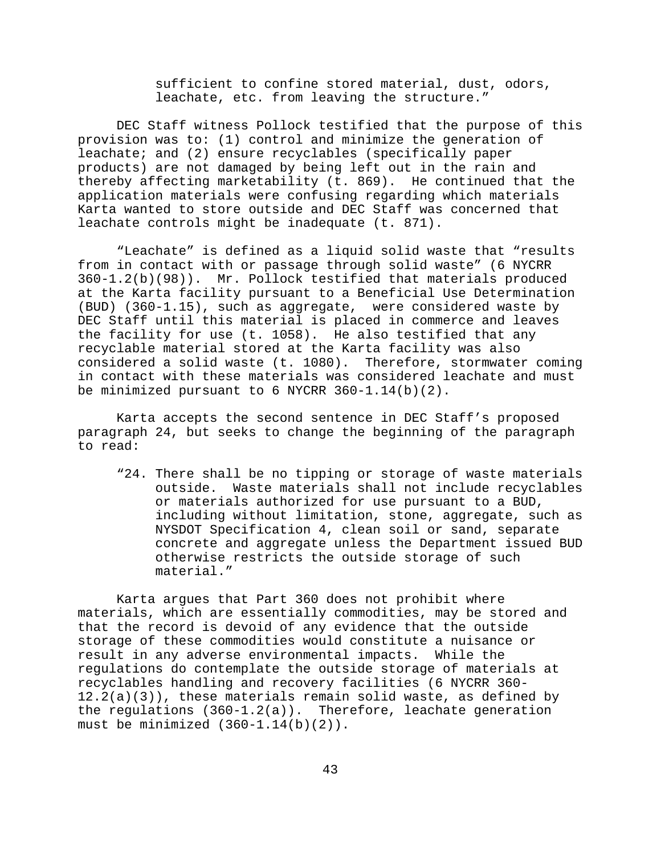sufficient to confine stored material, dust, odors, leachate, etc. from leaving the structure."

DEC Staff witness Pollock testified that the purpose of this provision was to: (1) control and minimize the generation of leachate; and (2) ensure recyclables (specifically paper products) are not damaged by being left out in the rain and thereby affecting marketability (t. 869). He continued that the application materials were confusing regarding which materials Karta wanted to store outside and DEC Staff was concerned that leachate controls might be inadequate (t. 871).

"Leachate" is defined as a liquid solid waste that "results from in contact with or passage through solid waste" (6 NYCRR 360-1.2(b)(98)). Mr. Pollock testified that materials produced at the Karta facility pursuant to a Beneficial Use Determination (BUD) (360-1.15), such as aggregate, were considered waste by DEC Staff until this material is placed in commerce and leaves the facility for use (t. 1058). He also testified that any recyclable material stored at the Karta facility was also considered a solid waste (t. 1080). Therefore, stormwater coming in contact with these materials was considered leachate and must be minimized pursuant to 6 NYCRR 360-1.14(b)(2).

Karta accepts the second sentence in DEC Staff's proposed paragraph 24, but seeks to change the beginning of the paragraph to read:

"24. There shall be no tipping or storage of waste materials outside. Waste materials shall not include recyclables or materials authorized for use pursuant to a BUD, including without limitation, stone, aggregate, such as NYSDOT Specification 4, clean soil or sand, separate concrete and aggregate unless the Department issued BUD otherwise restricts the outside storage of such material."

Karta argues that Part 360 does not prohibit where materials, which are essentially commodities, may be stored and that the record is devoid of any evidence that the outside storage of these commodities would constitute a nuisance or result in any adverse environmental impacts. While the regulations do contemplate the outside storage of materials at recyclables handling and recovery facilities (6 NYCRR 360-  $12.2(a)(3)$ , these materials remain solid waste, as defined by the regulations  $(360-1.2(a))$ . Therefore, leachate generation must be minimized  $(360-1.14(b)(2))$ .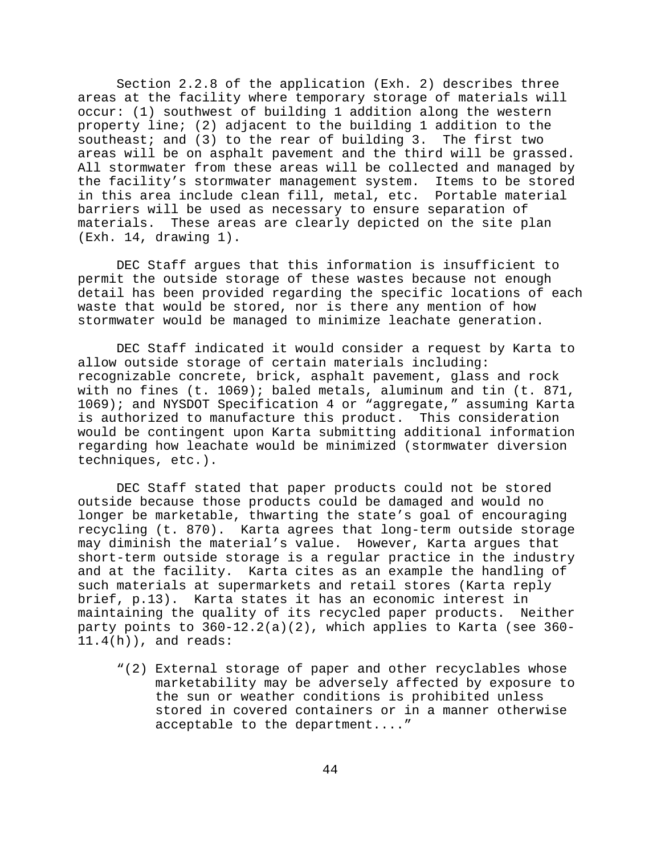Section 2.2.8 of the application (Exh. 2) describes three areas at the facility where temporary storage of materials will occur: (1) southwest of building 1 addition along the western property line; (2) adjacent to the building 1 addition to the southeast; and (3) to the rear of building 3. The first two areas will be on asphalt pavement and the third will be grassed. All stormwater from these areas will be collected and managed by the facility's stormwater management system. Items to be stored in this area include clean fill, metal, etc. Portable material barriers will be used as necessary to ensure separation of materials. These areas are clearly depicted on the site plan (Exh. 14, drawing 1).

DEC Staff argues that this information is insufficient to permit the outside storage of these wastes because not enough detail has been provided regarding the specific locations of each waste that would be stored, nor is there any mention of how stormwater would be managed to minimize leachate generation.

DEC Staff indicated it would consider a request by Karta to allow outside storage of certain materials including: recognizable concrete, brick, asphalt pavement, glass and rock with no fines (t. 1069); baled metals, aluminum and tin (t. 871, 1069); and NYSDOT Specification 4 or "aggregate," assuming Karta is authorized to manufacture this product. This consideration would be contingent upon Karta submitting additional information regarding how leachate would be minimized (stormwater diversion techniques, etc.).

DEC Staff stated that paper products could not be stored outside because those products could be damaged and would no longer be marketable, thwarting the state's goal of encouraging recycling (t. 870). Karta agrees that long-term outside storage may diminish the material's value. However, Karta argues that short-term outside storage is a regular practice in the industry and at the facility. Karta cites as an example the handling of such materials at supermarkets and retail stores (Karta reply brief, p.13). Karta states it has an economic interest in maintaining the quality of its recycled paper products. Neither party points to 360-12.2(a)(2), which applies to Karta (see 360- 11.4(h)), and reads:

"(2) External storage of paper and other recyclables whose marketability may be adversely affected by exposure to the sun or weather conditions is prohibited unless stored in covered containers or in a manner otherwise acceptable to the department...."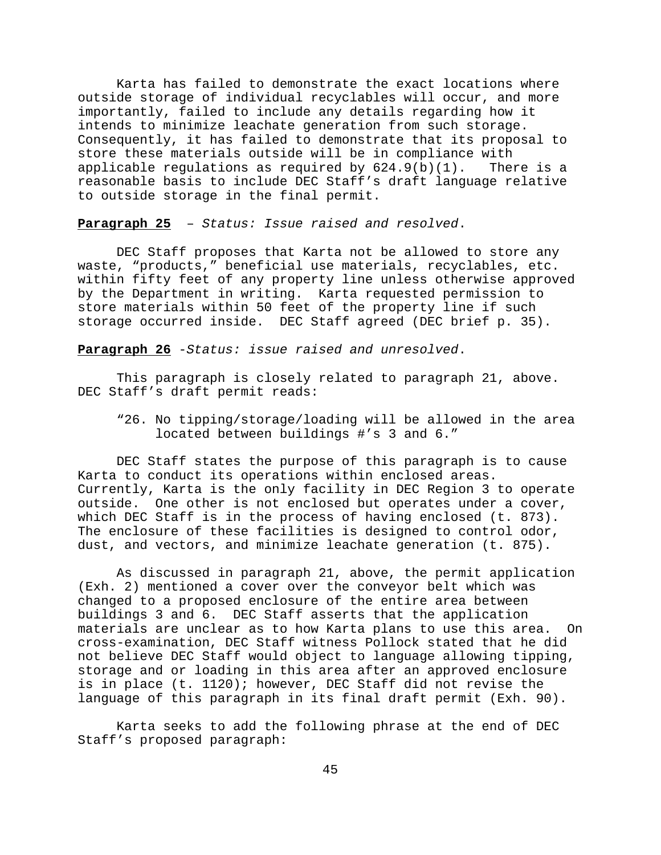Karta has failed to demonstrate the exact locations where outside storage of individual recyclables will occur, and more importantly, failed to include any details regarding how it intends to minimize leachate generation from such storage. Consequently, it has failed to demonstrate that its proposal to store these materials outside will be in compliance with applicable requlations as required by  $624.9(b)(1)$ . There is a reasonable basis to include DEC Staff's draft language relative to outside storage in the final permit.

**Paragraph 25** – *Status: Issue raised and resolved*.

DEC Staff proposes that Karta not be allowed to store any waste, "products," beneficial use materials, recyclables, etc. within fifty feet of any property line unless otherwise approved by the Department in writing. Karta requested permission to store materials within 50 feet of the property line if such storage occurred inside. DEC Staff agreed (DEC brief p. 35).

**Paragraph 26** -*Status: issue raised and unresolved*.

This paragraph is closely related to paragraph 21, above. DEC Staff's draft permit reads:

"26. No tipping/storage/loading will be allowed in the area located between buildings #'s 3 and 6."

DEC Staff states the purpose of this paragraph is to cause Karta to conduct its operations within enclosed areas. Currently, Karta is the only facility in DEC Region 3 to operate outside. One other is not enclosed but operates under a cover, which DEC Staff is in the process of having enclosed (t. 873). The enclosure of these facilities is designed to control odor, dust, and vectors, and minimize leachate generation (t. 875).

As discussed in paragraph 21, above, the permit application (Exh. 2) mentioned a cover over the conveyor belt which was changed to a proposed enclosure of the entire area between buildings 3 and 6. DEC Staff asserts that the application materials are unclear as to how Karta plans to use this area. On cross-examination, DEC Staff witness Pollock stated that he did not believe DEC Staff would object to language allowing tipping, storage and or loading in this area after an approved enclosure is in place (t. 1120); however, DEC Staff did not revise the language of this paragraph in its final draft permit (Exh. 90).

Karta seeks to add the following phrase at the end of DEC Staff's proposed paragraph: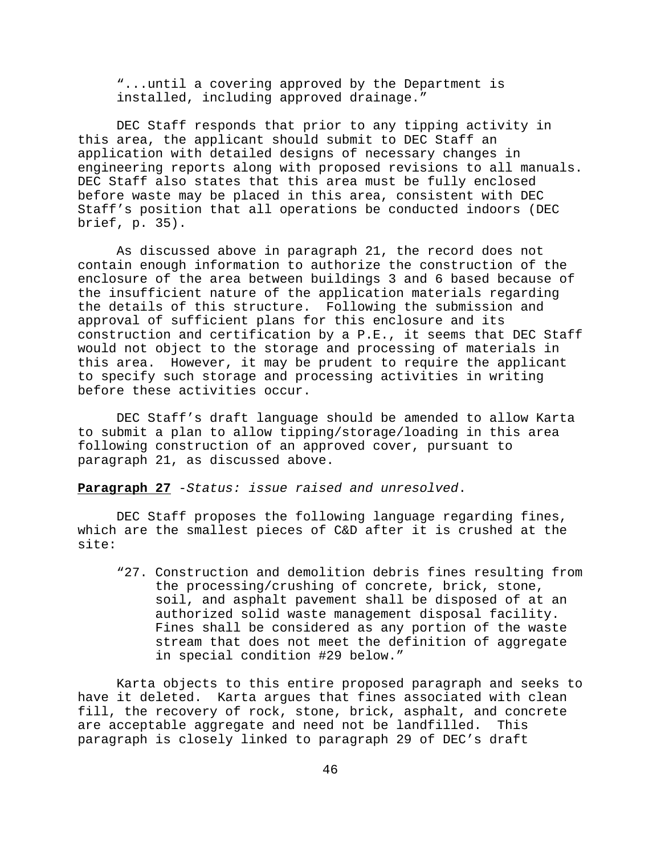"...until a covering approved by the Department is installed, including approved drainage."

DEC Staff responds that prior to any tipping activity in this area, the applicant should submit to DEC Staff an application with detailed designs of necessary changes in engineering reports along with proposed revisions to all manuals. DEC Staff also states that this area must be fully enclosed before waste may be placed in this area, consistent with DEC Staff's position that all operations be conducted indoors (DEC brief, p. 35).

As discussed above in paragraph 21, the record does not contain enough information to authorize the construction of the enclosure of the area between buildings 3 and 6 based because of the insufficient nature of the application materials regarding the details of this structure. Following the submission and approval of sufficient plans for this enclosure and its construction and certification by a P.E., it seems that DEC Staff would not object to the storage and processing of materials in this area. However, it may be prudent to require the applicant to specify such storage and processing activities in writing before these activities occur.

DEC Staff's draft language should be amended to allow Karta to submit a plan to allow tipping/storage/loading in this area following construction of an approved cover, pursuant to paragraph 21, as discussed above.

**Paragraph 27** -*Status: issue raised and unresolved*.

DEC Staff proposes the following language regarding fines, which are the smallest pieces of C&D after it is crushed at the site:

"27. Construction and demolition debris fines resulting from the processing/crushing of concrete, brick, stone, soil, and asphalt pavement shall be disposed of at an authorized solid waste management disposal facility. Fines shall be considered as any portion of the waste stream that does not meet the definition of aggregate in special condition #29 below."

Karta objects to this entire proposed paragraph and seeks to have it deleted. Karta argues that fines associated with clean fill, the recovery of rock, stone, brick, asphalt, and concrete are acceptable aggregate and need not be landfilled. This paragraph is closely linked to paragraph 29 of DEC's draft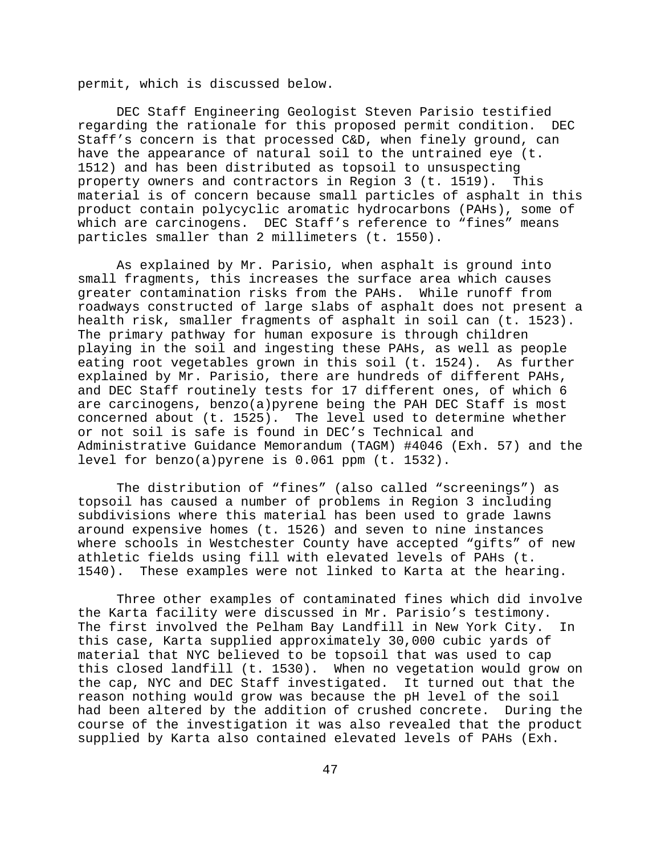permit, which is discussed below.

DEC Staff Engineering Geologist Steven Parisio testified regarding the rationale for this proposed permit condition. DEC Staff's concern is that processed C&D, when finely ground, can have the appearance of natural soil to the untrained eye (t. 1512) and has been distributed as topsoil to unsuspecting property owners and contractors in Region 3 (t. 1519). This material is of concern because small particles of asphalt in this product contain polycyclic aromatic hydrocarbons (PAHs), some of which are carcinogens. DEC Staff's reference to "fines" means particles smaller than 2 millimeters (t. 1550).

As explained by Mr. Parisio, when asphalt is ground into small fragments, this increases the surface area which causes greater contamination risks from the PAHs. While runoff from roadways constructed of large slabs of asphalt does not present a health risk, smaller fragments of asphalt in soil can (t. 1523). The primary pathway for human exposure is through children playing in the soil and ingesting these PAHs, as well as people eating root vegetables grown in this soil (t. 1524). As further explained by Mr. Parisio, there are hundreds of different PAHs, and DEC Staff routinely tests for 17 different ones, of which 6 are carcinogens, benzo(a)pyrene being the PAH DEC Staff is most concerned about (t. 1525). The level used to determine whether or not soil is safe is found in DEC's Technical and Administrative Guidance Memorandum (TAGM) #4046 (Exh. 57) and the level for benzo(a)pyrene is 0.061 ppm (t. 1532).

The distribution of "fines" (also called "screenings") as topsoil has caused a number of problems in Region 3 including subdivisions where this material has been used to grade lawns around expensive homes (t. 1526) and seven to nine instances where schools in Westchester County have accepted "gifts" of new athletic fields using fill with elevated levels of PAHs (t. 1540). These examples were not linked to Karta at the hearing.

Three other examples of contaminated fines which did involve the Karta facility were discussed in Mr. Parisio's testimony. The first involved the Pelham Bay Landfill in New York City. In this case, Karta supplied approximately 30,000 cubic yards of material that NYC believed to be topsoil that was used to cap this closed landfill (t. 1530). When no vegetation would grow on the cap, NYC and DEC Staff investigated. It turned out that the reason nothing would grow was because the pH level of the soil had been altered by the addition of crushed concrete. During the course of the investigation it was also revealed that the product supplied by Karta also contained elevated levels of PAHs (Exh.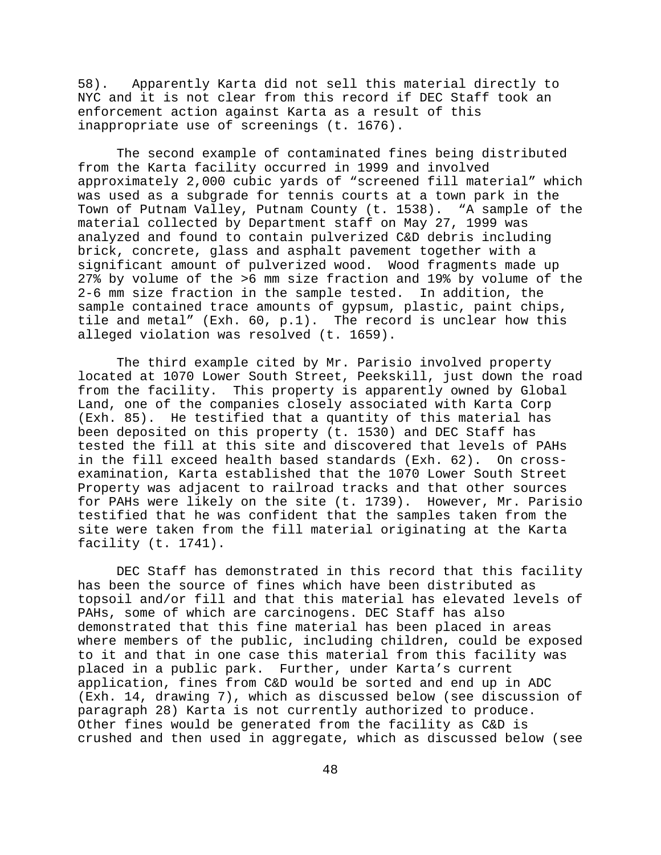58). Apparently Karta did not sell this material directly to NYC and it is not clear from this record if DEC Staff took an enforcement action against Karta as a result of this inappropriate use of screenings (t. 1676).

The second example of contaminated fines being distributed from the Karta facility occurred in 1999 and involved approximately 2,000 cubic yards of "screened fill material" which was used as a subgrade for tennis courts at a town park in the Town of Putnam Valley, Putnam County (t. 1538). "A sample of the material collected by Department staff on May 27, 1999 was analyzed and found to contain pulverized C&D debris including brick, concrete, glass and asphalt pavement together with a significant amount of pulverized wood. Wood fragments made up 27% by volume of the >6 mm size fraction and 19% by volume of the 2-6 mm size fraction in the sample tested. In addition, the sample contained trace amounts of gypsum, plastic, paint chips, tile and metal" (Exh. 60, p.1). The record is unclear how this alleged violation was resolved (t. 1659).

The third example cited by Mr. Parisio involved property located at 1070 Lower South Street, Peekskill, just down the road from the facility. This property is apparently owned by Global Land, one of the companies closely associated with Karta Corp (Exh. 85). He testified that a quantity of this material has been deposited on this property (t. 1530) and DEC Staff has tested the fill at this site and discovered that levels of PAHs in the fill exceed health based standards (Exh. 62). On crossexamination, Karta established that the 1070 Lower South Street Property was adjacent to railroad tracks and that other sources for PAHs were likely on the site (t. 1739). However, Mr. Parisio testified that he was confident that the samples taken from the site were taken from the fill material originating at the Karta facility (t. 1741).

DEC Staff has demonstrated in this record that this facility has been the source of fines which have been distributed as topsoil and/or fill and that this material has elevated levels of PAHs, some of which are carcinogens. DEC Staff has also demonstrated that this fine material has been placed in areas where members of the public, including children, could be exposed to it and that in one case this material from this facility was placed in a public park. Further, under Karta's current application, fines from C&D would be sorted and end up in ADC (Exh. 14, drawing 7), which as discussed below (see discussion of paragraph 28) Karta is not currently authorized to produce. Other fines would be generated from the facility as C&D is crushed and then used in aggregate, which as discussed below (see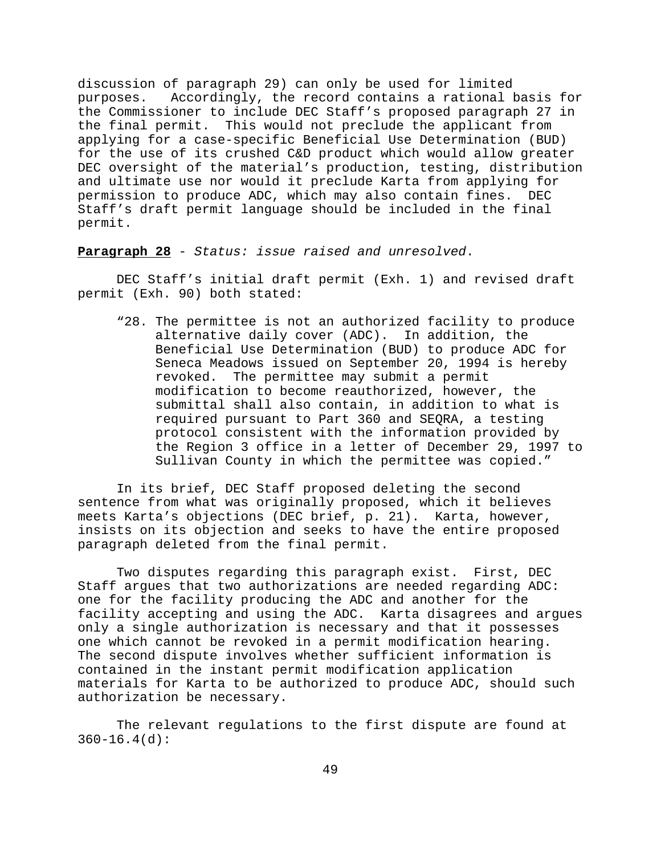discussion of paragraph 29) can only be used for limited purposes. Accordingly, the record contains a rational basis for the Commissioner to include DEC Staff's proposed paragraph 27 in the final permit. This would not preclude the applicant from applying for a case-specific Beneficial Use Determination (BUD) for the use of its crushed C&D product which would allow greater DEC oversight of the material's production, testing, distribution and ultimate use nor would it preclude Karta from applying for permission to produce ADC, which may also contain fines. DEC Staff's draft permit language should be included in the final permit.

**Paragraph 28** - *Status: issue raised and unresolved*.

DEC Staff's initial draft permit (Exh. 1) and revised draft permit (Exh. 90) both stated:

"28. The permittee is not an authorized facility to produce alternative daily cover (ADC). In addition, the Beneficial Use Determination (BUD) to produce ADC for Seneca Meadows issued on September 20, 1994 is hereby revoked. The permittee may submit a permit modification to become reauthorized, however, the submittal shall also contain, in addition to what is required pursuant to Part 360 and SEQRA, a testing protocol consistent with the information provided by the Region 3 office in a letter of December 29, 1997 to Sullivan County in which the permittee was copied."

In its brief, DEC Staff proposed deleting the second sentence from what was originally proposed, which it believes meets Karta's objections (DEC brief, p. 21). Karta, however, insists on its objection and seeks to have the entire proposed paragraph deleted from the final permit.

Two disputes regarding this paragraph exist. First, DEC Staff argues that two authorizations are needed regarding ADC: one for the facility producing the ADC and another for the facility accepting and using the ADC. Karta disagrees and argues only a single authorization is necessary and that it possesses one which cannot be revoked in a permit modification hearing. The second dispute involves whether sufficient information is contained in the instant permit modification application materials for Karta to be authorized to produce ADC, should such authorization be necessary.

The relevant regulations to the first dispute are found at  $360 - 16.4$ (d):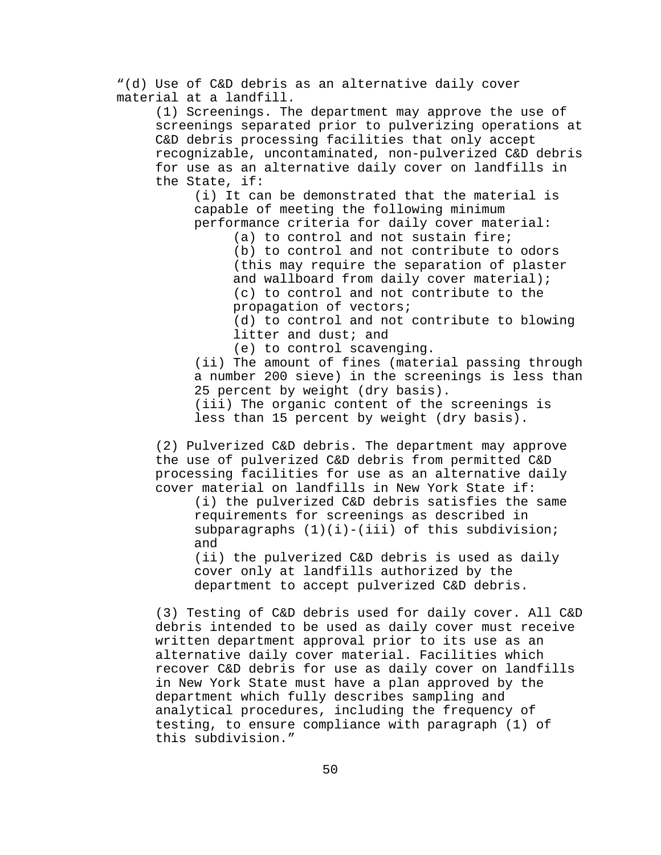"(d) Use of C&D debris as an alternative daily cover material at a landfill.

(1) Screenings. The department may approve the use of screenings separated prior to pulverizing operations at C&D debris processing facilities that only accept recognizable, uncontaminated, non-pulverized C&D debris for use as an alternative daily cover on landfills in the State, if:

(i) It can be demonstrated that the material is capable of meeting the following minimum performance criteria for daily cover material:

> (a) to control and not sustain fire; (b) to control and not contribute to odors (this may require the separation of plaster and wallboard from daily cover material); (c) to control and not contribute to the propagation of vectors;

(d) to control and not contribute to blowing litter and dust; and

(e) to control scavenging.

(ii) The amount of fines (material passing through a number 200 sieve) in the screenings is less than 25 percent by weight (dry basis). (iii) The organic content of the screenings is less than 15 percent by weight (dry basis).

(2) Pulverized C&D debris. The department may approve the use of pulverized C&D debris from permitted C&D processing facilities for use as an alternative daily cover material on landfills in New York State if:

(i) the pulverized C&D debris satisfies the same requirements for screenings as described in subparagraphs  $(1)(i)$ -(iii) of this subdivision; and

(ii) the pulverized C&D debris is used as daily cover only at landfills authorized by the department to accept pulverized C&D debris.

(3) Testing of C&D debris used for daily cover. All C&D debris intended to be used as daily cover must receive written department approval prior to its use as an alternative daily cover material. Facilities which recover C&D debris for use as daily cover on landfills in New York State must have a plan approved by the department which fully describes sampling and analytical procedures, including the frequency of testing, to ensure compliance with paragraph (1) of this subdivision."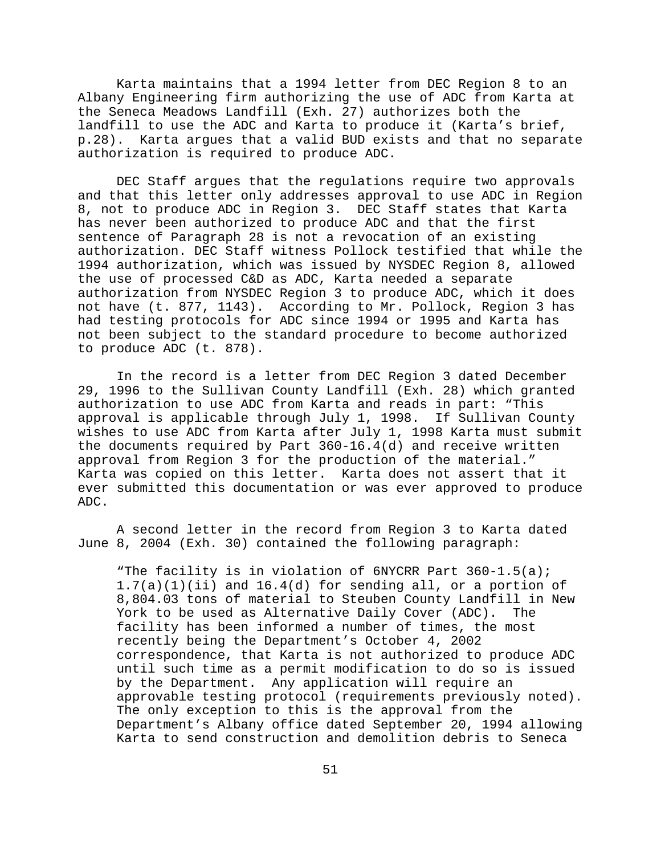Karta maintains that a 1994 letter from DEC Region 8 to an Albany Engineering firm authorizing the use of ADC from Karta at the Seneca Meadows Landfill (Exh. 27) authorizes both the landfill to use the ADC and Karta to produce it (Karta's brief, p.28). Karta argues that a valid BUD exists and that no separate authorization is required to produce ADC.

DEC Staff argues that the regulations require two approvals and that this letter only addresses approval to use ADC in Region 8, not to produce ADC in Region 3. DEC Staff states that Karta has never been authorized to produce ADC and that the first sentence of Paragraph 28 is not a revocation of an existing authorization. DEC Staff witness Pollock testified that while the 1994 authorization, which was issued by NYSDEC Region 8, allowed the use of processed C&D as ADC, Karta needed a separate authorization from NYSDEC Region 3 to produce ADC, which it does not have (t. 877, 1143). According to Mr. Pollock, Region 3 has had testing protocols for ADC since 1994 or 1995 and Karta has not been subject to the standard procedure to become authorized to produce ADC (t. 878).

In the record is a letter from DEC Region 3 dated December 29, 1996 to the Sullivan County Landfill (Exh. 28) which granted authorization to use ADC from Karta and reads in part: "This approval is applicable through July 1, 1998. If Sullivan County wishes to use ADC from Karta after July 1, 1998 Karta must submit the documents required by Part 360-16.4(d) and receive written approval from Region 3 for the production of the material." Karta was copied on this letter. Karta does not assert that it ever submitted this documentation or was ever approved to produce ADC.

A second letter in the record from Region 3 to Karta dated June 8, 2004 (Exh. 30) contained the following paragraph:

"The facility is in violation of 6NYCRR Part 360-1.5(a); 1.7(a)(1)(ii) and 16.4(d) for sending all, or a portion of 8,804.03 tons of material to Steuben County Landfill in New York to be used as Alternative Daily Cover (ADC). The facility has been informed a number of times, the most recently being the Department's October 4, 2002 correspondence, that Karta is not authorized to produce ADC until such time as a permit modification to do so is issued by the Department. Any application will require an approvable testing protocol (requirements previously noted). The only exception to this is the approval from the Department's Albany office dated September 20, 1994 allowing Karta to send construction and demolition debris to Seneca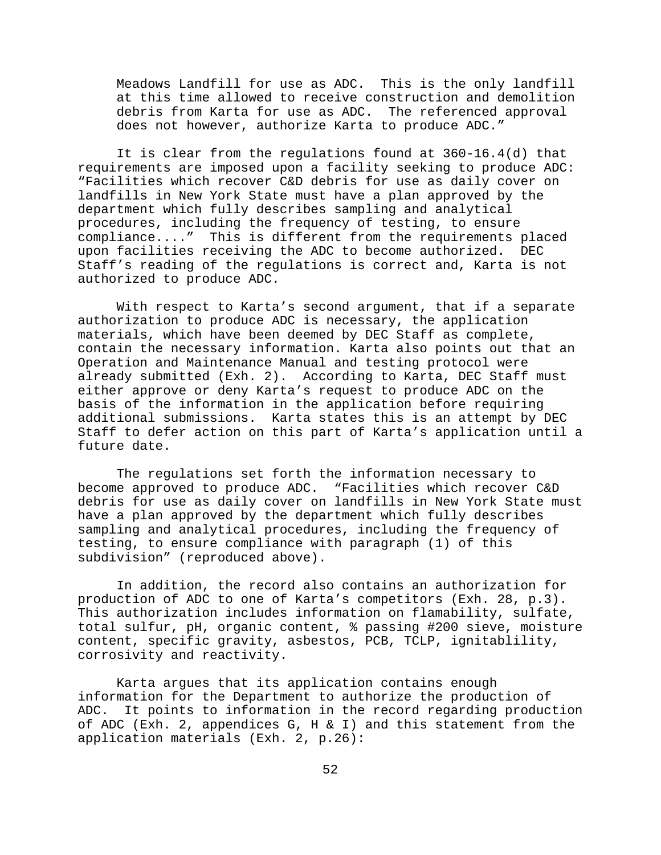Meadows Landfill for use as ADC. This is the only landfill at this time allowed to receive construction and demolition debris from Karta for use as ADC. The referenced approval does not however, authorize Karta to produce ADC."

It is clear from the regulations found at 360-16.4(d) that requirements are imposed upon a facility seeking to produce ADC: "Facilities which recover C&D debris for use as daily cover on landfills in New York State must have a plan approved by the department which fully describes sampling and analytical procedures, including the frequency of testing, to ensure compliance...." This is different from the requirements placed upon facilities receiving the ADC to become authorized. DEC Staff's reading of the regulations is correct and, Karta is not authorized to produce ADC.

With respect to Karta's second argument, that if a separate authorization to produce ADC is necessary, the application materials, which have been deemed by DEC Staff as complete, contain the necessary information. Karta also points out that an Operation and Maintenance Manual and testing protocol were already submitted (Exh. 2). According to Karta, DEC Staff must either approve or deny Karta's request to produce ADC on the basis of the information in the application before requiring additional submissions. Karta states this is an attempt by DEC Staff to defer action on this part of Karta's application until a future date.

The regulations set forth the information necessary to become approved to produce ADC. "Facilities which recover C&D debris for use as daily cover on landfills in New York State must have a plan approved by the department which fully describes sampling and analytical procedures, including the frequency of testing, to ensure compliance with paragraph (1) of this subdivision" (reproduced above).

In addition, the record also contains an authorization for production of ADC to one of Karta's competitors (Exh. 28, p.3). This authorization includes information on flamability, sulfate, total sulfur, pH, organic content, % passing #200 sieve, moisture content, specific gravity, asbestos, PCB, TCLP, ignitablility, corrosivity and reactivity.

Karta argues that its application contains enough information for the Department to authorize the production of ADC. It points to information in the record regarding production of ADC (Exh. 2, appendices G, H & I) and this statement from the application materials (Exh. 2, p.26):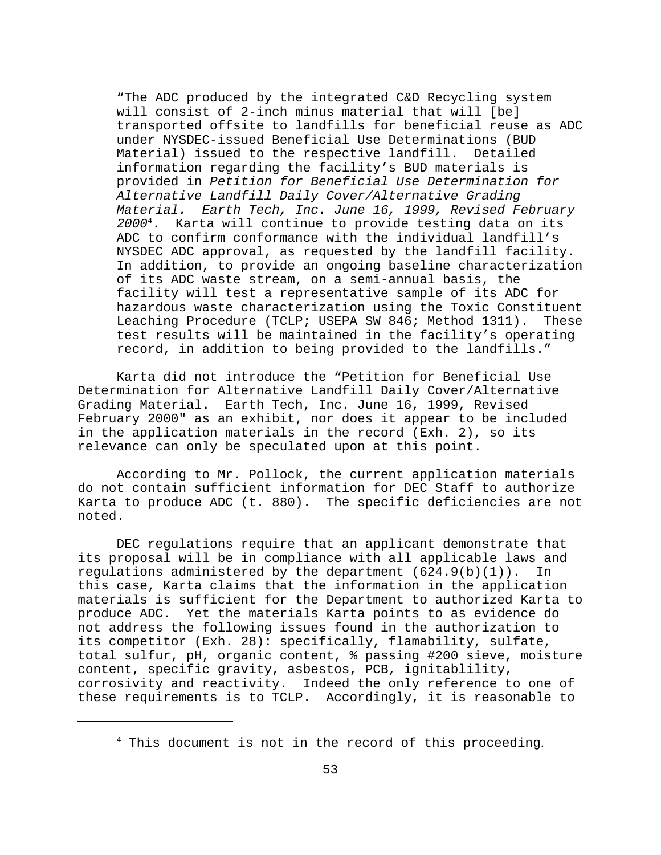"The ADC produced by the integrated C&D Recycling system will consist of 2-inch minus material that will [be] transported offsite to landfills for beneficial reuse as ADC under NYSDEC-issued Beneficial Use Determinations (BUD Material) issued to the respective landfill. Detailed information regarding the facility's BUD materials is provided in *Petition for Beneficial Use Determination for Alternative Landfill Daily Cover/Alternative Grading Material. Earth Tech, Inc. June 16, 1999, Revised February 2000*4. Karta will continue to provide testing data on its ADC to confirm conformance with the individual landfill's NYSDEC ADC approval, as requested by the landfill facility. In addition, to provide an ongoing baseline characterization of its ADC waste stream, on a semi-annual basis, the facility will test a representative sample of its ADC for hazardous waste characterization using the Toxic Constituent Leaching Procedure (TCLP; USEPA SW 846; Method 1311). These test results will be maintained in the facility's operating record, in addition to being provided to the landfills."

Karta did not introduce the "Petition for Beneficial Use Determination for Alternative Landfill Daily Cover/Alternative Grading Material. Earth Tech, Inc. June 16, 1999, Revised February 2000" as an exhibit, nor does it appear to be included in the application materials in the record (Exh. 2), so its relevance can only be speculated upon at this point.

According to Mr. Pollock, the current application materials do not contain sufficient information for DEC Staff to authorize Karta to produce ADC (t. 880). The specific deficiencies are not noted.

DEC regulations require that an applicant demonstrate that its proposal will be in compliance with all applicable laws and regulations administered by the department  $(624.9(b)(1))$ . In this case, Karta claims that the information in the application materials is sufficient for the Department to authorized Karta to produce ADC. Yet the materials Karta points to as evidence do not address the following issues found in the authorization to its competitor (Exh. 28): specifically, flamability, sulfate, total sulfur, pH, organic content, % passing #200 sieve, moisture content, specific gravity, asbestos, PCB, ignitablility, corrosivity and reactivity. Indeed the only reference to one of these requirements is to TCLP. Accordingly, it is reasonable to

 $4$  This document is not in the record of this proceeding.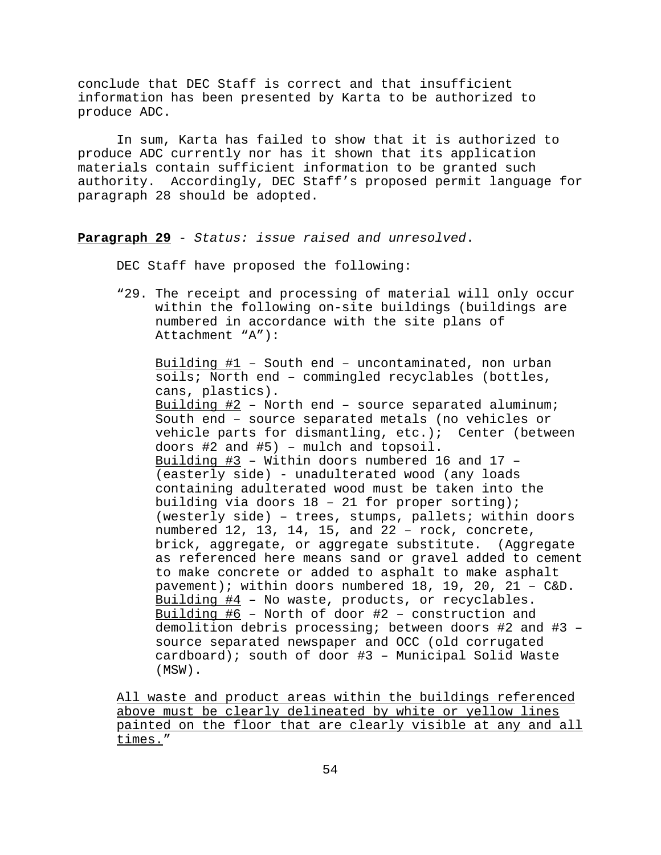conclude that DEC Staff is correct and that insufficient information has been presented by Karta to be authorized to produce ADC.

In sum, Karta has failed to show that it is authorized to produce ADC currently nor has it shown that its application materials contain sufficient information to be granted such authority. Accordingly, DEC Staff's proposed permit language for paragraph 28 should be adopted.

**Paragraph 29** - *Status: issue raised and unresolved*.

DEC Staff have proposed the following:

"29. The receipt and processing of material will only occur within the following on-site buildings (buildings are numbered in accordance with the site plans of Attachment "A"):

Building #1 – South end – uncontaminated, non urban soils; North end – commingled recyclables (bottles, cans, plastics). Building #2 – North end – source separated aluminum; South end – source separated metals (no vehicles or vehicle parts for dismantling, etc.); Center (between doors #2 and #5) – mulch and topsoil. Building #3 – Within doors numbered 16 and 17 – (easterly side) - unadulterated wood (any loads containing adulterated wood must be taken into the building via doors 18 – 21 for proper sorting); (westerly side) – trees, stumps, pallets; within doors numbered 12, 13, 14, 15, and 22 – rock, concrete, brick, aggregate, or aggregate substitute. (Aggregate as referenced here means sand or gravel added to cement to make concrete or added to asphalt to make asphalt pavement); within doors numbered 18, 19, 20, 21 – C&D. Building #4 – No waste, products, or recyclables. Building #6 – North of door #2 – construction and demolition debris processing; between doors #2 and #3 – source separated newspaper and OCC (old corrugated cardboard); south of door #3 – Municipal Solid Waste (MSW).

All waste and product areas within the buildings referenced above must be clearly delineated by white or yellow lines painted on the floor that are clearly visible at any and all times."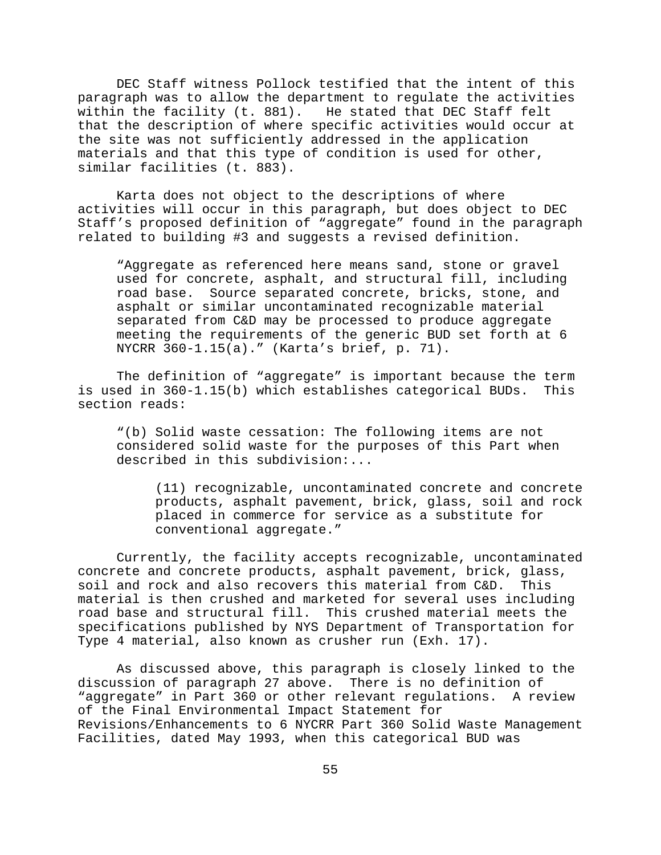DEC Staff witness Pollock testified that the intent of this paragraph was to allow the department to regulate the activities within the facility (t. 881). He stated that DEC Staff felt that the description of where specific activities would occur at the site was not sufficiently addressed in the application materials and that this type of condition is used for other, similar facilities (t. 883).

Karta does not object to the descriptions of where activities will occur in this paragraph, but does object to DEC Staff's proposed definition of "aggregate" found in the paragraph related to building #3 and suggests a revised definition.

"Aggregate as referenced here means sand, stone or gravel used for concrete, asphalt, and structural fill, including road base. Source separated concrete, bricks, stone, and asphalt or similar uncontaminated recognizable material separated from C&D may be processed to produce aggregate meeting the requirements of the generic BUD set forth at 6 NYCRR 360-1.15(a)." (Karta's brief, p. 71).

The definition of "aggregate" is important because the term is used in 360-1.15(b) which establishes categorical BUDs. This section reads:

"(b) Solid waste cessation: The following items are not considered solid waste for the purposes of this Part when described in this subdivision:...

(11) recognizable, uncontaminated concrete and concrete products, asphalt pavement, brick, glass, soil and rock placed in commerce for service as a substitute for conventional aggregate."

Currently, the facility accepts recognizable, uncontaminated concrete and concrete products, asphalt pavement, brick, glass, soil and rock and also recovers this material from C&D. This material is then crushed and marketed for several uses including road base and structural fill. This crushed material meets the specifications published by NYS Department of Transportation for Type 4 material, also known as crusher run (Exh. 17).

As discussed above, this paragraph is closely linked to the discussion of paragraph 27 above. There is no definition of "aggregate" in Part 360 or other relevant regulations. A review of the Final Environmental Impact Statement for Revisions/Enhancements to 6 NYCRR Part 360 Solid Waste Management Facilities, dated May 1993, when this categorical BUD was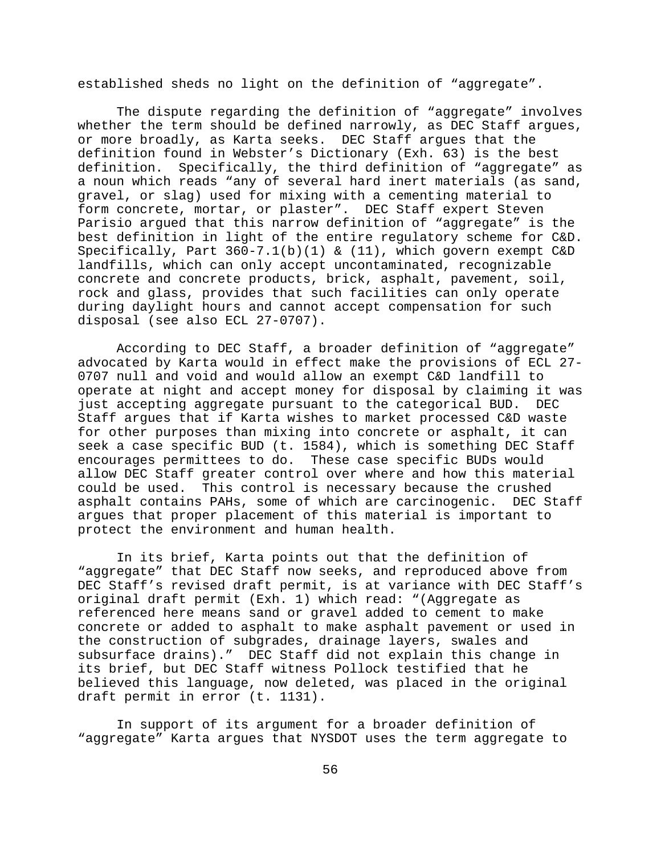established sheds no light on the definition of "aggregate".

The dispute regarding the definition of "aggregate" involves whether the term should be defined narrowly, as DEC Staff argues, or more broadly, as Karta seeks. DEC Staff argues that the definition found in Webster's Dictionary (Exh. 63) is the best definition. Specifically, the third definition of "aggregate" as a noun which reads "any of several hard inert materials (as sand, gravel, or slag) used for mixing with a cementing material to form concrete, mortar, or plaster". DEC Staff expert Steven Parisio argued that this narrow definition of "aggregate" is the best definition in light of the entire regulatory scheme for C&D. Specifically, Part 360-7.1(b)(1) & (11), which govern exempt C&D landfills, which can only accept uncontaminated, recognizable concrete and concrete products, brick, asphalt, pavement, soil, rock and glass, provides that such facilities can only operate during daylight hours and cannot accept compensation for such disposal (see also ECL 27-0707).

According to DEC Staff, a broader definition of "aggregate" advocated by Karta would in effect make the provisions of ECL 27- 0707 null and void and would allow an exempt C&D landfill to operate at night and accept money for disposal by claiming it was just accepting aggregate pursuant to the categorical BUD. DEC Staff argues that if Karta wishes to market processed C&D waste for other purposes than mixing into concrete or asphalt, it can seek a case specific BUD (t. 1584), which is something DEC Staff encourages permittees to do. These case specific BUDs would allow DEC Staff greater control over where and how this material could be used. This control is necessary because the crushed asphalt contains PAHs, some of which are carcinogenic. DEC Staff argues that proper placement of this material is important to protect the environment and human health.

In its brief, Karta points out that the definition of "aggregate" that DEC Staff now seeks, and reproduced above from DEC Staff's revised draft permit, is at variance with DEC Staff's original draft permit (Exh. 1) which read: "(Aggregate as referenced here means sand or gravel added to cement to make concrete or added to asphalt to make asphalt pavement or used in the construction of subgrades, drainage layers, swales and subsurface drains)." DEC Staff did not explain this change in its brief, but DEC Staff witness Pollock testified that he believed this language, now deleted, was placed in the original draft permit in error (t. 1131).

In support of its argument for a broader definition of "aggregate" Karta argues that NYSDOT uses the term aggregate to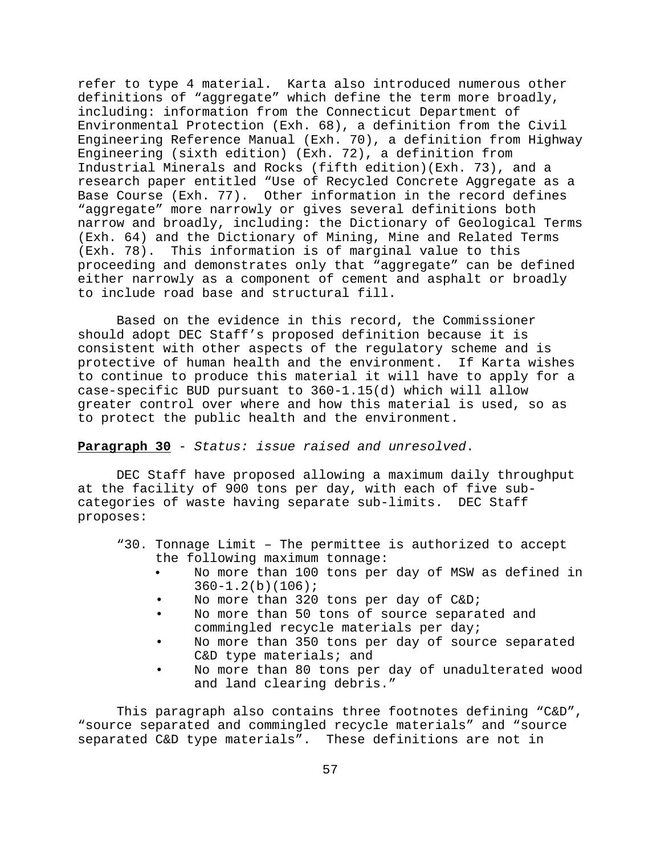refer to type 4 material. Karta also introduced numerous other definitions of "aggregate" which define the term more broadly, including: information from the Connecticut Department of Environmental Protection (Exh. 68), a definition from the Civil Engineering Reference Manual (Exh. 70), a definition from Highway Engineering (sixth edition) (Exh. 72), a definition from Industrial Minerals and Rocks (fifth edition)(Exh. 73), and a research paper entitled "Use of Recycled Concrete Aggregate as a Base Course (Exh. 77). Other information in the record defines "aggregate" more narrowly or gives several definitions both narrow and broadly, including: the Dictionary of Geological Terms (Exh. 64) and the Dictionary of Mining, Mine and Related Terms (Exh. 78). This information is of marginal value to this proceeding and demonstrates only that "aggregate" can be defined either narrowly as a component of cement and asphalt or broadly to include road base and structural fill.

Based on the evidence in this record, the Commissioner should adopt DEC Staff's proposed definition because it is consistent with other aspects of the regulatory scheme and is protective of human health and the environment. If Karta wishes to continue to produce this material it will have to apply for a case-specific BUD pursuant to 360-1.15(d) which will allow greater control over where and how this material is used, so as to protect the public health and the environment.

**Paragraph 30** - *Status: issue raised and unresolved*.

DEC Staff have proposed allowing a maximum daily throughput at the facility of 900 tons per day, with each of five subcategories of waste having separate sub-limits. DEC Staff proposes:

- "30. Tonnage Limit The permittee is authorized to accept the following maximum tonnage:
	- No more than 100 tons per day of MSW as defined in 360-1.2(b)(106);
	- No more than 320 tons per day of C&D;
	- No more than 50 tons of source separated and commingled recycle materials per day;
	- No more than 350 tons per day of source separated C&D type materials; and
	- No more than 80 tons per day of unadulterated wood and land clearing debris."

This paragraph also contains three footnotes defining "C&D", "source separated and commingled recycle materials" and "source separated C&D type materials". These definitions are not in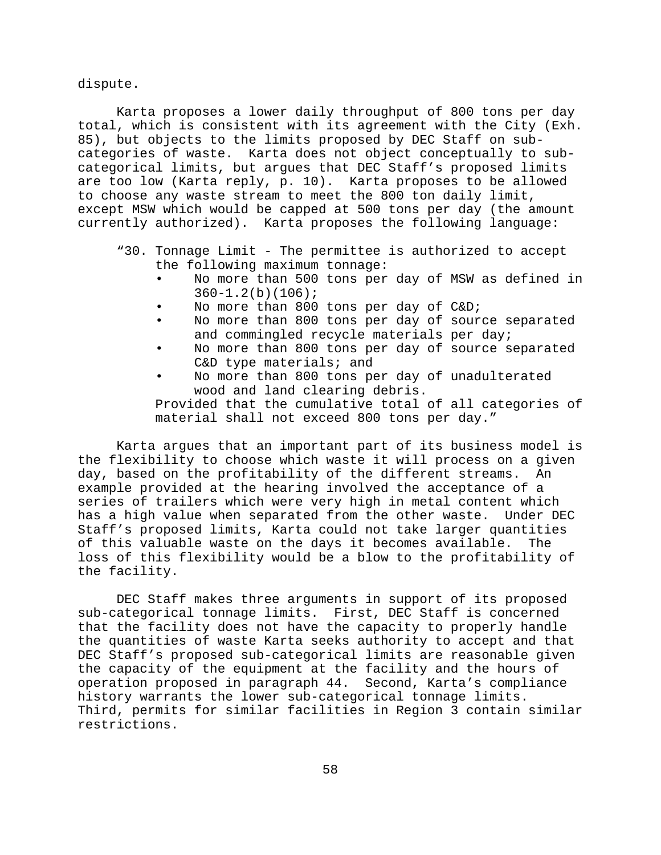dispute.

Karta proposes a lower daily throughput of 800 tons per day total, which is consistent with its agreement with the City (Exh. 85), but objects to the limits proposed by DEC Staff on subcategories of waste. Karta does not object conceptually to subcategorical limits, but argues that DEC Staff's proposed limits are too low (Karta reply, p. 10). Karta proposes to be allowed to choose any waste stream to meet the 800 ton daily limit, except MSW which would be capped at 500 tons per day (the amount currently authorized). Karta proposes the following language:

- "30. Tonnage Limit The permittee is authorized to accept the following maximum tonnage:
	- No more than 500 tons per day of MSW as defined in  $360 - 1.2(b)(106);$
	- No more than 800 tons per day of C&D;
	- No more than 800 tons per day of source separated and commingled recycle materials per day;
	- No more than 800 tons per day of source separated C&D type materials; and
	- No more than 800 tons per day of unadulterated wood and land clearing debris.

Provided that the cumulative total of all categories of material shall not exceed 800 tons per day."

Karta argues that an important part of its business model is the flexibility to choose which waste it will process on a given day, based on the profitability of the different streams. An example provided at the hearing involved the acceptance of a series of trailers which were very high in metal content which has a high value when separated from the other waste. Under DEC Staff's proposed limits, Karta could not take larger quantities of this valuable waste on the days it becomes available. The loss of this flexibility would be a blow to the profitability of the facility.

DEC Staff makes three arguments in support of its proposed sub-categorical tonnage limits. First, DEC Staff is concerned that the facility does not have the capacity to properly handle the quantities of waste Karta seeks authority to accept and that DEC Staff's proposed sub-categorical limits are reasonable given the capacity of the equipment at the facility and the hours of operation proposed in paragraph 44. Second, Karta's compliance history warrants the lower sub-categorical tonnage limits. Third, permits for similar facilities in Region 3 contain similar restrictions.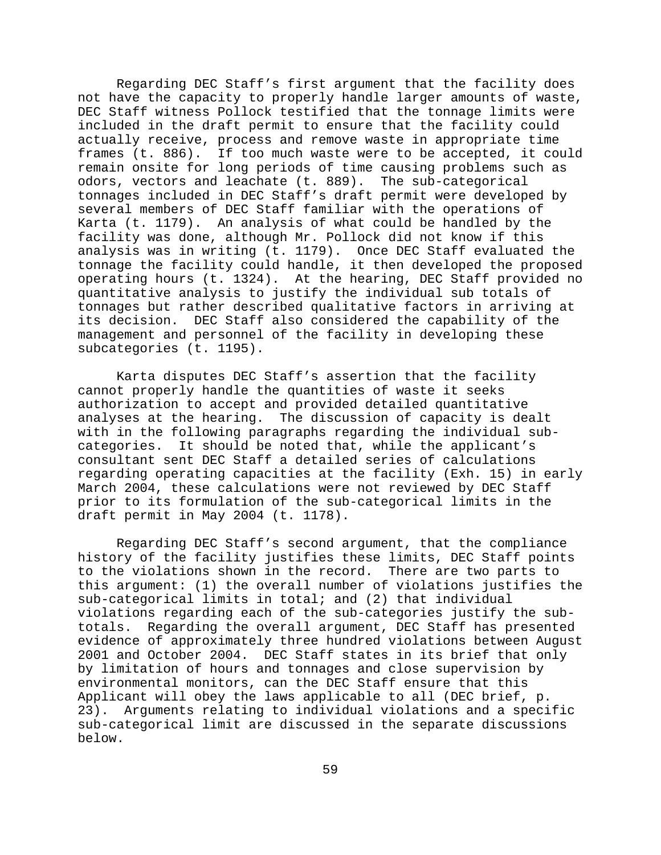Regarding DEC Staff's first argument that the facility does not have the capacity to properly handle larger amounts of waste, DEC Staff witness Pollock testified that the tonnage limits were included in the draft permit to ensure that the facility could actually receive, process and remove waste in appropriate time frames (t. 886). If too much waste were to be accepted, it could remain onsite for long periods of time causing problems such as odors, vectors and leachate (t. 889). The sub-categorical tonnages included in DEC Staff's draft permit were developed by several members of DEC Staff familiar with the operations of Karta (t. 1179). An analysis of what could be handled by the facility was done, although Mr. Pollock did not know if this analysis was in writing (t. 1179). Once DEC Staff evaluated the tonnage the facility could handle, it then developed the proposed operating hours (t. 1324). At the hearing, DEC Staff provided no quantitative analysis to justify the individual sub totals of tonnages but rather described qualitative factors in arriving at its decision. DEC Staff also considered the capability of the management and personnel of the facility in developing these subcategories (t. 1195).

Karta disputes DEC Staff's assertion that the facility cannot properly handle the quantities of waste it seeks authorization to accept and provided detailed quantitative analyses at the hearing. The discussion of capacity is dealt with in the following paragraphs regarding the individual subcategories. It should be noted that, while the applicant's consultant sent DEC Staff a detailed series of calculations regarding operating capacities at the facility (Exh. 15) in early March 2004, these calculations were not reviewed by DEC Staff prior to its formulation of the sub-categorical limits in the draft permit in May 2004 (t. 1178).

Regarding DEC Staff's second argument, that the compliance history of the facility justifies these limits, DEC Staff points to the violations shown in the record. There are two parts to this argument: (1) the overall number of violations justifies the sub-categorical limits in total; and (2) that individual violations regarding each of the sub-categories justify the subtotals. Regarding the overall argument, DEC Staff has presented evidence of approximately three hundred violations between August 2001 and October 2004. DEC Staff states in its brief that only by limitation of hours and tonnages and close supervision by environmental monitors, can the DEC Staff ensure that this Applicant will obey the laws applicable to all (DEC brief, p. 23). Arguments relating to individual violations and a specific sub-categorical limit are discussed in the separate discussions below.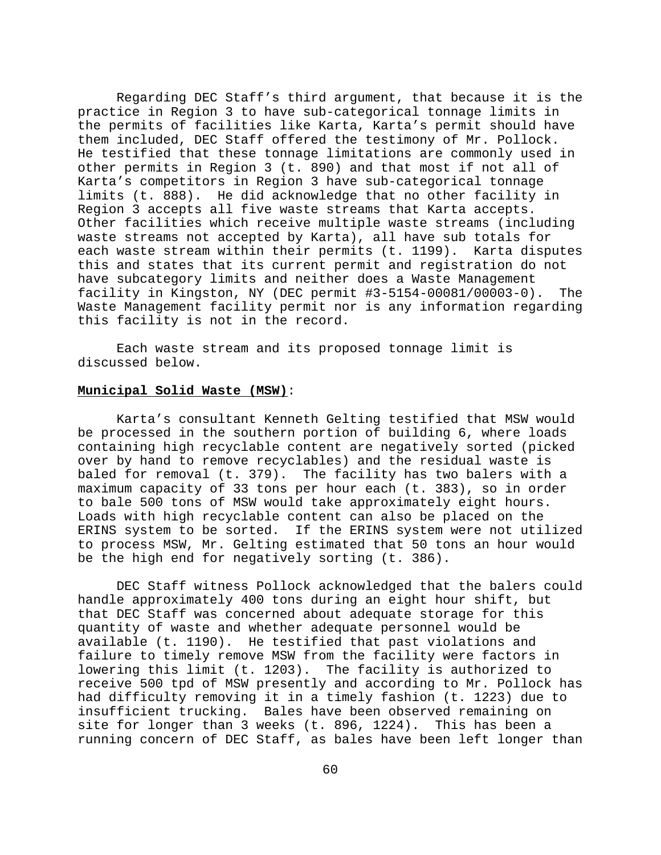Regarding DEC Staff's third argument, that because it is the practice in Region 3 to have sub-categorical tonnage limits in the permits of facilities like Karta, Karta's permit should have them included, DEC Staff offered the testimony of Mr. Pollock. He testified that these tonnage limitations are commonly used in other permits in Region 3 (t. 890) and that most if not all of Karta's competitors in Region 3 have sub-categorical tonnage limits (t. 888). He did acknowledge that no other facility in Region 3 accepts all five waste streams that Karta accepts. Other facilities which receive multiple waste streams (including waste streams not accepted by Karta), all have sub totals for each waste stream within their permits (t. 1199). Karta disputes this and states that its current permit and registration do not have subcategory limits and neither does a Waste Management facility in Kingston, NY (DEC permit #3-5154-00081/00003-0). The Waste Management facility permit nor is any information regarding this facility is not in the record.

Each waste stream and its proposed tonnage limit is discussed below.

### **Municipal Solid Waste (MSW)**:

Karta's consultant Kenneth Gelting testified that MSW would be processed in the southern portion of building 6, where loads containing high recyclable content are negatively sorted (picked over by hand to remove recyclables) and the residual waste is baled for removal (t. 379). The facility has two balers with a maximum capacity of 33 tons per hour each (t. 383), so in order to bale 500 tons of MSW would take approximately eight hours. Loads with high recyclable content can also be placed on the ERINS system to be sorted. If the ERINS system were not utilized to process MSW, Mr. Gelting estimated that 50 tons an hour would be the high end for negatively sorting (t. 386).

DEC Staff witness Pollock acknowledged that the balers could handle approximately 400 tons during an eight hour shift, but that DEC Staff was concerned about adequate storage for this quantity of waste and whether adequate personnel would be available (t. 1190). He testified that past violations and failure to timely remove MSW from the facility were factors in lowering this limit (t. 1203). The facility is authorized to receive 500 tpd of MSW presently and according to Mr. Pollock has had difficulty removing it in a timely fashion (t. 1223) due to insufficient trucking. Bales have been observed remaining on site for longer than 3 weeks (t. 896, 1224). This has been a running concern of DEC Staff, as bales have been left longer than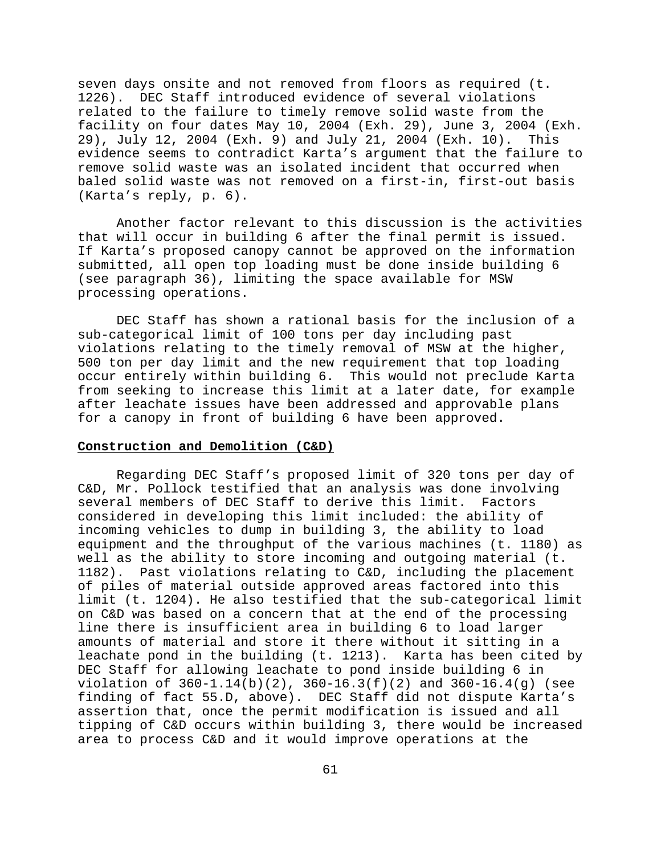seven days onsite and not removed from floors as required (t. 1226). DEC Staff introduced evidence of several violations related to the failure to timely remove solid waste from the facility on four dates May 10, 2004 (Exh. 29), June 3, 2004 (Exh. 29), July 12, 2004 (Exh. 9) and July 21, 2004 (Exh. 10). This evidence seems to contradict Karta's argument that the failure to remove solid waste was an isolated incident that occurred when baled solid waste was not removed on a first-in, first-out basis (Karta's reply, p. 6).

Another factor relevant to this discussion is the activities that will occur in building 6 after the final permit is issued. If Karta's proposed canopy cannot be approved on the information submitted, all open top loading must be done inside building 6 (see paragraph 36), limiting the space available for MSW processing operations.

DEC Staff has shown a rational basis for the inclusion of a sub-categorical limit of 100 tons per day including past violations relating to the timely removal of MSW at the higher, 500 ton per day limit and the new requirement that top loading occur entirely within building 6. This would not preclude Karta from seeking to increase this limit at a later date, for example after leachate issues have been addressed and approvable plans for a canopy in front of building 6 have been approved.

#### **Construction and Demolition (C&D)**

Regarding DEC Staff's proposed limit of 320 tons per day of C&D, Mr. Pollock testified that an analysis was done involving several members of DEC Staff to derive this limit. Factors considered in developing this limit included: the ability of incoming vehicles to dump in building 3, the ability to load equipment and the throughput of the various machines (t. 1180) as well as the ability to store incoming and outgoing material (t. 1182). Past violations relating to C&D, including the placement of piles of material outside approved areas factored into this limit (t. 1204). He also testified that the sub-categorical limit on C&D was based on a concern that at the end of the processing line there is insufficient area in building 6 to load larger amounts of material and store it there without it sitting in a leachate pond in the building (t. 1213). Karta has been cited by DEC Staff for allowing leachate to pond inside building 6 in violation of 360-1.14(b)(2), 360-16.3(f)(2) and 360-16.4(g) (see finding of fact 55.D, above). DEC Staff did not dispute Karta's assertion that, once the permit modification is issued and all tipping of C&D occurs within building 3, there would be increased area to process C&D and it would improve operations at the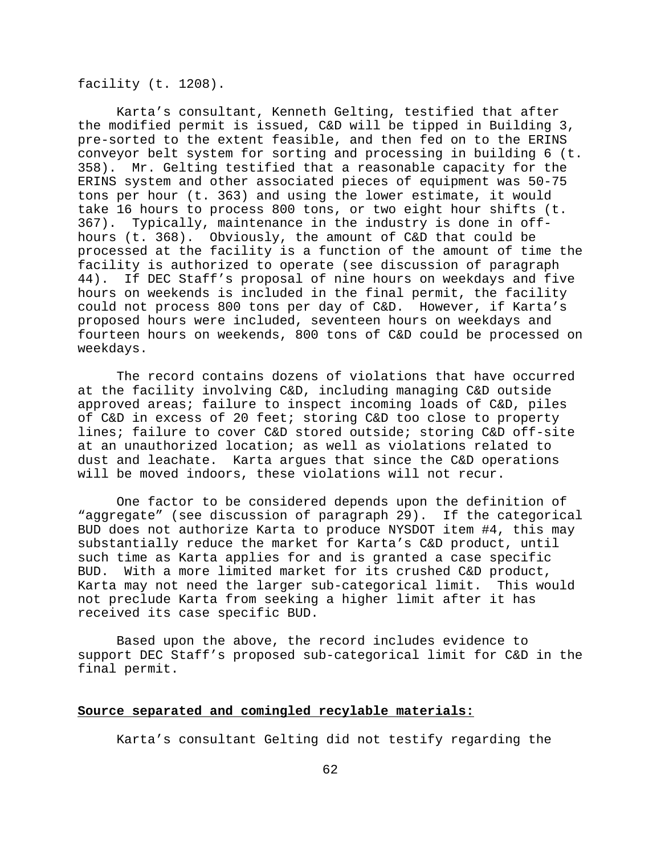facility (t. 1208).

Karta's consultant, Kenneth Gelting, testified that after the modified permit is issued, C&D will be tipped in Building 3, pre-sorted to the extent feasible, and then fed on to the ERINS conveyor belt system for sorting and processing in building 6 (t. 358). Mr. Gelting testified that a reasonable capacity for the ERINS system and other associated pieces of equipment was 50-75 tons per hour (t. 363) and using the lower estimate, it would take 16 hours to process 800 tons, or two eight hour shifts (t. 367). Typically, maintenance in the industry is done in offhours (t. 368). Obviously, the amount of C&D that could be processed at the facility is a function of the amount of time the facility is authorized to operate (see discussion of paragraph 44). If DEC Staff's proposal of nine hours on weekdays and five hours on weekends is included in the final permit, the facility could not process 800 tons per day of C&D. However, if Karta's proposed hours were included, seventeen hours on weekdays and fourteen hours on weekends, 800 tons of C&D could be processed on weekdays.

The record contains dozens of violations that have occurred at the facility involving C&D, including managing C&D outside approved areas; failure to inspect incoming loads of C&D, piles of C&D in excess of 20 feet; storing C&D too close to property lines; failure to cover C&D stored outside; storing C&D off-site at an unauthorized location; as well as violations related to dust and leachate. Karta argues that since the C&D operations will be moved indoors, these violations will not recur.

One factor to be considered depends upon the definition of "aggregate" (see discussion of paragraph 29). If the categorical BUD does not authorize Karta to produce NYSDOT item #4, this may substantially reduce the market for Karta's C&D product, until such time as Karta applies for and is granted a case specific BUD. With a more limited market for its crushed C&D product, Karta may not need the larger sub-categorical limit. This would not preclude Karta from seeking a higher limit after it has received its case specific BUD.

Based upon the above, the record includes evidence to support DEC Staff's proposed sub-categorical limit for C&D in the final permit.

# **Source separated and comingled recylable materials:**

Karta's consultant Gelting did not testify regarding the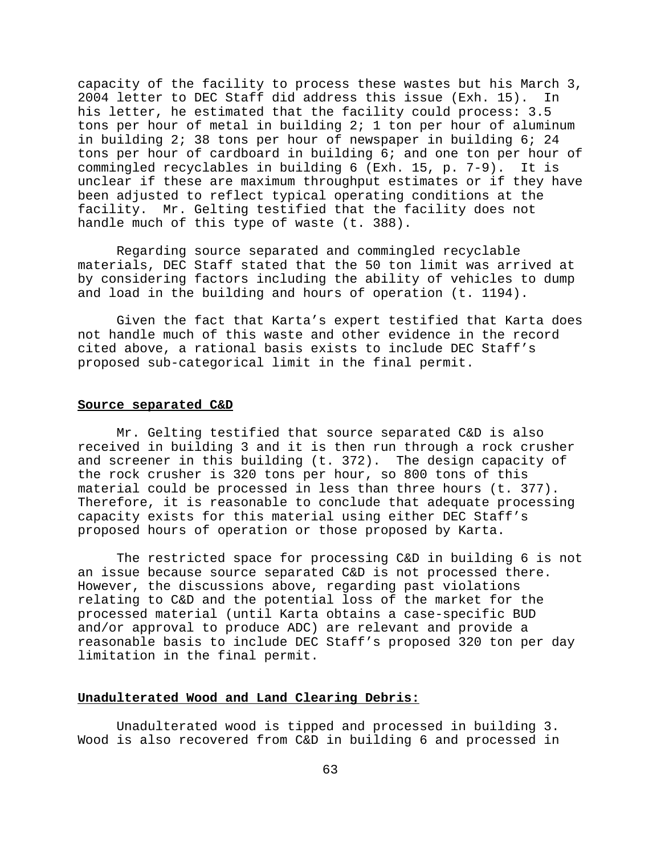capacity of the facility to process these wastes but his March 3, 2004 letter to DEC Staff did address this issue (Exh. 15). In his letter, he estimated that the facility could process: 3.5 tons per hour of metal in building 2; 1 ton per hour of aluminum in building 2; 38 tons per hour of newspaper in building 6; 24 tons per hour of cardboard in building 6; and one ton per hour of commingled recyclables in building 6 (Exh. 15, p. 7-9). It is unclear if these are maximum throughput estimates or if they have been adjusted to reflect typical operating conditions at the facility. Mr. Gelting testified that the facility does not handle much of this type of waste (t. 388).

Regarding source separated and commingled recyclable materials, DEC Staff stated that the 50 ton limit was arrived at by considering factors including the ability of vehicles to dump and load in the building and hours of operation (t. 1194).

Given the fact that Karta's expert testified that Karta does not handle much of this waste and other evidence in the record cited above, a rational basis exists to include DEC Staff's proposed sub-categorical limit in the final permit.

### **Source separated C&D**

Mr. Gelting testified that source separated C&D is also received in building 3 and it is then run through a rock crusher and screener in this building (t. 372). The design capacity of the rock crusher is 320 tons per hour, so 800 tons of this material could be processed in less than three hours (t. 377). Therefore, it is reasonable to conclude that adequate processing capacity exists for this material using either DEC Staff's proposed hours of operation or those proposed by Karta.

The restricted space for processing C&D in building 6 is not an issue because source separated C&D is not processed there. However, the discussions above, regarding past violations relating to C&D and the potential loss of the market for the processed material (until Karta obtains a case-specific BUD and/or approval to produce ADC) are relevant and provide a reasonable basis to include DEC Staff's proposed 320 ton per day limitation in the final permit.

#### **Unadulterated Wood and Land Clearing Debris:**

Unadulterated wood is tipped and processed in building 3. Wood is also recovered from C&D in building 6 and processed in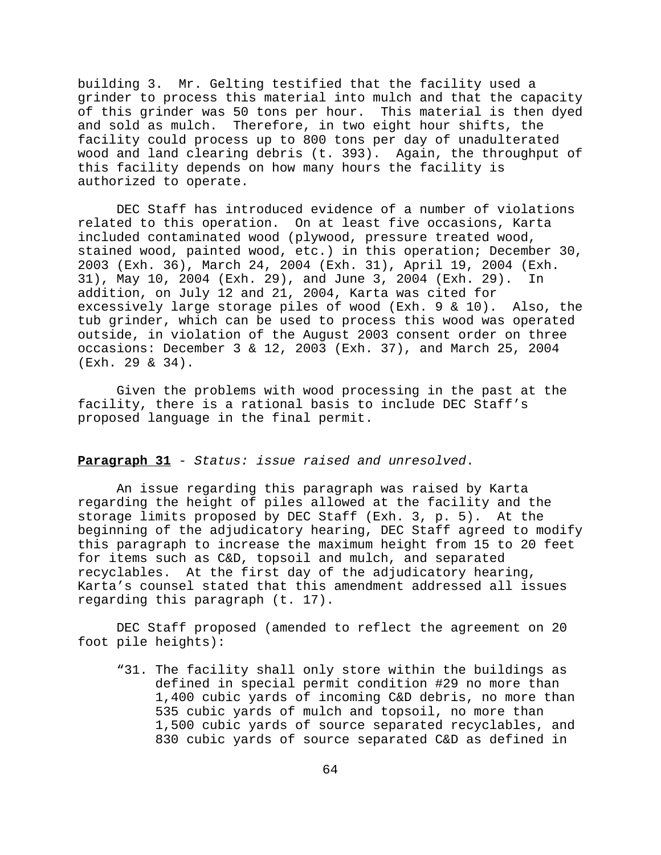building 3. Mr. Gelting testified that the facility used a grinder to process this material into mulch and that the capacity of this grinder was 50 tons per hour. This material is then dyed and sold as mulch. Therefore, in two eight hour shifts, the facility could process up to 800 tons per day of unadulterated wood and land clearing debris (t. 393). Again, the throughput of this facility depends on how many hours the facility is authorized to operate.

DEC Staff has introduced evidence of a number of violations related to this operation. On at least five occasions, Karta included contaminated wood (plywood, pressure treated wood, stained wood, painted wood, etc.) in this operation; December 30, 2003 (Exh. 36), March 24, 2004 (Exh. 31), April 19, 2004 (Exh. 31), May 10, 2004 (Exh. 29), and June 3, 2004 (Exh. 29). In addition, on July 12 and 21, 2004, Karta was cited for excessively large storage piles of wood (Exh. 9 & 10). Also, the tub grinder, which can be used to process this wood was operated outside, in violation of the August 2003 consent order on three occasions: December 3 & 12, 2003 (Exh. 37), and March 25, 2004 (Exh. 29 & 34).

Given the problems with wood processing in the past at the facility, there is a rational basis to include DEC Staff's proposed language in the final permit.

## **Paragraph 31** - *Status: issue raised and unresolved*.

An issue regarding this paragraph was raised by Karta regarding the height of piles allowed at the facility and the storage limits proposed by DEC Staff (Exh. 3, p. 5). At the beginning of the adjudicatory hearing, DEC Staff agreed to modify this paragraph to increase the maximum height from 15 to 20 feet for items such as C&D, topsoil and mulch, and separated recyclables. At the first day of the adjudicatory hearing, Karta's counsel stated that this amendment addressed all issues regarding this paragraph (t. 17).

DEC Staff proposed (amended to reflect the agreement on 20 foot pile heights):

"31. The facility shall only store within the buildings as defined in special permit condition #29 no more than 1,400 cubic yards of incoming C&D debris, no more than 535 cubic yards of mulch and topsoil, no more than 1,500 cubic yards of source separated recyclables, and 830 cubic yards of source separated C&D as defined in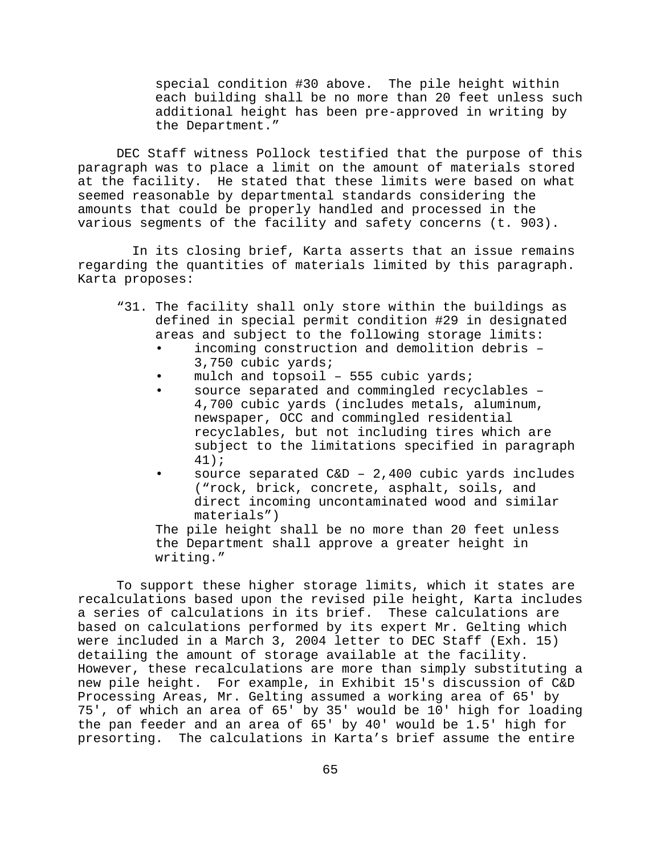special condition #30 above. The pile height within each building shall be no more than 20 feet unless such additional height has been pre-approved in writing by the Department."

DEC Staff witness Pollock testified that the purpose of this paragraph was to place a limit on the amount of materials stored at the facility. He stated that these limits were based on what seemed reasonable by departmental standards considering the amounts that could be properly handled and processed in the various segments of the facility and safety concerns (t. 903).

 In its closing brief, Karta asserts that an issue remains regarding the quantities of materials limited by this paragraph. Karta proposes:

- "31. The facility shall only store within the buildings as defined in special permit condition #29 in designated areas and subject to the following storage limits:
	- incoming construction and demolition debris 3,750 cubic yards;
	- mulch and topsoil  $-$  555 cubic yards;
	- source separated and commingled recyclables 4,700 cubic yards (includes metals, aluminum, newspaper, OCC and commingled residential recyclables, but not including tires which are subject to the limitations specified in paragraph 41);
	- source separated  $C\&D 2,400$  cubic yards includes ("rock, brick, concrete, asphalt, soils, and direct incoming uncontaminated wood and similar materials")

The pile height shall be no more than 20 feet unless the Department shall approve a greater height in writing."

To support these higher storage limits, which it states are recalculations based upon the revised pile height, Karta includes a series of calculations in its brief. These calculations are based on calculations performed by its expert Mr. Gelting which were included in a March 3, 2004 letter to DEC Staff (Exh. 15) detailing the amount of storage available at the facility. However, these recalculations are more than simply substituting a new pile height. For example, in Exhibit 15's discussion of C&D Processing Areas, Mr. Gelting assumed a working area of 65' by 75', of which an area of 65' by 35' would be 10' high for loading the pan feeder and an area of 65' by 40' would be 1.5' high for presorting. The calculations in Karta's brief assume the entire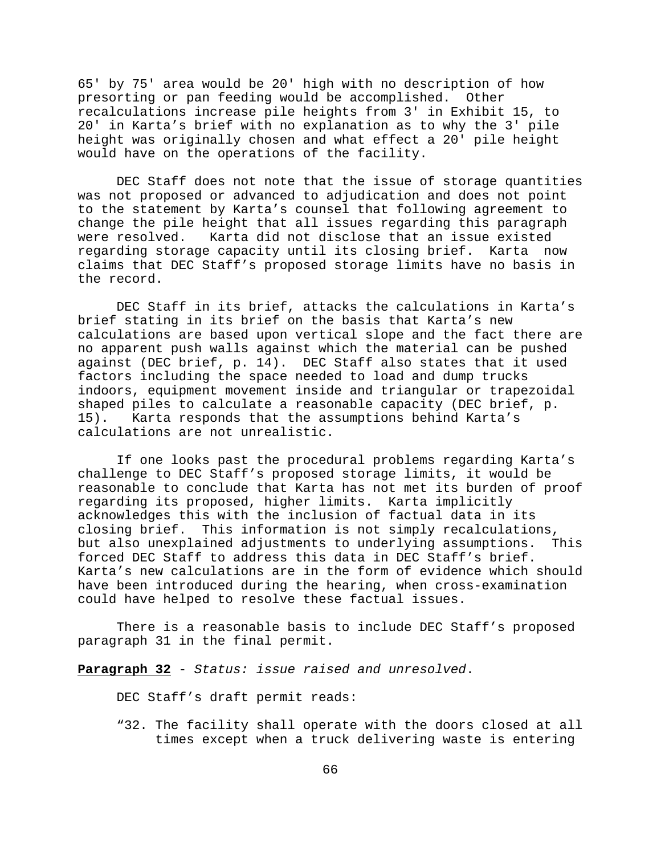65' by 75' area would be 20' high with no description of how presorting or pan feeding would be accomplished. Other recalculations increase pile heights from 3' in Exhibit 15, to 20' in Karta's brief with no explanation as to why the 3' pile height was originally chosen and what effect a 20' pile height would have on the operations of the facility.

DEC Staff does not note that the issue of storage quantities was not proposed or advanced to adjudication and does not point to the statement by Karta's counsel that following agreement to change the pile height that all issues regarding this paragraph were resolved. Karta did not disclose that an issue existed regarding storage capacity until its closing brief. Karta now claims that DEC Staff's proposed storage limits have no basis in the record.

DEC Staff in its brief, attacks the calculations in Karta's brief stating in its brief on the basis that Karta's new calculations are based upon vertical slope and the fact there are no apparent push walls against which the material can be pushed against (DEC brief, p. 14). DEC Staff also states that it used factors including the space needed to load and dump trucks indoors, equipment movement inside and triangular or trapezoidal shaped piles to calculate a reasonable capacity (DEC brief, p. 15). Karta responds that the assumptions behind Karta's calculations are not unrealistic.

If one looks past the procedural problems regarding Karta's challenge to DEC Staff's proposed storage limits, it would be reasonable to conclude that Karta has not met its burden of proof regarding its proposed, higher limits. Karta implicitly acknowledges this with the inclusion of factual data in its closing brief. This information is not simply recalculations, but also unexplained adjustments to underlying assumptions. This forced DEC Staff to address this data in DEC Staff's brief. Karta's new calculations are in the form of evidence which should have been introduced during the hearing, when cross-examination could have helped to resolve these factual issues.

There is a reasonable basis to include DEC Staff's proposed paragraph 31 in the final permit.

**Paragraph 32** - *Status: issue raised and unresolved*.

DEC Staff's draft permit reads:

"32. The facility shall operate with the doors closed at all times except when a truck delivering waste is entering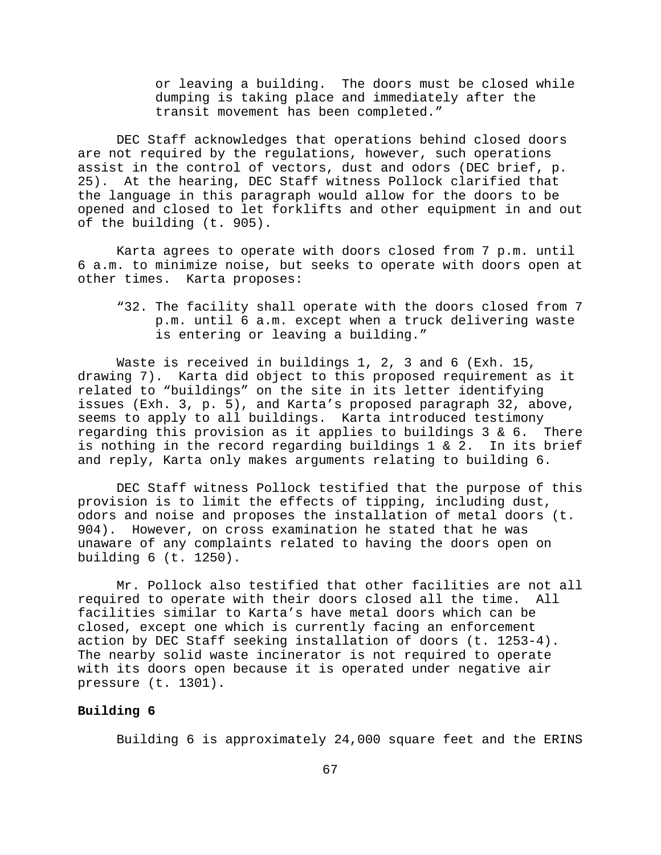or leaving a building. The doors must be closed while dumping is taking place and immediately after the transit movement has been completed."

DEC Staff acknowledges that operations behind closed doors are not required by the regulations, however, such operations assist in the control of vectors, dust and odors (DEC brief, p. 25). At the hearing, DEC Staff witness Pollock clarified that the language in this paragraph would allow for the doors to be opened and closed to let forklifts and other equipment in and out of the building (t. 905).

Karta agrees to operate with doors closed from 7 p.m. until 6 a.m. to minimize noise, but seeks to operate with doors open at other times. Karta proposes:

"32. The facility shall operate with the doors closed from 7 p.m. until 6 a.m. except when a truck delivering waste is entering or leaving a building."

Waste is received in buildings 1, 2, 3 and 6 (Exh. 15, drawing 7). Karta did object to this proposed requirement as it related to "buildings" on the site in its letter identifying issues (Exh. 3, p. 5), and Karta's proposed paragraph 32, above, seems to apply to all buildings. Karta introduced testimony regarding this provision as it applies to buildings 3 & 6. There is nothing in the record regarding buildings 1 & 2. In its brief and reply, Karta only makes arguments relating to building 6.

DEC Staff witness Pollock testified that the purpose of this provision is to limit the effects of tipping, including dust, odors and noise and proposes the installation of metal doors (t. 904). However, on cross examination he stated that he was unaware of any complaints related to having the doors open on building 6 (t. 1250).

Mr. Pollock also testified that other facilities are not all required to operate with their doors closed all the time. All facilities similar to Karta's have metal doors which can be closed, except one which is currently facing an enforcement action by DEC Staff seeking installation of doors (t. 1253-4). The nearby solid waste incinerator is not required to operate with its doors open because it is operated under negative air pressure (t. 1301).

### **Building 6**

Building 6 is approximately 24,000 square feet and the ERINS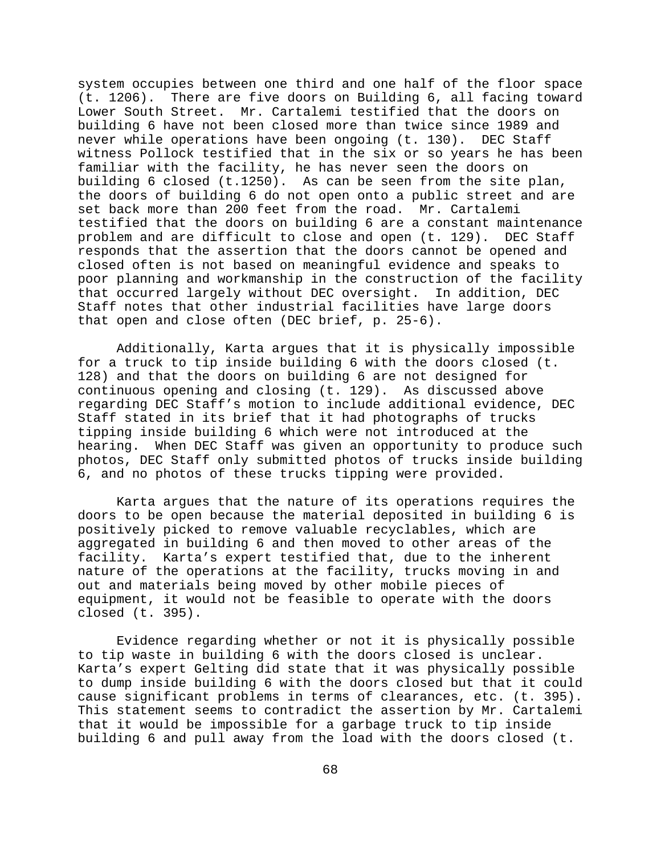system occupies between one third and one half of the floor space (t. 1206). There are five doors on Building 6, all facing toward Lower South Street. Mr. Cartalemi testified that the doors on building 6 have not been closed more than twice since 1989 and never while operations have been ongoing (t. 130). DEC Staff witness Pollock testified that in the six or so years he has been familiar with the facility, he has never seen the doors on building 6 closed (t.1250). As can be seen from the site plan, the doors of building 6 do not open onto a public street and are set back more than 200 feet from the road. Mr. Cartalemi testified that the doors on building 6 are a constant maintenance problem and are difficult to close and open (t. 129). DEC Staff responds that the assertion that the doors cannot be opened and closed often is not based on meaningful evidence and speaks to poor planning and workmanship in the construction of the facility that occurred largely without DEC oversight. In addition, DEC Staff notes that other industrial facilities have large doors that open and close often (DEC brief, p. 25-6).

Additionally, Karta argues that it is physically impossible for a truck to tip inside building 6 with the doors closed (t. 128) and that the doors on building 6 are not designed for continuous opening and closing (t. 129). As discussed above regarding DEC Staff's motion to include additional evidence, DEC Staff stated in its brief that it had photographs of trucks tipping inside building 6 which were not introduced at the hearing. When DEC Staff was given an opportunity to produce such photos, DEC Staff only submitted photos of trucks inside building 6, and no photos of these trucks tipping were provided.

Karta argues that the nature of its operations requires the doors to be open because the material deposited in building 6 is positively picked to remove valuable recyclables, which are aggregated in building 6 and then moved to other areas of the facility. Karta's expert testified that, due to the inherent nature of the operations at the facility, trucks moving in and out and materials being moved by other mobile pieces of equipment, it would not be feasible to operate with the doors closed (t. 395).

Evidence regarding whether or not it is physically possible to tip waste in building 6 with the doors closed is unclear. Karta's expert Gelting did state that it was physically possible to dump inside building 6 with the doors closed but that it could cause significant problems in terms of clearances, etc. (t. 395). This statement seems to contradict the assertion by Mr. Cartalemi that it would be impossible for a garbage truck to tip inside building 6 and pull away from the load with the doors closed (t.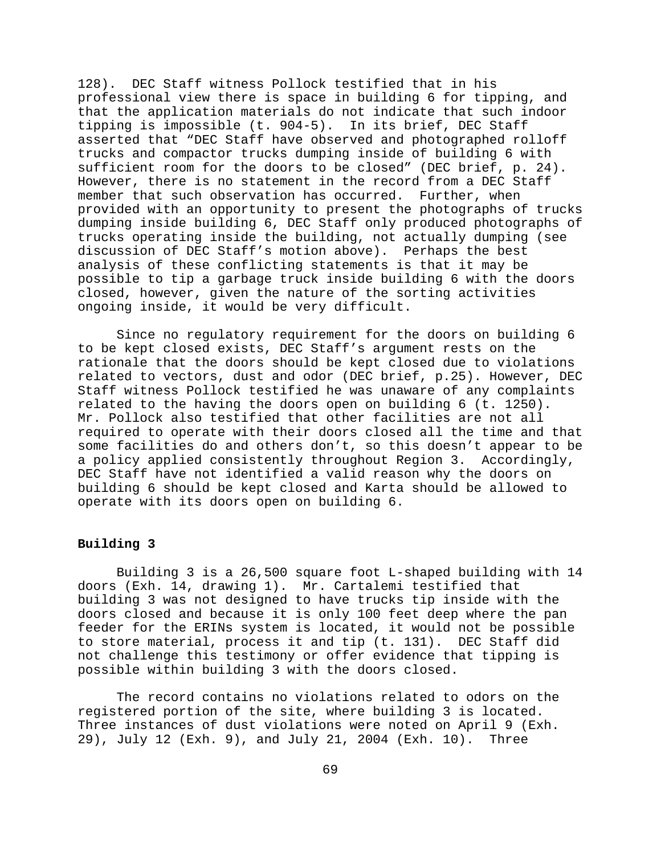128). DEC Staff witness Pollock testified that in his professional view there is space in building 6 for tipping, and that the application materials do not indicate that such indoor tipping is impossible (t. 904-5). In its brief, DEC Staff asserted that "DEC Staff have observed and photographed rolloff trucks and compactor trucks dumping inside of building 6 with sufficient room for the doors to be closed" (DEC brief, p. 24). However, there is no statement in the record from a DEC Staff member that such observation has occurred. Further, when provided with an opportunity to present the photographs of trucks dumping inside building 6, DEC Staff only produced photographs of trucks operating inside the building, not actually dumping (see discussion of DEC Staff's motion above). Perhaps the best analysis of these conflicting statements is that it may be possible to tip a garbage truck inside building 6 with the doors closed, however, given the nature of the sorting activities ongoing inside, it would be very difficult.

Since no regulatory requirement for the doors on building 6 to be kept closed exists, DEC Staff's argument rests on the rationale that the doors should be kept closed due to violations related to vectors, dust and odor (DEC brief, p.25). However, DEC Staff witness Pollock testified he was unaware of any complaints related to the having the doors open on building 6 (t. 1250). Mr. Pollock also testified that other facilities are not all required to operate with their doors closed all the time and that some facilities do and others don't, so this doesn't appear to be a policy applied consistently throughout Region 3. Accordingly, DEC Staff have not identified a valid reason why the doors on building 6 should be kept closed and Karta should be allowed to operate with its doors open on building 6.

# **Building 3**

Building 3 is a 26,500 square foot L-shaped building with 14 doors (Exh. 14, drawing 1). Mr. Cartalemi testified that building 3 was not designed to have trucks tip inside with the doors closed and because it is only 100 feet deep where the pan feeder for the ERINs system is located, it would not be possible to store material, process it and tip (t. 131). DEC Staff did not challenge this testimony or offer evidence that tipping is possible within building 3 with the doors closed.

The record contains no violations related to odors on the registered portion of the site, where building 3 is located. Three instances of dust violations were noted on April 9 (Exh. 29), July 12 (Exh. 9), and July 21, 2004 (Exh. 10). Three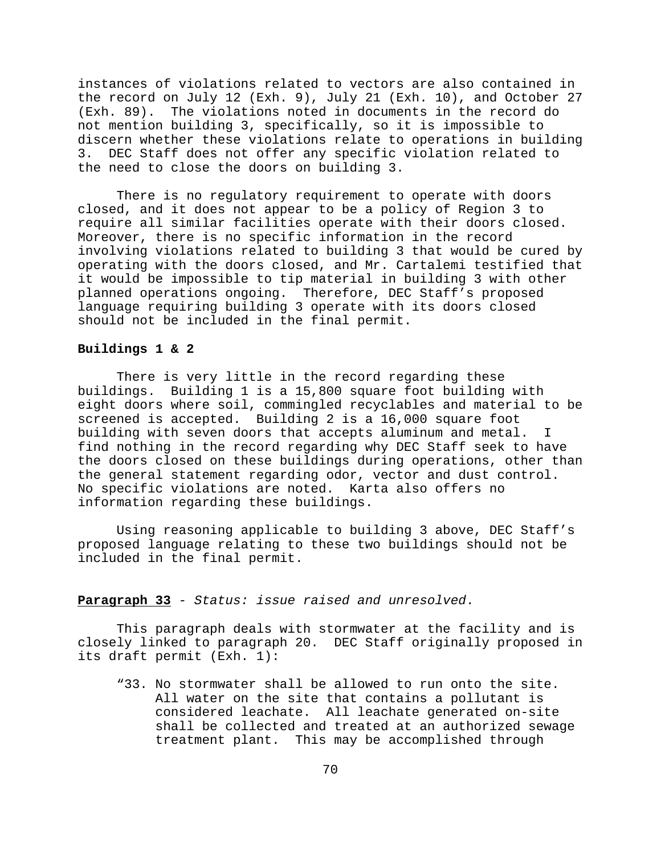instances of violations related to vectors are also contained in the record on July 12 (Exh. 9), July 21 (Exh. 10), and October 27 (Exh. 89). The violations noted in documents in the record do not mention building 3, specifically, so it is impossible to discern whether these violations relate to operations in building 3. DEC Staff does not offer any specific violation related to the need to close the doors on building 3.

There is no regulatory requirement to operate with doors closed, and it does not appear to be a policy of Region 3 to require all similar facilities operate with their doors closed. Moreover, there is no specific information in the record involving violations related to building 3 that would be cured by operating with the doors closed, and Mr. Cartalemi testified that it would be impossible to tip material in building 3 with other planned operations ongoing. Therefore, DEC Staff's proposed language requiring building 3 operate with its doors closed should not be included in the final permit.

### **Buildings 1 & 2**

There is very little in the record regarding these buildings. Building 1 is a 15,800 square foot building with eight doors where soil, commingled recyclables and material to be screened is accepted. Building 2 is a 16,000 square foot building with seven doors that accepts aluminum and metal. I find nothing in the record regarding why DEC Staff seek to have the doors closed on these buildings during operations, other than the general statement regarding odor, vector and dust control. No specific violations are noted. Karta also offers no information regarding these buildings.

Using reasoning applicable to building 3 above, DEC Staff's proposed language relating to these two buildings should not be included in the final permit.

# **Paragraph 33** *- Status: issue raised and unresolved*.

This paragraph deals with stormwater at the facility and is closely linked to paragraph 20. DEC Staff originally proposed in its draft permit (Exh. 1):

"33. No stormwater shall be allowed to run onto the site. All water on the site that contains a pollutant is considered leachate. All leachate generated on-site shall be collected and treated at an authorized sewage treatment plant. This may be accomplished through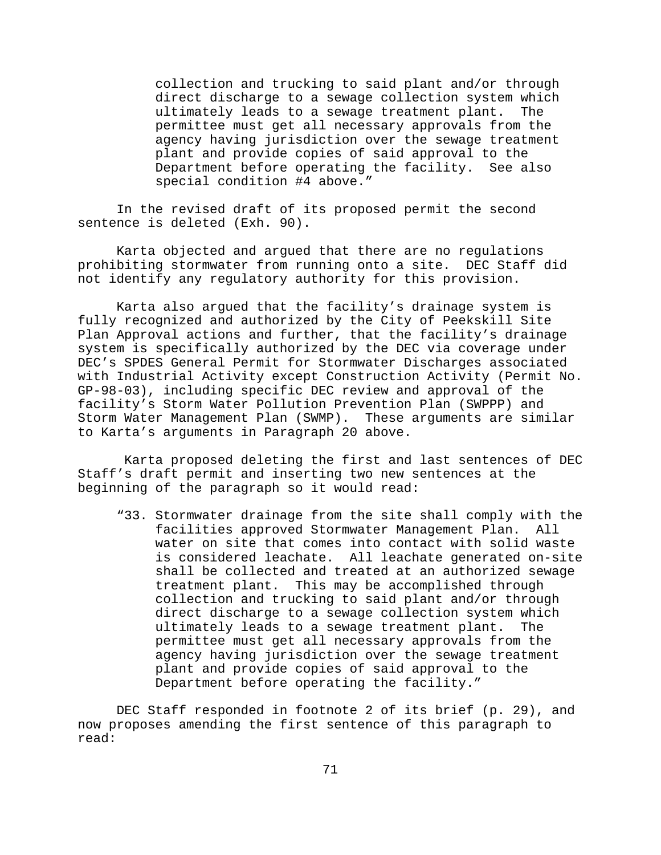collection and trucking to said plant and/or through direct discharge to a sewage collection system which ultimately leads to a sewage treatment plant. The permittee must get all necessary approvals from the agency having jurisdiction over the sewage treatment plant and provide copies of said approval to the Department before operating the facility. See also special condition #4 above."

In the revised draft of its proposed permit the second sentence is deleted (Exh. 90).

Karta objected and argued that there are no regulations prohibiting stormwater from running onto a site. DEC Staff did not identify any regulatory authority for this provision.

Karta also argued that the facility's drainage system is fully recognized and authorized by the City of Peekskill Site Plan Approval actions and further, that the facility's drainage system is specifically authorized by the DEC via coverage under DEC's SPDES General Permit for Stormwater Discharges associated with Industrial Activity except Construction Activity (Permit No. GP-98-03), including specific DEC review and approval of the facility's Storm Water Pollution Prevention Plan (SWPPP) and Storm Water Management Plan (SWMP). These arguments are similar to Karta's arguments in Paragraph 20 above.

 Karta proposed deleting the first and last sentences of DEC Staff's draft permit and inserting two new sentences at the beginning of the paragraph so it would read:

"33. Stormwater drainage from the site shall comply with the facilities approved Stormwater Management Plan. All water on site that comes into contact with solid waste is considered leachate. All leachate generated on-site shall be collected and treated at an authorized sewage treatment plant. This may be accomplished through collection and trucking to said plant and/or through direct discharge to a sewage collection system which ultimately leads to a sewage treatment plant. The permittee must get all necessary approvals from the agency having jurisdiction over the sewage treatment plant and provide copies of said approval to the Department before operating the facility."

DEC Staff responded in footnote 2 of its brief (p. 29), and now proposes amending the first sentence of this paragraph to read: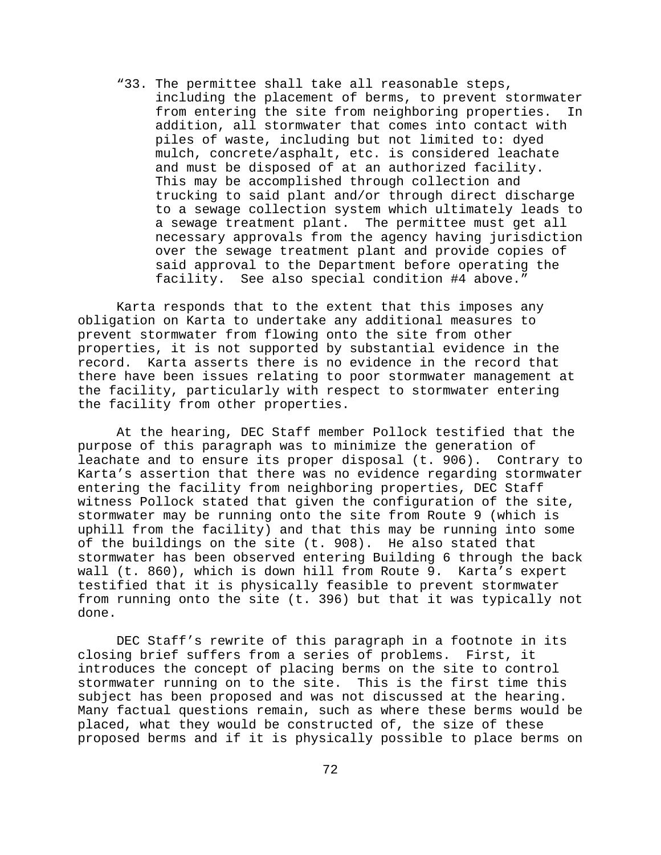"33. The permittee shall take all reasonable steps, including the placement of berms, to prevent stormwater from entering the site from neighboring properties. In addition, all stormwater that comes into contact with piles of waste, including but not limited to: dyed mulch, concrete/asphalt, etc. is considered leachate and must be disposed of at an authorized facility. This may be accomplished through collection and trucking to said plant and/or through direct discharge to a sewage collection system which ultimately leads to a sewage treatment plant. The permittee must get all necessary approvals from the agency having jurisdiction over the sewage treatment plant and provide copies of said approval to the Department before operating the facility. See also special condition #4 above."

Karta responds that to the extent that this imposes any obligation on Karta to undertake any additional measures to prevent stormwater from flowing onto the site from other properties, it is not supported by substantial evidence in the record. Karta asserts there is no evidence in the record that there have been issues relating to poor stormwater management at the facility, particularly with respect to stormwater entering the facility from other properties.

At the hearing, DEC Staff member Pollock testified that the purpose of this paragraph was to minimize the generation of leachate and to ensure its proper disposal (t. 906). Contrary to Karta's assertion that there was no evidence regarding stormwater entering the facility from neighboring properties, DEC Staff witness Pollock stated that given the configuration of the site, stormwater may be running onto the site from Route 9 (which is uphill from the facility) and that this may be running into some of the buildings on the site (t. 908). He also stated that stormwater has been observed entering Building 6 through the back wall (t. 860), which is down hill from Route 9. Karta's expert testified that it is physically feasible to prevent stormwater from running onto the site (t. 396) but that it was typically not done.

DEC Staff's rewrite of this paragraph in a footnote in its closing brief suffers from a series of problems. First, it introduces the concept of placing berms on the site to control stormwater running on to the site. This is the first time this subject has been proposed and was not discussed at the hearing. Many factual questions remain, such as where these berms would be placed, what they would be constructed of, the size of these proposed berms and if it is physically possible to place berms on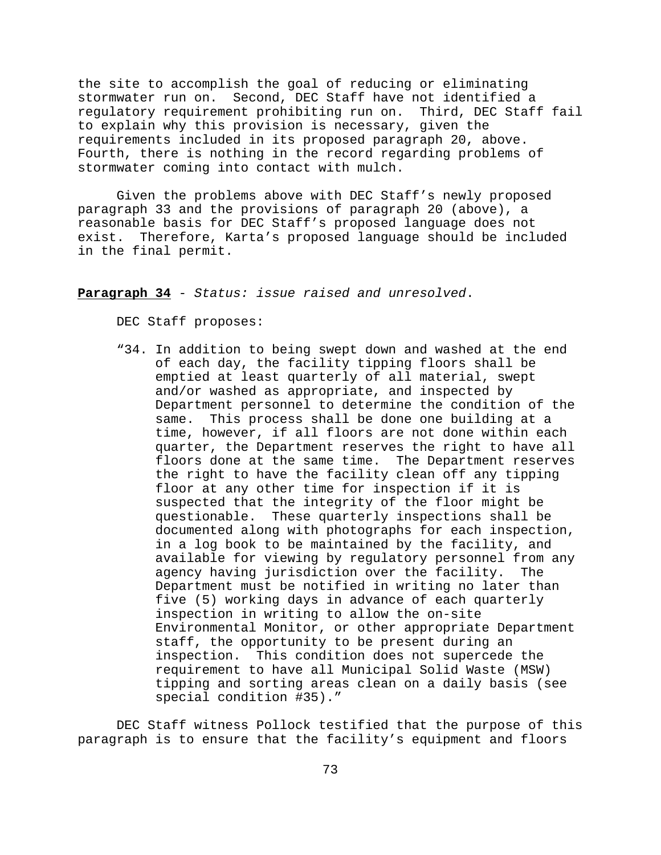the site to accomplish the goal of reducing or eliminating stormwater run on. Second, DEC Staff have not identified a regulatory requirement prohibiting run on. Third, DEC Staff fail to explain why this provision is necessary, given the requirements included in its proposed paragraph 20, above. Fourth, there is nothing in the record regarding problems of stormwater coming into contact with mulch.

Given the problems above with DEC Staff's newly proposed paragraph 33 and the provisions of paragraph 20 (above), a reasonable basis for DEC Staff's proposed language does not exist. Therefore, Karta's proposed language should be included in the final permit.

**Paragraph 34** - *Status: issue raised and unresolved*.

DEC Staff proposes:

"34. In addition to being swept down and washed at the end of each day, the facility tipping floors shall be emptied at least quarterly of all material, swept and/or washed as appropriate, and inspected by Department personnel to determine the condition of the same. This process shall be done one building at a time, however, if all floors are not done within each quarter, the Department reserves the right to have all floors done at the same time. The Department reserves the right to have the facility clean off any tipping floor at any other time for inspection if it is suspected that the integrity of the floor might be questionable. These quarterly inspections shall be documented along with photographs for each inspection, in a log book to be maintained by the facility, and available for viewing by regulatory personnel from any agency having jurisdiction over the facility. The Department must be notified in writing no later than five (5) working days in advance of each quarterly inspection in writing to allow the on-site Environmental Monitor, or other appropriate Department staff, the opportunity to be present during an inspection. This condition does not supercede the requirement to have all Municipal Solid Waste (MSW) tipping and sorting areas clean on a daily basis (see special condition #35)."

DEC Staff witness Pollock testified that the purpose of this paragraph is to ensure that the facility's equipment and floors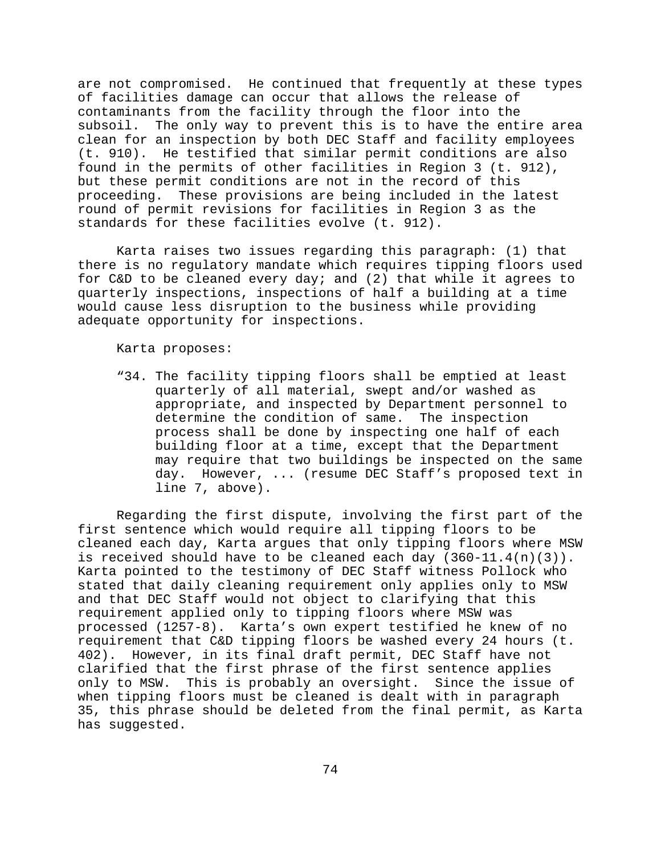are not compromised. He continued that frequently at these types of facilities damage can occur that allows the release of contaminants from the facility through the floor into the subsoil. The only way to prevent this is to have the entire area clean for an inspection by both DEC Staff and facility employees (t. 910). He testified that similar permit conditions are also found in the permits of other facilities in Region 3 (t. 912), but these permit conditions are not in the record of this proceeding. These provisions are being included in the latest round of permit revisions for facilities in Region 3 as the standards for these facilities evolve (t. 912).

Karta raises two issues regarding this paragraph: (1) that there is no regulatory mandate which requires tipping floors used for C&D to be cleaned every day; and (2) that while it agrees to quarterly inspections, inspections of half a building at a time would cause less disruption to the business while providing adequate opportunity for inspections.

Karta proposes:

"34. The facility tipping floors shall be emptied at least quarterly of all material, swept and/or washed as appropriate, and inspected by Department personnel to determine the condition of same. The inspection process shall be done by inspecting one half of each building floor at a time, except that the Department may require that two buildings be inspected on the same day. However, ... (resume DEC Staff's proposed text in line 7, above).

Regarding the first dispute, involving the first part of the first sentence which would require all tipping floors to be cleaned each day, Karta argues that only tipping floors where MSW is received should have to be cleaned each day (360-11.4(n)(3)). Karta pointed to the testimony of DEC Staff witness Pollock who stated that daily cleaning requirement only applies only to MSW and that DEC Staff would not object to clarifying that this requirement applied only to tipping floors where MSW was processed (1257-8). Karta's own expert testified he knew of no requirement that C&D tipping floors be washed every 24 hours (t. 402). However, in its final draft permit, DEC Staff have not clarified that the first phrase of the first sentence applies only to MSW. This is probably an oversight. Since the issue of when tipping floors must be cleaned is dealt with in paragraph 35, this phrase should be deleted from the final permit, as Karta has suggested.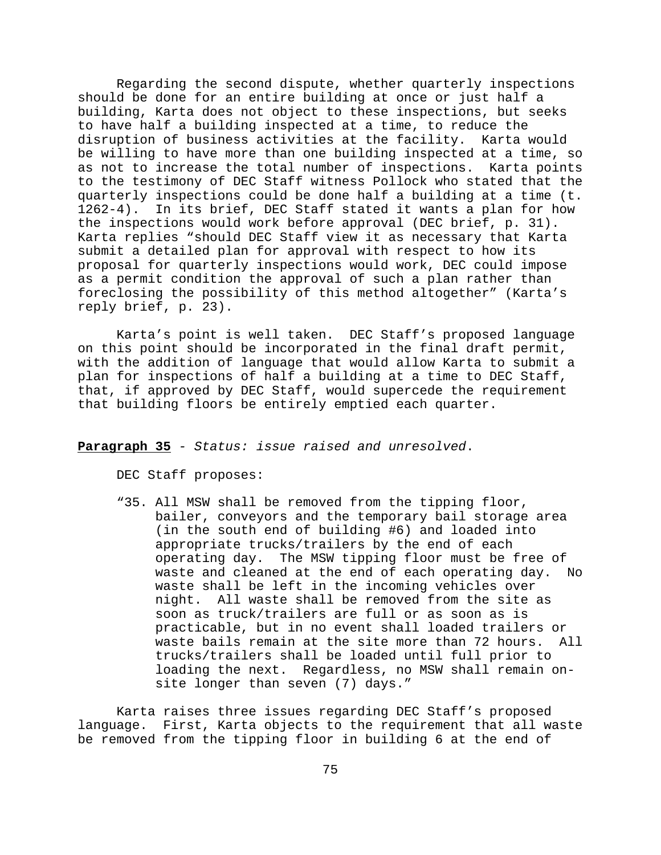Regarding the second dispute, whether quarterly inspections should be done for an entire building at once or just half a building, Karta does not object to these inspections, but seeks to have half a building inspected at a time, to reduce the disruption of business activities at the facility. Karta would be willing to have more than one building inspected at a time, so as not to increase the total number of inspections. Karta points to the testimony of DEC Staff witness Pollock who stated that the quarterly inspections could be done half a building at a time (t. 1262-4). In its brief, DEC Staff stated it wants a plan for how the inspections would work before approval (DEC brief, p. 31). Karta replies "should DEC Staff view it as necessary that Karta submit a detailed plan for approval with respect to how its proposal for quarterly inspections would work, DEC could impose as a permit condition the approval of such a plan rather than foreclosing the possibility of this method altogether" (Karta's reply brief, p. 23).

 Karta's point is well taken. DEC Staff's proposed language on this point should be incorporated in the final draft permit, with the addition of language that would allow Karta to submit a plan for inspections of half a building at a time to DEC Staff, that, if approved by DEC Staff, would supercede the requirement that building floors be entirely emptied each quarter.

**Paragraph 35** *- Status: issue raised and unresolved*.

DEC Staff proposes:

"35. All MSW shall be removed from the tipping floor, bailer, conveyors and the temporary bail storage area (in the south end of building #6) and loaded into appropriate trucks/trailers by the end of each operating day. The MSW tipping floor must be free of waste and cleaned at the end of each operating day. No waste shall be left in the incoming vehicles over night. All waste shall be removed from the site as soon as truck/trailers are full or as soon as is practicable, but in no event shall loaded trailers or waste bails remain at the site more than 72 hours. All trucks/trailers shall be loaded until full prior to loading the next. Regardless, no MSW shall remain onsite longer than seven (7) days."

Karta raises three issues regarding DEC Staff's proposed language. First, Karta objects to the requirement that all waste be removed from the tipping floor in building 6 at the end of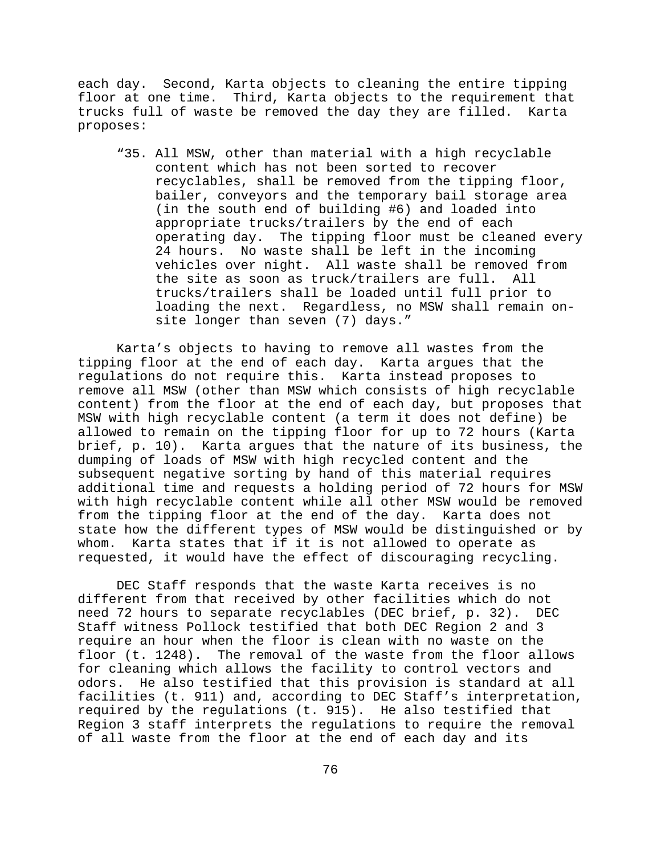each day. Second, Karta objects to cleaning the entire tipping floor at one time. Third, Karta objects to the requirement that trucks full of waste be removed the day they are filled. Karta proposes:

"35. All MSW, other than material with a high recyclable content which has not been sorted to recover recyclables, shall be removed from the tipping floor, bailer, conveyors and the temporary bail storage area (in the south end of building #6) and loaded into appropriate trucks/trailers by the end of each operating day. The tipping floor must be cleaned every 24 hours. No waste shall be left in the incoming vehicles over night. All waste shall be removed from the site as soon as truck/trailers are full. All trucks/trailers shall be loaded until full prior to loading the next. Regardless, no MSW shall remain onsite longer than seven (7) days."

Karta's objects to having to remove all wastes from the tipping floor at the end of each day. Karta argues that the regulations do not require this. Karta instead proposes to remove all MSW (other than MSW which consists of high recyclable content) from the floor at the end of each day, but proposes that MSW with high recyclable content (a term it does not define) be allowed to remain on the tipping floor for up to 72 hours (Karta brief, p. 10). Karta argues that the nature of its business, the dumping of loads of MSW with high recycled content and the subsequent negative sorting by hand of this material requires additional time and requests a holding period of 72 hours for MSW with high recyclable content while all other MSW would be removed from the tipping floor at the end of the day. Karta does not state how the different types of MSW would be distinguished or by whom. Karta states that if it is not allowed to operate as requested, it would have the effect of discouraging recycling.

DEC Staff responds that the waste Karta receives is no different from that received by other facilities which do not need 72 hours to separate recyclables (DEC brief, p. 32). DEC Staff witness Pollock testified that both DEC Region 2 and 3 require an hour when the floor is clean with no waste on the floor (t. 1248). The removal of the waste from the floor allows for cleaning which allows the facility to control vectors and odors. He also testified that this provision is standard at all facilities (t. 911) and, according to DEC Staff's interpretation, required by the regulations (t. 915). He also testified that Region 3 staff interprets the regulations to require the removal of all waste from the floor at the end of each day and its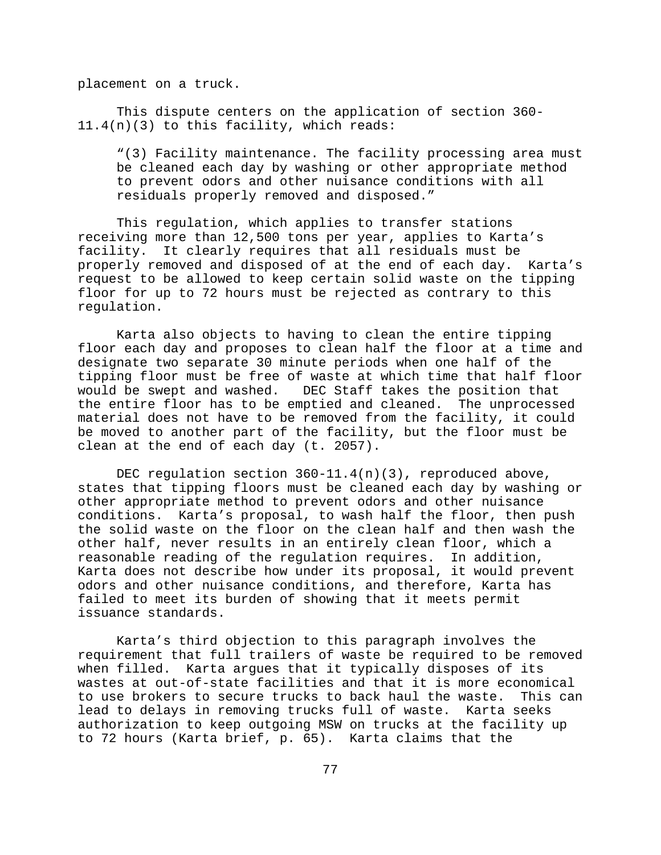placement on a truck.

This dispute centers on the application of section 360- 11.4(n)(3) to this facility, which reads:

"(3) Facility maintenance. The facility processing area must be cleaned each day by washing or other appropriate method to prevent odors and other nuisance conditions with all residuals properly removed and disposed."

This regulation, which applies to transfer stations receiving more than 12,500 tons per year, applies to Karta's facility. It clearly requires that all residuals must be properly removed and disposed of at the end of each day. Karta's request to be allowed to keep certain solid waste on the tipping floor for up to 72 hours must be rejected as contrary to this regulation.

 Karta also objects to having to clean the entire tipping floor each day and proposes to clean half the floor at a time and designate two separate 30 minute periods when one half of the tipping floor must be free of waste at which time that half floor would be swept and washed. DEC Staff takes the position that the entire floor has to be emptied and cleaned. The unprocessed material does not have to be removed from the facility, it could be moved to another part of the facility, but the floor must be clean at the end of each day (t. 2057).

DEC regulation section  $360 - 11.4(n)(3)$ , reproduced above, states that tipping floors must be cleaned each day by washing or other appropriate method to prevent odors and other nuisance conditions. Karta's proposal, to wash half the floor, then push the solid waste on the floor on the clean half and then wash the other half, never results in an entirely clean floor, which a reasonable reading of the regulation requires. In addition, Karta does not describe how under its proposal, it would prevent odors and other nuisance conditions, and therefore, Karta has failed to meet its burden of showing that it meets permit issuance standards.

Karta's third objection to this paragraph involves the requirement that full trailers of waste be required to be removed when filled. Karta argues that it typically disposes of its wastes at out-of-state facilities and that it is more economical to use brokers to secure trucks to back haul the waste. This can lead to delays in removing trucks full of waste. Karta seeks authorization to keep outgoing MSW on trucks at the facility up to 72 hours (Karta brief, p. 65). Karta claims that the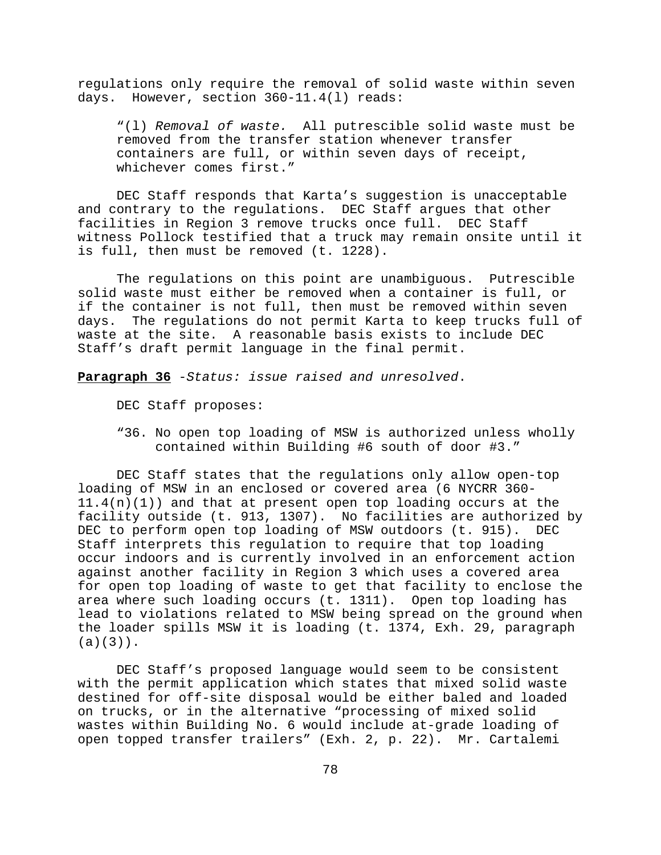regulations only require the removal of solid waste within seven days. However, section 360-11.4(l) reads:

"(l) *Removal of waste.* All putrescible solid waste must be removed from the transfer station whenever transfer containers are full, or within seven days of receipt, whichever comes first."

DEC Staff responds that Karta's suggestion is unacceptable and contrary to the regulations. DEC Staff argues that other facilities in Region 3 remove trucks once full. DEC Staff witness Pollock testified that a truck may remain onsite until it is full, then must be removed (t. 1228).

The regulations on this point are unambiguous. Putrescible solid waste must either be removed when a container is full, or if the container is not full, then must be removed within seven days. The regulations do not permit Karta to keep trucks full of waste at the site. A reasonable basis exists to include DEC Staff's draft permit language in the final permit.

**Paragraph 36** -*Status: issue raised and unresolved*.

DEC Staff proposes:

"36. No open top loading of MSW is authorized unless wholly contained within Building #6 south of door #3."

DEC Staff states that the regulations only allow open-top loading of MSW in an enclosed or covered area (6 NYCRR 360-  $11.4(n)(1)$  and that at present open top loading occurs at the facility outside (t. 913, 1307). No facilities are authorized by DEC to perform open top loading of MSW outdoors (t. 915). DEC Staff interprets this regulation to require that top loading occur indoors and is currently involved in an enforcement action against another facility in Region 3 which uses a covered area for open top loading of waste to get that facility to enclose the area where such loading occurs (t. 1311). Open top loading has lead to violations related to MSW being spread on the ground when the loader spills MSW it is loading (t. 1374, Exh. 29, paragraph (a)(3)).

DEC Staff's proposed language would seem to be consistent with the permit application which states that mixed solid waste destined for off-site disposal would be either baled and loaded on trucks, or in the alternative "processing of mixed solid wastes within Building No. 6 would include at-grade loading of open topped transfer trailers" (Exh. 2, p. 22). Mr. Cartalemi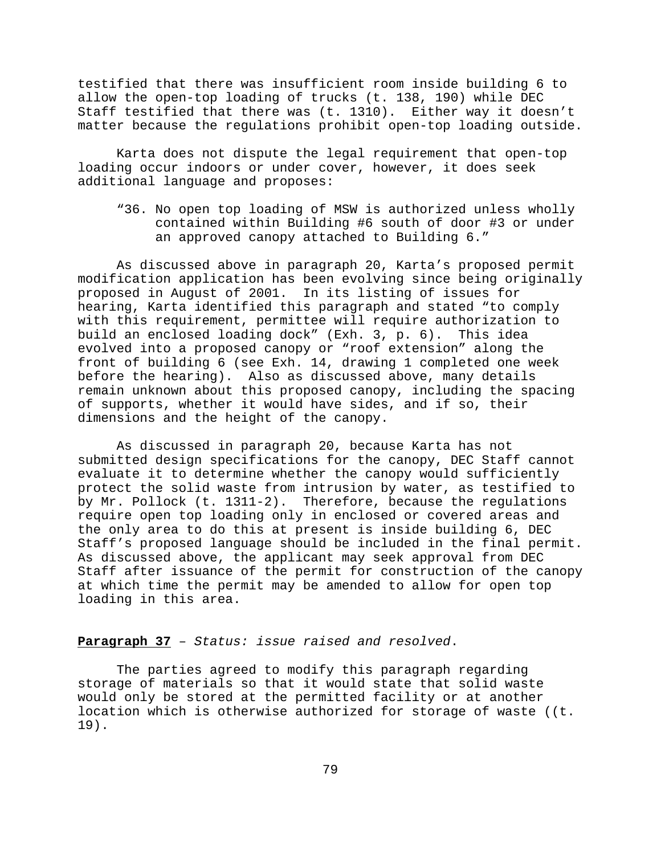testified that there was insufficient room inside building 6 to allow the open-top loading of trucks (t. 138, 190) while DEC Staff testified that there was (t. 1310). Either way it doesn't matter because the regulations prohibit open-top loading outside.

Karta does not dispute the legal requirement that open-top loading occur indoors or under cover, however, it does seek additional language and proposes:

"36. No open top loading of MSW is authorized unless wholly contained within Building #6 south of door #3 or under an approved canopy attached to Building 6."

As discussed above in paragraph 20, Karta's proposed permit modification application has been evolving since being originally proposed in August of 2001. In its listing of issues for hearing, Karta identified this paragraph and stated "to comply with this requirement, permittee will require authorization to build an enclosed loading dock" (Exh. 3, p. 6). This idea evolved into a proposed canopy or "roof extension" along the front of building 6 (see Exh. 14, drawing 1 completed one week before the hearing). Also as discussed above, many details remain unknown about this proposed canopy, including the spacing of supports, whether it would have sides, and if so, their dimensions and the height of the canopy.

As discussed in paragraph 20, because Karta has not submitted design specifications for the canopy, DEC Staff cannot evaluate it to determine whether the canopy would sufficiently protect the solid waste from intrusion by water, as testified to by Mr. Pollock (t. 1311-2). Therefore, because the regulations require open top loading only in enclosed or covered areas and the only area to do this at present is inside building 6, DEC Staff's proposed language should be included in the final permit. As discussed above, the applicant may seek approval from DEC Staff after issuance of the permit for construction of the canopy at which time the permit may be amended to allow for open top loading in this area.

# **Paragraph 37** – *Status: issue raised and resolved*.

The parties agreed to modify this paragraph regarding storage of materials so that it would state that solid waste would only be stored at the permitted facility or at another location which is otherwise authorized for storage of waste ((t. 19).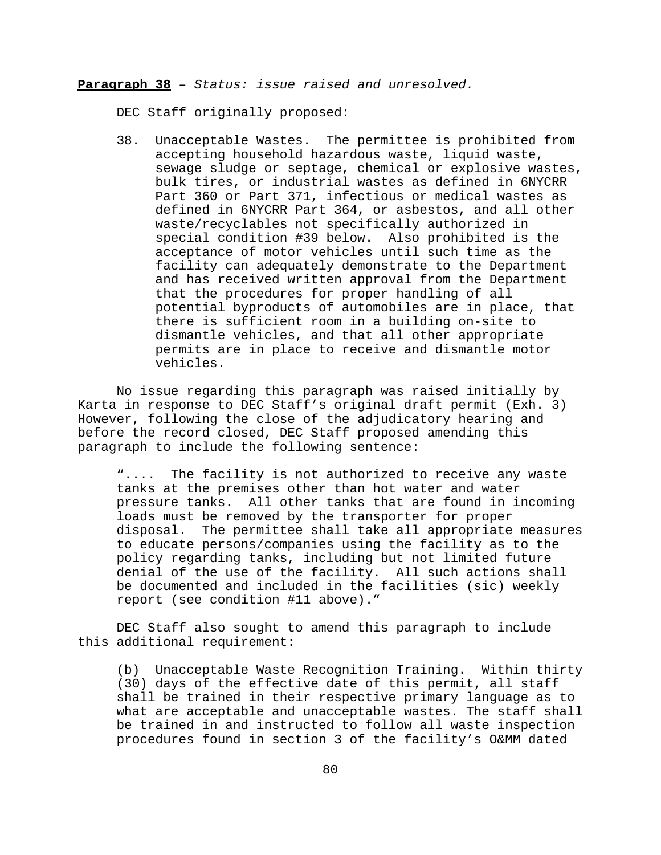**Paragraph 38** – *Status: issue raised and unresolved.*

DEC Staff originally proposed:

38. Unacceptable Wastes. The permittee is prohibited from accepting household hazardous waste, liquid waste, sewage sludge or septage, chemical or explosive wastes, bulk tires, or industrial wastes as defined in 6NYCRR Part 360 or Part 371, infectious or medical wastes as defined in 6NYCRR Part 364, or asbestos, and all other waste/recyclables not specifically authorized in special condition #39 below. Also prohibited is the acceptance of motor vehicles until such time as the facility can adequately demonstrate to the Department and has received written approval from the Department that the procedures for proper handling of all potential byproducts of automobiles are in place, that there is sufficient room in a building on-site to dismantle vehicles, and that all other appropriate permits are in place to receive and dismantle motor vehicles.

No issue regarding this paragraph was raised initially by Karta in response to DEC Staff's original draft permit (Exh. 3) However, following the close of the adjudicatory hearing and before the record closed, DEC Staff proposed amending this paragraph to include the following sentence:

".... The facility is not authorized to receive any waste tanks at the premises other than hot water and water pressure tanks. All other tanks that are found in incoming loads must be removed by the transporter for proper disposal. The permittee shall take all appropriate measures to educate persons/companies using the facility as to the policy regarding tanks, including but not limited future denial of the use of the facility. All such actions shall be documented and included in the facilities (sic) weekly report (see condition #11 above)."

DEC Staff also sought to amend this paragraph to include this additional requirement:

(b) Unacceptable Waste Recognition Training. Within thirty (30) days of the effective date of this permit, all staff shall be trained in their respective primary language as to what are acceptable and unacceptable wastes. The staff shall be trained in and instructed to follow all waste inspection procedures found in section 3 of the facility's O&MM dated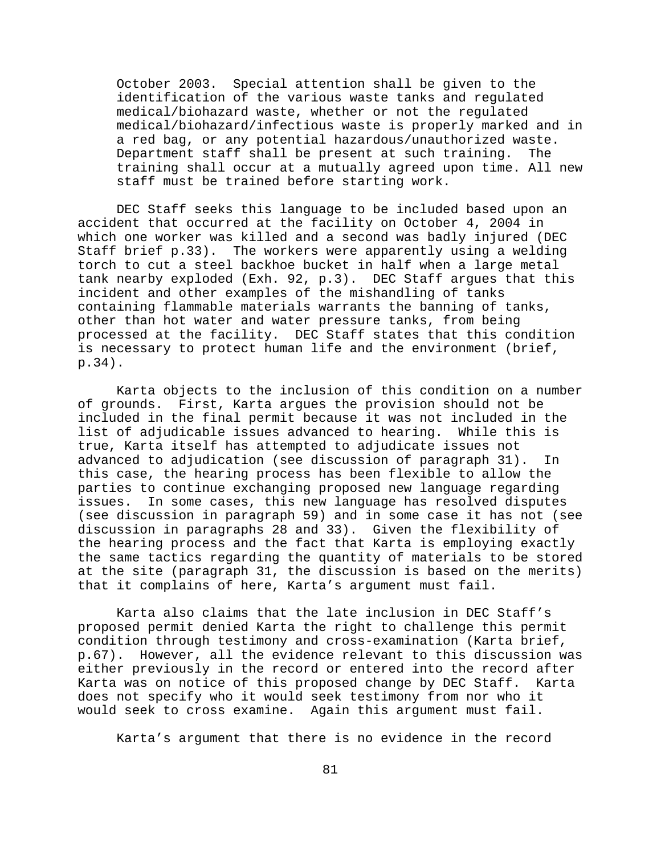October 2003. Special attention shall be given to the identification of the various waste tanks and regulated medical/biohazard waste, whether or not the regulated medical/biohazard/infectious waste is properly marked and in a red bag, or any potential hazardous/unauthorized waste. Department staff shall be present at such training. The training shall occur at a mutually agreed upon time. All new staff must be trained before starting work.

DEC Staff seeks this language to be included based upon an accident that occurred at the facility on October 4, 2004 in which one worker was killed and a second was badly injured (DEC Staff brief p.33). The workers were apparently using a welding torch to cut a steel backhoe bucket in half when a large metal tank nearby exploded (Exh. 92, p.3). DEC Staff argues that this incident and other examples of the mishandling of tanks containing flammable materials warrants the banning of tanks, other than hot water and water pressure tanks, from being processed at the facility. DEC Staff states that this condition is necessary to protect human life and the environment (brief, p.34).

Karta objects to the inclusion of this condition on a number of grounds. First, Karta argues the provision should not be included in the final permit because it was not included in the list of adjudicable issues advanced to hearing. While this is true, Karta itself has attempted to adjudicate issues not advanced to adjudication (see discussion of paragraph 31). In this case, the hearing process has been flexible to allow the parties to continue exchanging proposed new language regarding issues. In some cases, this new language has resolved disputes (see discussion in paragraph 59) and in some case it has not (see discussion in paragraphs 28 and 33). Given the flexibility of the hearing process and the fact that Karta is employing exactly the same tactics regarding the quantity of materials to be stored at the site (paragraph 31, the discussion is based on the merits) that it complains of here, Karta's argument must fail.

Karta also claims that the late inclusion in DEC Staff's proposed permit denied Karta the right to challenge this permit condition through testimony and cross-examination (Karta brief, p.67). However, all the evidence relevant to this discussion was either previously in the record or entered into the record after Karta was on notice of this proposed change by DEC Staff. Karta does not specify who it would seek testimony from nor who it would seek to cross examine. Again this argument must fail.

Karta's argument that there is no evidence in the record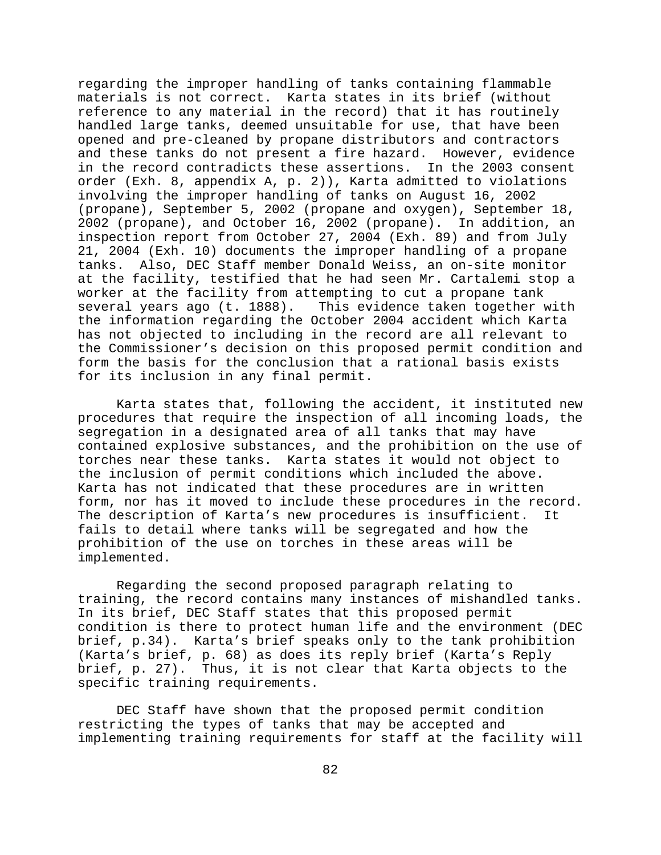regarding the improper handling of tanks containing flammable materials is not correct. Karta states in its brief (without reference to any material in the record) that it has routinely handled large tanks, deemed unsuitable for use, that have been opened and pre-cleaned by propane distributors and contractors and these tanks do not present a fire hazard. However, evidence in the record contradicts these assertions. In the 2003 consent order (Exh. 8, appendix A, p. 2)), Karta admitted to violations involving the improper handling of tanks on August 16, 2002 (propane), September 5, 2002 (propane and oxygen), September 18, 2002 (propane), and October 16, 2002 (propane). In addition, an inspection report from October 27, 2004 (Exh. 89) and from July 21, 2004 (Exh. 10) documents the improper handling of a propane tanks. Also, DEC Staff member Donald Weiss, an on-site monitor at the facility, testified that he had seen Mr. Cartalemi stop a worker at the facility from attempting to cut a propane tank<br>several years ago (t. 1888). This evidence taken together y This evidence taken together with the information regarding the October 2004 accident which Karta has not objected to including in the record are all relevant to the Commissioner's decision on this proposed permit condition and form the basis for the conclusion that a rational basis exists for its inclusion in any final permit.

Karta states that, following the accident, it instituted new procedures that require the inspection of all incoming loads, the segregation in a designated area of all tanks that may have contained explosive substances, and the prohibition on the use of torches near these tanks. Karta states it would not object to the inclusion of permit conditions which included the above. Karta has not indicated that these procedures are in written form, nor has it moved to include these procedures in the record. The description of Karta's new procedures is insufficient. It fails to detail where tanks will be segregated and how the prohibition of the use on torches in these areas will be implemented.

Regarding the second proposed paragraph relating to training, the record contains many instances of mishandled tanks. In its brief, DEC Staff states that this proposed permit condition is there to protect human life and the environment (DEC brief, p.34). Karta's brief speaks only to the tank prohibition (Karta's brief, p. 68) as does its reply brief (Karta's Reply brief, p. 27). Thus, it is not clear that Karta objects to the specific training requirements.

DEC Staff have shown that the proposed permit condition restricting the types of tanks that may be accepted and implementing training requirements for staff at the facility will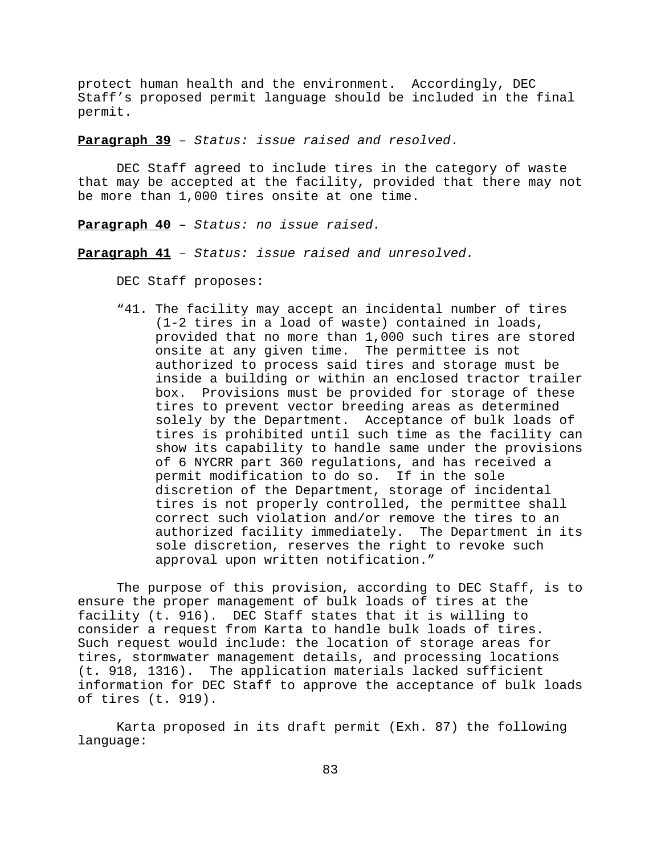protect human health and the environment. Accordingly, DEC Staff's proposed permit language should be included in the final permit.

**Paragraph 39** – *Status: issue raised and resolved*.

DEC Staff agreed to include tires in the category of waste that may be accepted at the facility, provided that there may not be more than 1,000 tires onsite at one time.

**Paragraph 40** – *Status: no issue raised.*

**Paragraph 41** – *Status: issue raised and unresolved.*

DEC Staff proposes:

"41. The facility may accept an incidental number of tires (1-2 tires in a load of waste) contained in loads, provided that no more than 1,000 such tires are stored onsite at any given time. The permittee is not authorized to process said tires and storage must be inside a building or within an enclosed tractor trailer box. Provisions must be provided for storage of these tires to prevent vector breeding areas as determined solely by the Department. Acceptance of bulk loads of tires is prohibited until such time as the facility can show its capability to handle same under the provisions of 6 NYCRR part 360 regulations, and has received a permit modification to do so. If in the sole discretion of the Department, storage of incidental tires is not properly controlled, the permittee shall correct such violation and/or remove the tires to an authorized facility immediately. The Department in its sole discretion, reserves the right to revoke such approval upon written notification."

The purpose of this provision, according to DEC Staff, is to ensure the proper management of bulk loads of tires at the facility (t. 916). DEC Staff states that it is willing to consider a request from Karta to handle bulk loads of tires. Such request would include: the location of storage areas for tires, stormwater management details, and processing locations (t. 918, 1316). The application materials lacked sufficient information for DEC Staff to approve the acceptance of bulk loads of tires (t. 919).

Karta proposed in its draft permit (Exh. 87) the following language: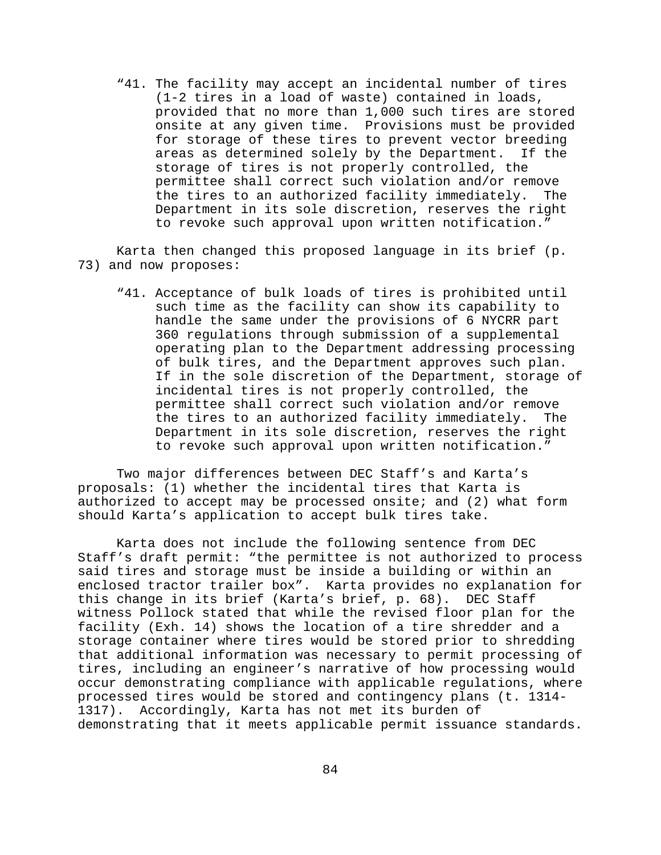"41. The facility may accept an incidental number of tires (1-2 tires in a load of waste) contained in loads, provided that no more than 1,000 such tires are stored onsite at any given time. Provisions must be provided for storage of these tires to prevent vector breeding areas as determined solely by the Department. If the storage of tires is not properly controlled, the permittee shall correct such violation and/or remove the tires to an authorized facility immediately. The Department in its sole discretion, reserves the right to revoke such approval upon written notification."

Karta then changed this proposed language in its brief (p. 73) and now proposes:

"41. Acceptance of bulk loads of tires is prohibited until such time as the facility can show its capability to handle the same under the provisions of 6 NYCRR part 360 regulations through submission of a supplemental operating plan to the Department addressing processing of bulk tires, and the Department approves such plan. If in the sole discretion of the Department, storage of incidental tires is not properly controlled, the permittee shall correct such violation and/or remove the tires to an authorized facility immediately. The Department in its sole discretion, reserves the right to revoke such approval upon written notification."

Two major differences between DEC Staff's and Karta's proposals: (1) whether the incidental tires that Karta is authorized to accept may be processed onsite; and (2) what form should Karta's application to accept bulk tires take.

Karta does not include the following sentence from DEC Staff's draft permit: "the permittee is not authorized to process said tires and storage must be inside a building or within an enclosed tractor trailer box". Karta provides no explanation for this change in its brief (Karta's brief, p. 68). DEC Staff witness Pollock stated that while the revised floor plan for the facility (Exh. 14) shows the location of a tire shredder and a storage container where tires would be stored prior to shredding that additional information was necessary to permit processing of tires, including an engineer's narrative of how processing would occur demonstrating compliance with applicable regulations, where processed tires would be stored and contingency plans (t. 1314- 1317). Accordingly, Karta has not met its burden of demonstrating that it meets applicable permit issuance standards.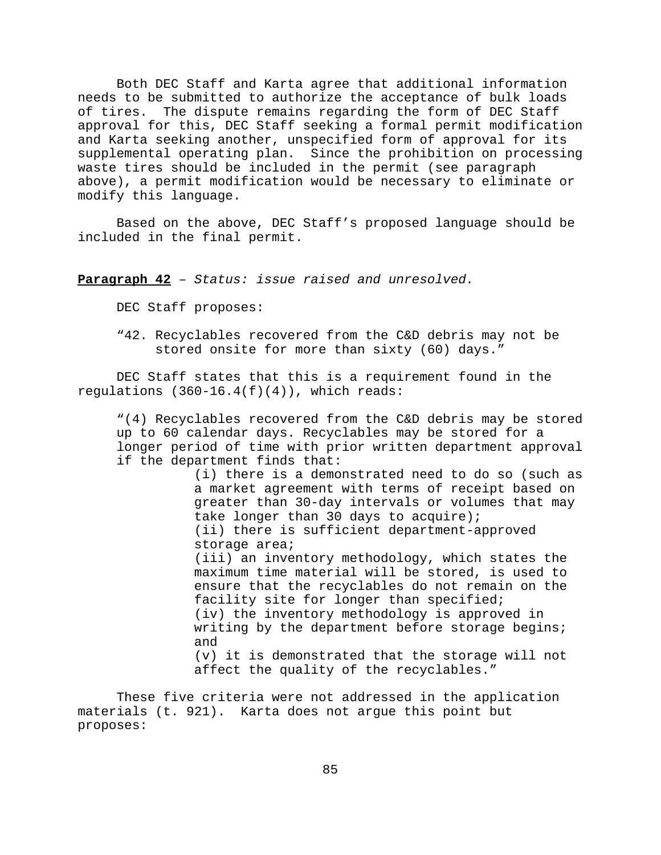Both DEC Staff and Karta agree that additional information needs to be submitted to authorize the acceptance of bulk loads of tires. The dispute remains regarding the form of DEC Staff approval for this, DEC Staff seeking a formal permit modification and Karta seeking another, unspecified form of approval for its supplemental operating plan. Since the prohibition on processing waste tires should be included in the permit (see paragraph above), a permit modification would be necessary to eliminate or modify this language.

Based on the above, DEC Staff's proposed language should be included in the final permit.

**Paragraph 42** – *Status: issue raised and unresolved.*

DEC Staff proposes:

"42. Recyclables recovered from the C&D debris may not be stored onsite for more than sixty (60) days."

DEC Staff states that this is a requirement found in the regulations  $(360-16.4(f)(4))$ , which reads:

"(4) Recyclables recovered from the C&D debris may be stored up to 60 calendar days. Recyclables may be stored for a longer period of time with prior written department approval if the department finds that:

> (i) there is a demonstrated need to do so (such as a market agreement with terms of receipt based on greater than 30-day intervals or volumes that may take longer than 30 days to acquire); (ii) there is sufficient department-approved storage area; (iii) an inventory methodology, which states the maximum time material will be stored, is used to ensure that the recyclables do not remain on the facility site for longer than specified; (iv) the inventory methodology is approved in writing by the department before storage begins; and (v) it is demonstrated that the storage will not affect the quality of the recyclables."

These five criteria were not addressed in the application materials (t. 921). Karta does not argue this point but proposes: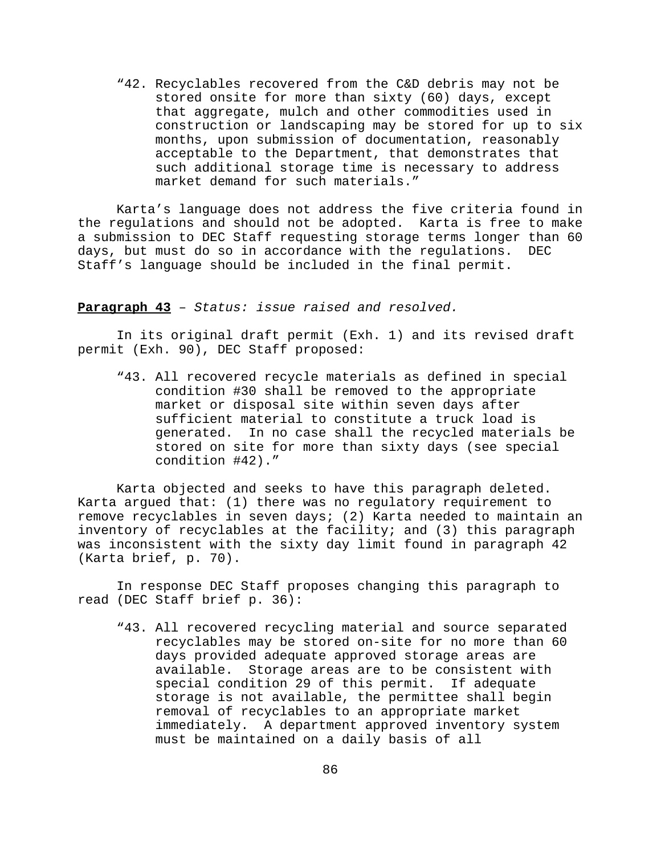"42. Recyclables recovered from the C&D debris may not be stored onsite for more than sixty (60) days, except that aggregate, mulch and other commodities used in construction or landscaping may be stored for up to six months, upon submission of documentation, reasonably acceptable to the Department, that demonstrates that such additional storage time is necessary to address market demand for such materials."

Karta's language does not address the five criteria found in the regulations and should not be adopted. Karta is free to make a submission to DEC Staff requesting storage terms longer than 60 days, but must do so in accordance with the regulations. DEC Staff's language should be included in the final permit.

### **Paragraph 43** – *Status: issue raised and resolved.*

In its original draft permit (Exh. 1) and its revised draft permit (Exh. 90), DEC Staff proposed:

"43. All recovered recycle materials as defined in special condition #30 shall be removed to the appropriate market or disposal site within seven days after sufficient material to constitute a truck load is generated. In no case shall the recycled materials be stored on site for more than sixty days (see special condition #42)."

Karta objected and seeks to have this paragraph deleted. Karta argued that: (1) there was no regulatory requirement to remove recyclables in seven days; (2) Karta needed to maintain an inventory of recyclables at the facility; and (3) this paragraph was inconsistent with the sixty day limit found in paragraph 42 (Karta brief, p. 70).

In response DEC Staff proposes changing this paragraph to read (DEC Staff brief p. 36):

"43. All recovered recycling material and source separated recyclables may be stored on-site for no more than 60 days provided adequate approved storage areas are available. Storage areas are to be consistent with special condition 29 of this permit. If adequate storage is not available, the permittee shall begin removal of recyclables to an appropriate market immediately. A department approved inventory system must be maintained on a daily basis of all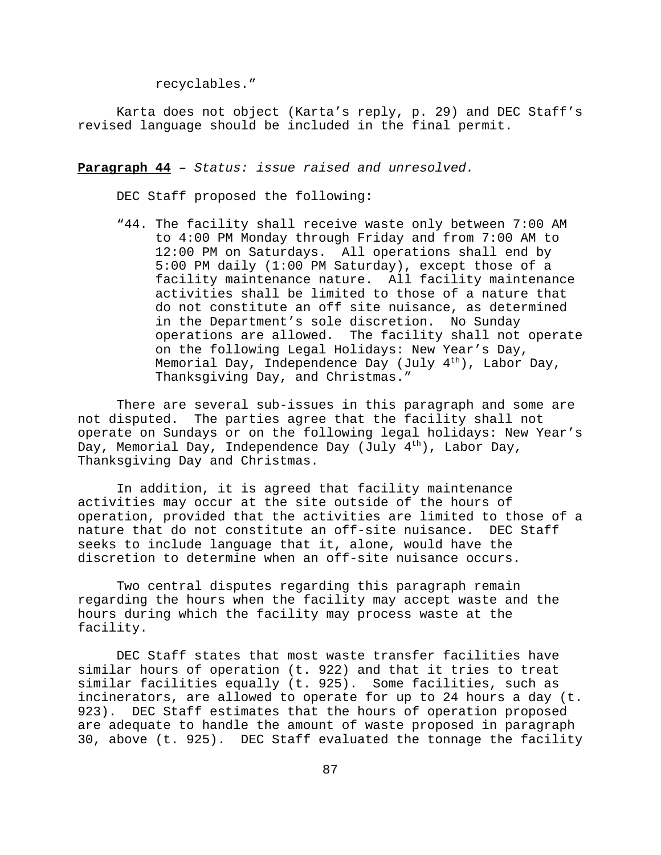recyclables."

Karta does not object (Karta's reply, p. 29) and DEC Staff's revised language should be included in the final permit.

**Paragraph 44** – *Status: issue raised and unresolved.*

DEC Staff proposed the following:

"44. The facility shall receive waste only between 7:00 AM to 4:00 PM Monday through Friday and from 7:00 AM to 12:00 PM on Saturdays. All operations shall end by 5:00 PM daily (1:00 PM Saturday), except those of a facility maintenance nature. All facility maintenance activities shall be limited to those of a nature that do not constitute an off site nuisance, as determined in the Department's sole discretion. No Sunday operations are allowed. The facility shall not operate on the following Legal Holidays: New Year's Day, Memorial Day, Independence Day (July  $4<sup>th</sup>$ ), Labor Day, Thanksgiving Day, and Christmas."

There are several sub-issues in this paragraph and some are not disputed. The parties agree that the facility shall not operate on Sundays or on the following legal holidays: New Year's Day, Memorial Day, Independence Day (July  $4<sup>th</sup>$ ), Labor Day, Thanksgiving Day and Christmas.

In addition, it is agreed that facility maintenance activities may occur at the site outside of the hours of operation, provided that the activities are limited to those of a nature that do not constitute an off-site nuisance. DEC Staff seeks to include language that it, alone, would have the discretion to determine when an off-site nuisance occurs.

Two central disputes regarding this paragraph remain regarding the hours when the facility may accept waste and the hours during which the facility may process waste at the facility.

DEC Staff states that most waste transfer facilities have similar hours of operation (t. 922) and that it tries to treat similar facilities equally (t. 925). Some facilities, such as incinerators, are allowed to operate for up to 24 hours a day (t. 923). DEC Staff estimates that the hours of operation proposed are adequate to handle the amount of waste proposed in paragraph 30, above (t. 925). DEC Staff evaluated the tonnage the facility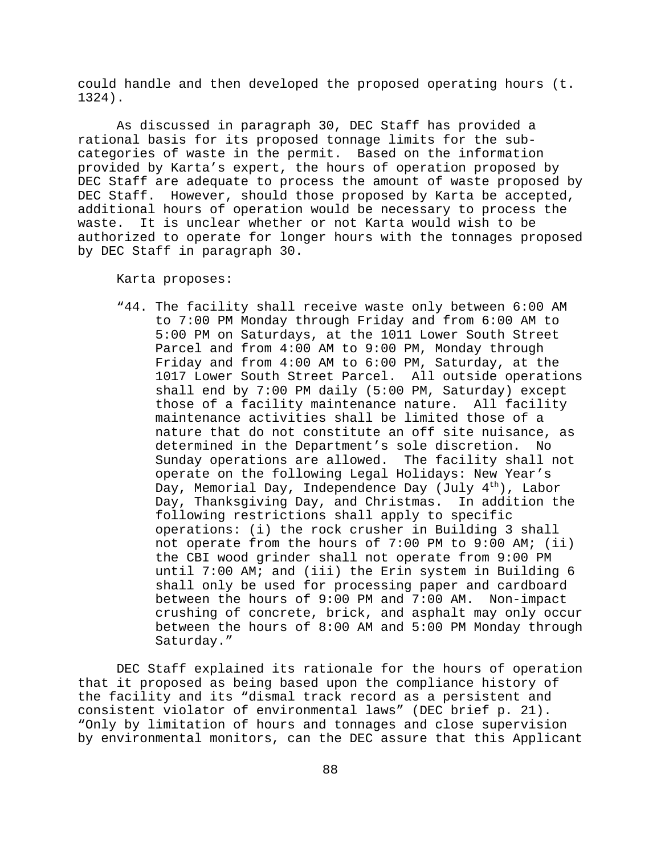could handle and then developed the proposed operating hours (t. 1324).

As discussed in paragraph 30, DEC Staff has provided a rational basis for its proposed tonnage limits for the subcategories of waste in the permit. Based on the information provided by Karta's expert, the hours of operation proposed by DEC Staff are adequate to process the amount of waste proposed by DEC Staff. However, should those proposed by Karta be accepted, additional hours of operation would be necessary to process the waste. It is unclear whether or not Karta would wish to be authorized to operate for longer hours with the tonnages proposed by DEC Staff in paragraph 30.

Karta proposes:

"44. The facility shall receive waste only between 6:00 AM to 7:00 PM Monday through Friday and from 6:00 AM to 5:00 PM on Saturdays, at the 1011 Lower South Street Parcel and from 4:00 AM to 9:00 PM, Monday through Friday and from 4:00 AM to 6:00 PM, Saturday, at the 1017 Lower South Street Parcel. All outside operations shall end by 7:00 PM daily (5:00 PM, Saturday) except those of a facility maintenance nature. All facility maintenance activities shall be limited those of a nature that do not constitute an off site nuisance, as determined in the Department's sole discretion. No Sunday operations are allowed. The facility shall not operate on the following Legal Holidays: New Year's Day, Memorial Day, Independence Day (July  $4^{\text{th}}$ ), Labor Day, Thanksgiving Day, and Christmas. In addition the following restrictions shall apply to specific operations: (i) the rock crusher in Building 3 shall not operate from the hours of 7:00 PM to 9:00 AM; (ii) the CBI wood grinder shall not operate from 9:00 PM until 7:00 AM; and (iii) the Erin system in Building 6 shall only be used for processing paper and cardboard between the hours of 9:00 PM and 7:00 AM. Non-impact crushing of concrete, brick, and asphalt may only occur between the hours of 8:00 AM and 5:00 PM Monday through Saturday."

DEC Staff explained its rationale for the hours of operation that it proposed as being based upon the compliance history of the facility and its "dismal track record as a persistent and consistent violator of environmental laws" (DEC brief p. 21). "Only by limitation of hours and tonnages and close supervision by environmental monitors, can the DEC assure that this Applicant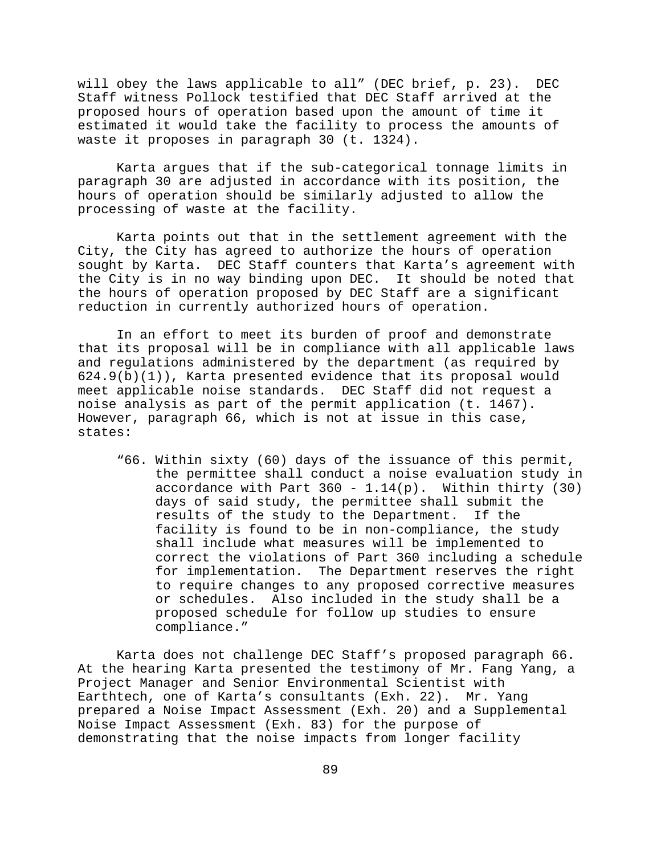will obey the laws applicable to all" (DEC brief, p. 23). DEC Staff witness Pollock testified that DEC Staff arrived at the proposed hours of operation based upon the amount of time it estimated it would take the facility to process the amounts of waste it proposes in paragraph 30 (t. 1324).

Karta argues that if the sub-categorical tonnage limits in paragraph 30 are adjusted in accordance with its position, the hours of operation should be similarly adjusted to allow the processing of waste at the facility.

Karta points out that in the settlement agreement with the City, the City has agreed to authorize the hours of operation sought by Karta. DEC Staff counters that Karta's agreement with the City is in no way binding upon DEC. It should be noted that the hours of operation proposed by DEC Staff are a significant reduction in currently authorized hours of operation.

In an effort to meet its burden of proof and demonstrate that its proposal will be in compliance with all applicable laws and regulations administered by the department (as required by  $624.9(b)(1)$ , Karta presented evidence that its proposal would meet applicable noise standards. DEC Staff did not request a noise analysis as part of the permit application (t. 1467). However, paragraph 66, which is not at issue in this case, states:

"66. Within sixty (60) days of the issuance of this permit, the permittee shall conduct a noise evaluation study in accordance with Part  $360 - 1.14(p)$ . Within thirty (30) days of said study, the permittee shall submit the results of the study to the Department. If the facility is found to be in non-compliance, the study shall include what measures will be implemented to correct the violations of Part 360 including a schedule for implementation. The Department reserves the right to require changes to any proposed corrective measures or schedules. Also included in the study shall be a proposed schedule for follow up studies to ensure compliance."

Karta does not challenge DEC Staff's proposed paragraph 66. At the hearing Karta presented the testimony of Mr. Fang Yang, a Project Manager and Senior Environmental Scientist with Earthtech, one of Karta's consultants (Exh. 22). Mr. Yang prepared a Noise Impact Assessment (Exh. 20) and a Supplemental Noise Impact Assessment (Exh. 83) for the purpose of demonstrating that the noise impacts from longer facility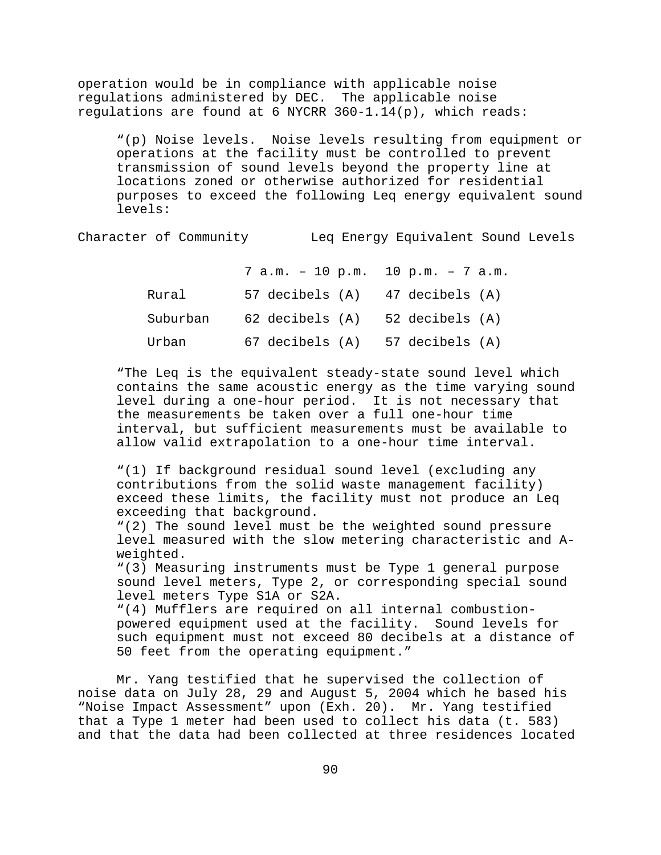operation would be in compliance with applicable noise regulations administered by DEC. The applicable noise regulations are found at 6 NYCRR  $360-1.14(p)$ , which reads:

"(p) Noise levels. Noise levels resulting from equipment or operations at the facility must be controlled to prevent transmission of sound levels beyond the property line at locations zoned or otherwise authorized for residential purposes to exceed the following Leq energy equivalent sound levels:

Character of Community Leq Energy Equivalent Sound Levels

7 a.m. – 10 p.m. 10 p.m. – 7 a.m. Rural 57 decibels (A) 47 decibels (A) Suburban 62 decibels (A) 52 decibels (A) Urban 67 decibels (A) 57 decibels (A)

"The Leq is the equivalent steady-state sound level which contains the same acoustic energy as the time varying sound level during a one-hour period. It is not necessary that the measurements be taken over a full one-hour time interval, but sufficient measurements must be available to allow valid extrapolation to a one-hour time interval.

"(1) If background residual sound level (excluding any contributions from the solid waste management facility) exceed these limits, the facility must not produce an Leq exceeding that background.

"(2) The sound level must be the weighted sound pressure level measured with the slow metering characteristic and Aweighted.

"(3) Measuring instruments must be Type 1 general purpose sound level meters, Type 2, or corresponding special sound level meters Type S1A or S2A.

"(4) Mufflers are required on all internal combustionpowered equipment used at the facility. Sound levels for such equipment must not exceed 80 decibels at a distance of 50 feet from the operating equipment."

Mr. Yang testified that he supervised the collection of noise data on July 28, 29 and August 5, 2004 which he based his "Noise Impact Assessment" upon (Exh. 20). Mr. Yang testified that a Type 1 meter had been used to collect his data (t. 583) and that the data had been collected at three residences located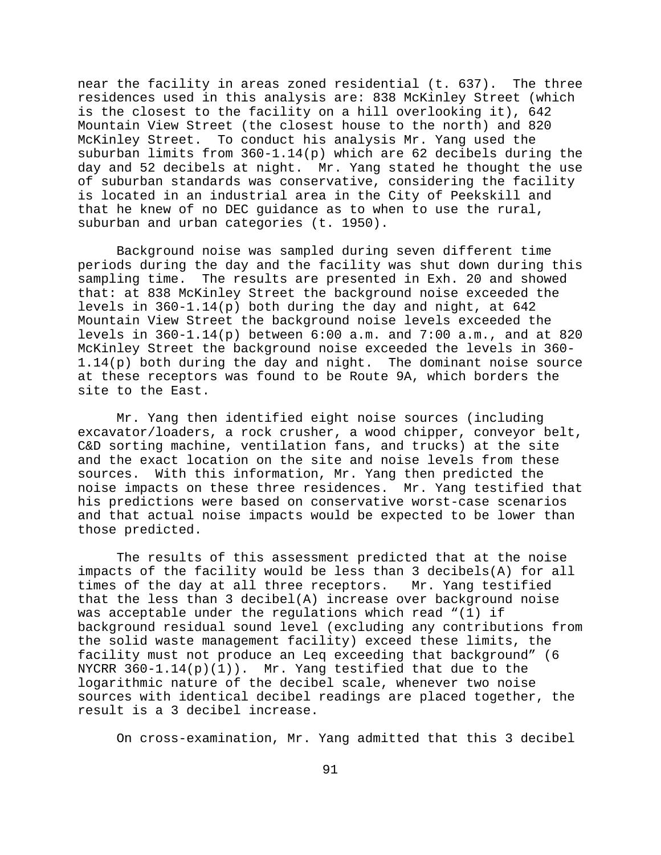near the facility in areas zoned residential (t. 637). The three residences used in this analysis are: 838 McKinley Street (which is the closest to the facility on a hill overlooking it), 642 Mountain View Street (the closest house to the north) and 820 McKinley Street. To conduct his analysis Mr. Yang used the suburban limits from 360-1.14(p) which are 62 decibels during the day and 52 decibels at night. Mr. Yang stated he thought the use of suburban standards was conservative, considering the facility is located in an industrial area in the City of Peekskill and that he knew of no DEC guidance as to when to use the rural, suburban and urban categories (t. 1950).

Background noise was sampled during seven different time periods during the day and the facility was shut down during this sampling time. The results are presented in Exh. 20 and showed that: at 838 McKinley Street the background noise exceeded the levels in 360-1.14(p) both during the day and night, at 642 Mountain View Street the background noise levels exceeded the levels in 360-1.14(p) between 6:00 a.m. and 7:00 a.m., and at 820 McKinley Street the background noise exceeded the levels in 360- 1.14(p) both during the day and night. The dominant noise source at these receptors was found to be Route 9A, which borders the site to the East.

Mr. Yang then identified eight noise sources (including excavator/loaders, a rock crusher, a wood chipper, conveyor belt, C&D sorting machine, ventilation fans, and trucks) at the site and the exact location on the site and noise levels from these sources. With this information, Mr. Yang then predicted the noise impacts on these three residences. Mr. Yang testified that his predictions were based on conservative worst-case scenarios and that actual noise impacts would be expected to be lower than those predicted.

The results of this assessment predicted that at the noise impacts of the facility would be less than 3 decibels(A) for all times of the day at all three receptors. Mr. Yang testified that the less than 3 decibel(A) increase over background noise was acceptable under the regulations which read "(1) if background residual sound level (excluding any contributions from the solid waste management facility) exceed these limits, the facility must not produce an Leq exceeding that background" (6 NYCRR  $360-1.14(p)(1)$ . Mr. Yang testified that due to the logarithmic nature of the decibel scale, whenever two noise sources with identical decibel readings are placed together, the result is a 3 decibel increase.

On cross-examination, Mr. Yang admitted that this 3 decibel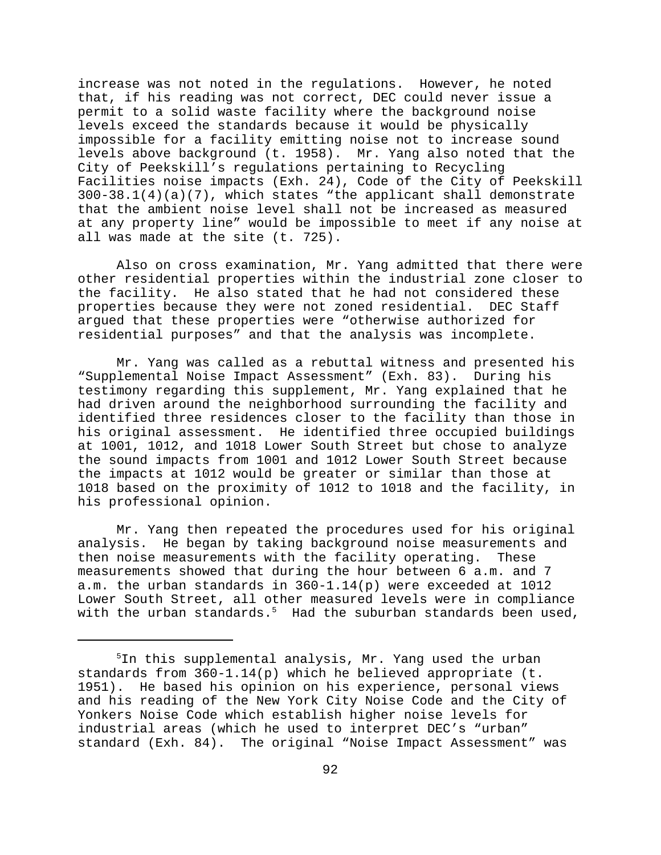increase was not noted in the regulations. However, he noted that, if his reading was not correct, DEC could never issue a permit to a solid waste facility where the background noise levels exceed the standards because it would be physically impossible for a facility emitting noise not to increase sound levels above background (t. 1958). Mr. Yang also noted that the City of Peekskill's regulations pertaining to Recycling Facilities noise impacts (Exh. 24), Code of the City of Peekskill 300-38.1(4)(a)(7), which states "the applicant shall demonstrate that the ambient noise level shall not be increased as measured at any property line" would be impossible to meet if any noise at all was made at the site (t. 725).

Also on cross examination, Mr. Yang admitted that there were other residential properties within the industrial zone closer to the facility. He also stated that he had not considered these properties because they were not zoned residential. DEC Staff argued that these properties were "otherwise authorized for residential purposes" and that the analysis was incomplete.

Mr. Yang was called as a rebuttal witness and presented his "Supplemental Noise Impact Assessment" (Exh. 83). During his testimony regarding this supplement, Mr. Yang explained that he had driven around the neighborhood surrounding the facility and identified three residences closer to the facility than those in his original assessment. He identified three occupied buildings at 1001, 1012, and 1018 Lower South Street but chose to analyze the sound impacts from 1001 and 1012 Lower South Street because the impacts at 1012 would be greater or similar than those at 1018 based on the proximity of 1012 to 1018 and the facility, in his professional opinion.

Mr. Yang then repeated the procedures used for his original analysis. He began by taking background noise measurements and then noise measurements with the facility operating. These measurements showed that during the hour between 6 a.m. and 7 a.m. the urban standards in 360-1.14(p) were exceeded at 1012 Lower South Street, all other measured levels were in compliance with the urban standards. $^5$  Had the suburban standards been used,

<sup>&</sup>lt;sup>5</sup>In this supplemental analysis, Mr. Yang used the urban standards from  $360-1.14(p)$  which he believed appropriate (t. 1951). He based his opinion on his experience, personal views and his reading of the New York City Noise Code and the City of Yonkers Noise Code which establish higher noise levels for industrial areas (which he used to interpret DEC's "urban" standard (Exh. 84). The original "Noise Impact Assessment" was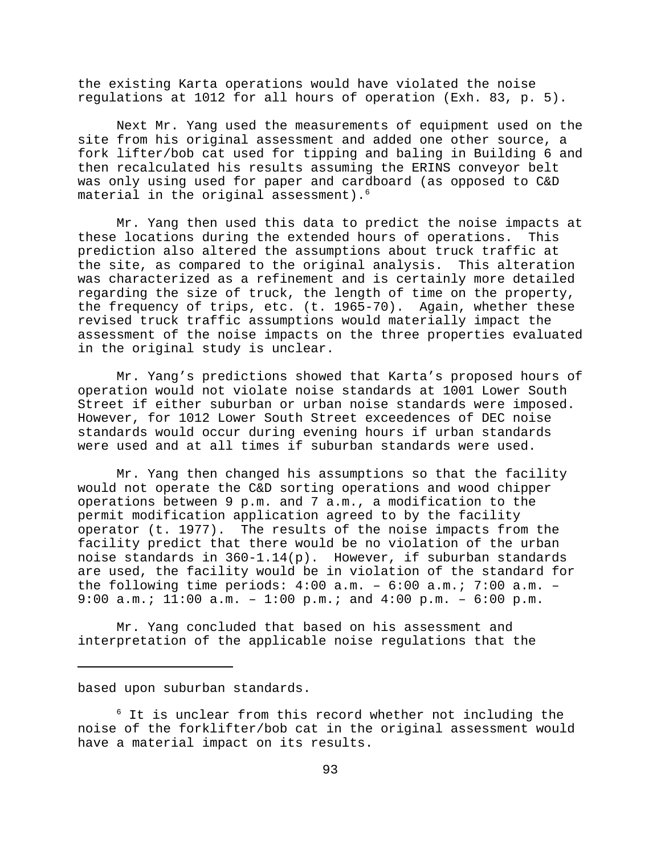the existing Karta operations would have violated the noise regulations at 1012 for all hours of operation (Exh. 83, p. 5).

Next Mr. Yang used the measurements of equipment used on the site from his original assessment and added one other source, a fork lifter/bob cat used for tipping and baling in Building 6 and then recalculated his results assuming the ERINS conveyor belt was only using used for paper and cardboard (as opposed to C&D material in the original assessment).<sup>6</sup>

Mr. Yang then used this data to predict the noise impacts at these locations during the extended hours of operations. This prediction also altered the assumptions about truck traffic at the site, as compared to the original analysis. This alteration was characterized as a refinement and is certainly more detailed regarding the size of truck, the length of time on the property, the frequency of trips, etc. (t. 1965-70). Again, whether these revised truck traffic assumptions would materially impact the assessment of the noise impacts on the three properties evaluated in the original study is unclear.

Mr. Yang's predictions showed that Karta's proposed hours of operation would not violate noise standards at 1001 Lower South Street if either suburban or urban noise standards were imposed. However, for 1012 Lower South Street exceedences of DEC noise standards would occur during evening hours if urban standards were used and at all times if suburban standards were used.

Mr. Yang then changed his assumptions so that the facility would not operate the C&D sorting operations and wood chipper operations between 9 p.m. and 7 a.m., a modification to the permit modification application agreed to by the facility operator (t. 1977). The results of the noise impacts from the facility predict that there would be no violation of the urban noise standards in 360-1.14(p). However, if suburban standards are used, the facility would be in violation of the standard for the following time periods: 4:00 a.m. – 6:00 a.m.; 7:00 a.m. – 9:00 a.m.; 11:00 a.m. – 1:00 p.m.; and 4:00 p.m. – 6:00 p.m.

Mr. Yang concluded that based on his assessment and interpretation of the applicable noise regulations that the

based upon suburban standards.

 $^6$  It is unclear from this record whether not including the noise of the forklifter/bob cat in the original assessment would have a material impact on its results.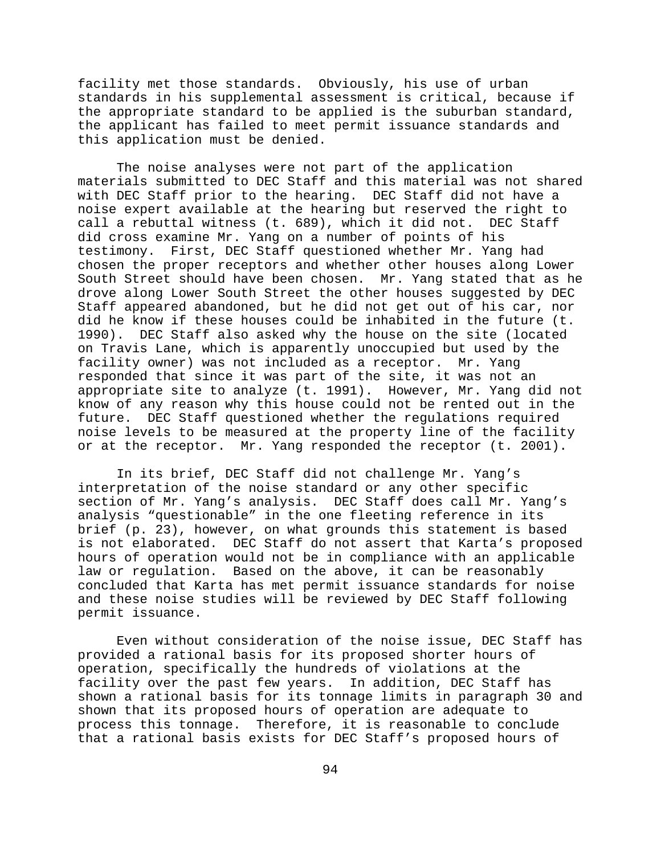facility met those standards. Obviously, his use of urban standards in his supplemental assessment is critical, because if the appropriate standard to be applied is the suburban standard, the applicant has failed to meet permit issuance standards and this application must be denied.

The noise analyses were not part of the application materials submitted to DEC Staff and this material was not shared with DEC Staff prior to the hearing. DEC Staff did not have a noise expert available at the hearing but reserved the right to call a rebuttal witness (t. 689), which it did not. DEC Staff did cross examine Mr. Yang on a number of points of his testimony. First, DEC Staff questioned whether Mr. Yang had chosen the proper receptors and whether other houses along Lower South Street should have been chosen. Mr. Yang stated that as he drove along Lower South Street the other houses suggested by DEC Staff appeared abandoned, but he did not get out of his car, nor did he know if these houses could be inhabited in the future (t. 1990). DEC Staff also asked why the house on the site (located on Travis Lane, which is apparently unoccupied but used by the facility owner) was not included as a receptor. Mr. Yang responded that since it was part of the site, it was not an appropriate site to analyze (t. 1991). However, Mr. Yang did not know of any reason why this house could not be rented out in the future. DEC Staff questioned whether the regulations required noise levels to be measured at the property line of the facility or at the receptor. Mr. Yang responded the receptor (t. 2001).

In its brief, DEC Staff did not challenge Mr. Yang's interpretation of the noise standard or any other specific section of Mr. Yang's analysis. DEC Staff does call Mr. Yang's analysis "questionable" in the one fleeting reference in its brief (p. 23), however, on what grounds this statement is based is not elaborated. DEC Staff do not assert that Karta's proposed hours of operation would not be in compliance with an applicable law or regulation. Based on the above, it can be reasonably concluded that Karta has met permit issuance standards for noise and these noise studies will be reviewed by DEC Staff following permit issuance.

Even without consideration of the noise issue, DEC Staff has provided a rational basis for its proposed shorter hours of operation, specifically the hundreds of violations at the facility over the past few years. In addition, DEC Staff has shown a rational basis for its tonnage limits in paragraph 30 and shown that its proposed hours of operation are adequate to process this tonnage. Therefore, it is reasonable to conclude that a rational basis exists for DEC Staff's proposed hours of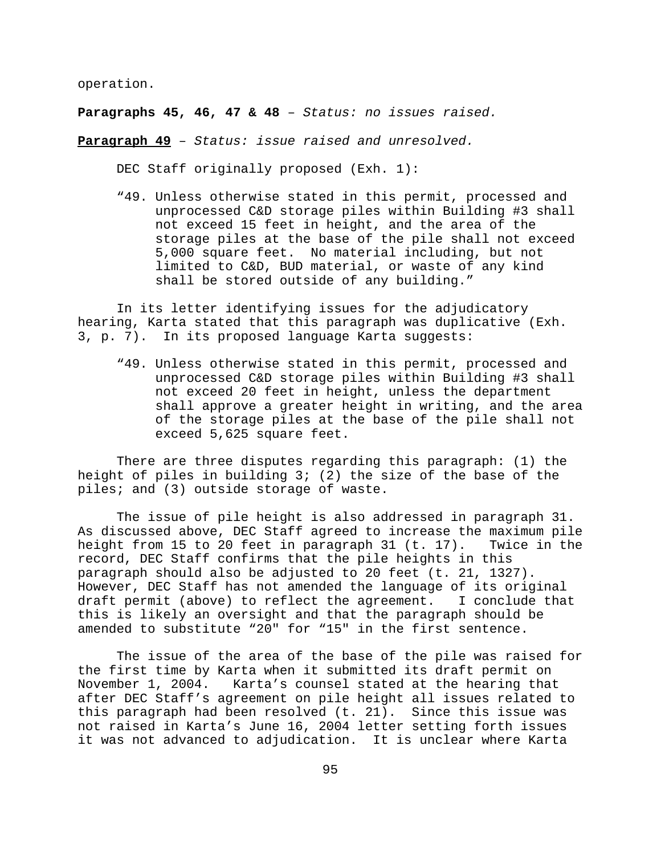operation.

**Paragraphs 45, 46, 47 & 48** – *Status: no issues raised.*

**Paragraph 49** – *Status: issue raised and unresolved.*

DEC Staff originally proposed (Exh. 1):

"49. Unless otherwise stated in this permit, processed and unprocessed C&D storage piles within Building #3 shall not exceed 15 feet in height, and the area of the storage piles at the base of the pile shall not exceed 5,000 square feet. No material including, but not limited to C&D, BUD material, or waste of any kind shall be stored outside of any building."

In its letter identifying issues for the adjudicatory hearing, Karta stated that this paragraph was duplicative (Exh. 3, p. 7). In its proposed language Karta suggests:

"49. Unless otherwise stated in this permit, processed and unprocessed C&D storage piles within Building #3 shall not exceed 20 feet in height, unless the department shall approve a greater height in writing, and the area of the storage piles at the base of the pile shall not exceed 5,625 square feet.

There are three disputes regarding this paragraph: (1) the height of piles in building 3; (2) the size of the base of the piles; and (3) outside storage of waste.

The issue of pile height is also addressed in paragraph 31. As discussed above, DEC Staff agreed to increase the maximum pile height from 15 to 20 feet in paragraph 31 (t. 17). Twice in the record, DEC Staff confirms that the pile heights in this paragraph should also be adjusted to 20 feet (t. 21, 1327). However, DEC Staff has not amended the language of its original draft permit (above) to reflect the agreement. I conclude that this is likely an oversight and that the paragraph should be amended to substitute "20" for "15" in the first sentence.

The issue of the area of the base of the pile was raised for the first time by Karta when it submitted its draft permit on November 1, 2004. Karta's counsel stated at the hearing that after DEC Staff's agreement on pile height all issues related to this paragraph had been resolved (t. 21). Since this issue was not raised in Karta's June 16, 2004 letter setting forth issues it was not advanced to adjudication. It is unclear where Karta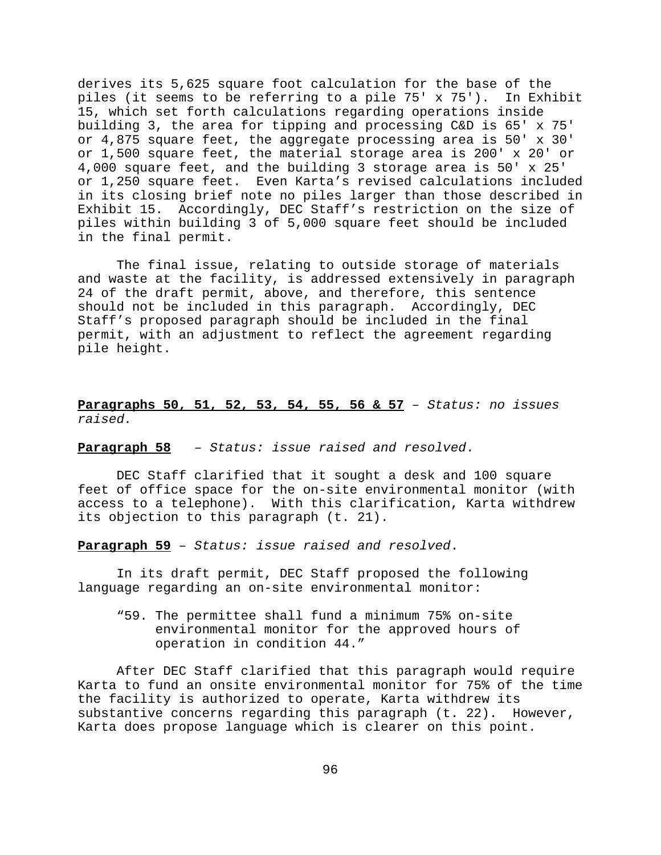derives its 5,625 square foot calculation for the base of the piles (it seems to be referring to a pile 75' x 75'). In Exhibit 15, which set forth calculations regarding operations inside building 3, the area for tipping and processing C&D is 65' x 75' or 4,875 square feet, the aggregate processing area is 50' x 30' or 1,500 square feet, the material storage area is 200' x 20' or 4,000 square feet, and the building 3 storage area is 50' x 25' or 1,250 square feet. Even Karta's revised calculations included in its closing brief note no piles larger than those described in Exhibit 15. Accordingly, DEC Staff's restriction on the size of piles within building 3 of 5,000 square feet should be included in the final permit.

The final issue, relating to outside storage of materials and waste at the facility, is addressed extensively in paragraph 24 of the draft permit, above, and therefore, this sentence should not be included in this paragraph. Accordingly, DEC Staff's proposed paragraph should be included in the final permit, with an adjustment to reflect the agreement regarding pile height.

**Paragraphs 50, 51, 52, 53, 54, 55, 56 & 57** – *Status: no issues raised.*

**Paragraph 58** – *Status: issue raised and resolved*.

DEC Staff clarified that it sought a desk and 100 square feet of office space for the on-site environmental monitor (with access to a telephone). With this clarification, Karta withdrew its objection to this paragraph (t. 21).

**Paragraph 59** – *Status: issue raised and resolved*.

In its draft permit, DEC Staff proposed the following language regarding an on-site environmental monitor:

"59. The permittee shall fund a minimum 75% on-site environmental monitor for the approved hours of operation in condition 44."

After DEC Staff clarified that this paragraph would require Karta to fund an onsite environmental monitor for 75% of the time the facility is authorized to operate, Karta withdrew its substantive concerns regarding this paragraph (t. 22). However, Karta does propose language which is clearer on this point.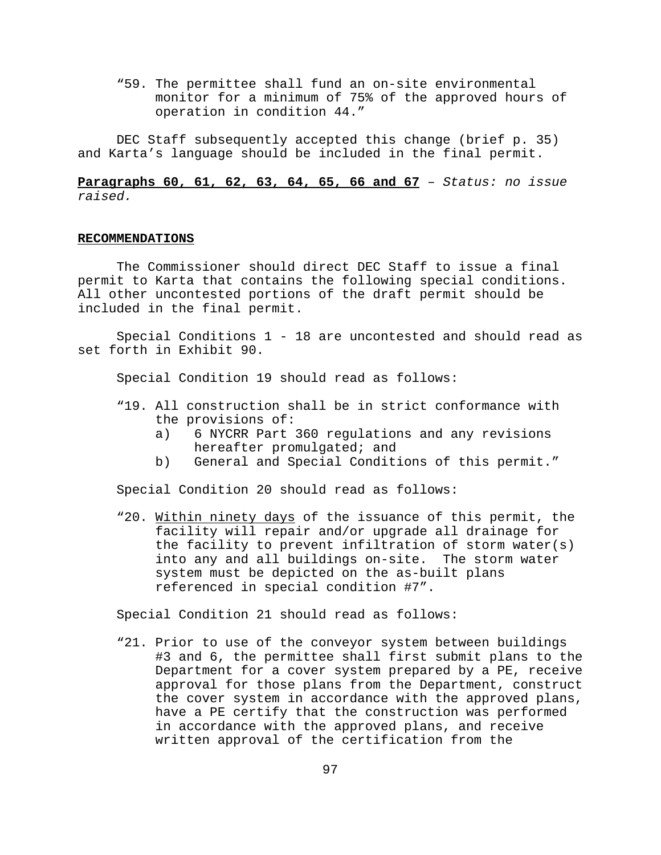"59. The permittee shall fund an on-site environmental monitor for a minimum of 75% of the approved hours of operation in condition 44."

DEC Staff subsequently accepted this change (brief p. 35) and Karta's language should be included in the final permit.

**Paragraphs 60, 61, 62, 63, 64, 65, 66 and 67** – *Status: no issue raised.*

## **RECOMMENDATIONS**

The Commissioner should direct DEC Staff to issue a final permit to Karta that contains the following special conditions. All other uncontested portions of the draft permit should be included in the final permit.

Special Conditions 1 - 18 are uncontested and should read as set forth in Exhibit 90.

Special Condition 19 should read as follows:

- "19. All construction shall be in strict conformance with the provisions of:
	- a) 6 NYCRR Part 360 regulations and any revisions hereafter promulgated; and
	- b) General and Special Conditions of this permit."

Special Condition 20 should read as follows:

"20. Within ninety days of the issuance of this permit, the facility will repair and/or upgrade all drainage for the facility to prevent infiltration of storm water(s) into any and all buildings on-site. The storm water system must be depicted on the as-built plans referenced in special condition #7".

Special Condition 21 should read as follows:

"21. Prior to use of the conveyor system between buildings #3 and 6, the permittee shall first submit plans to the Department for a cover system prepared by a PE, receive approval for those plans from the Department, construct the cover system in accordance with the approved plans, have a PE certify that the construction was performed in accordance with the approved plans, and receive written approval of the certification from the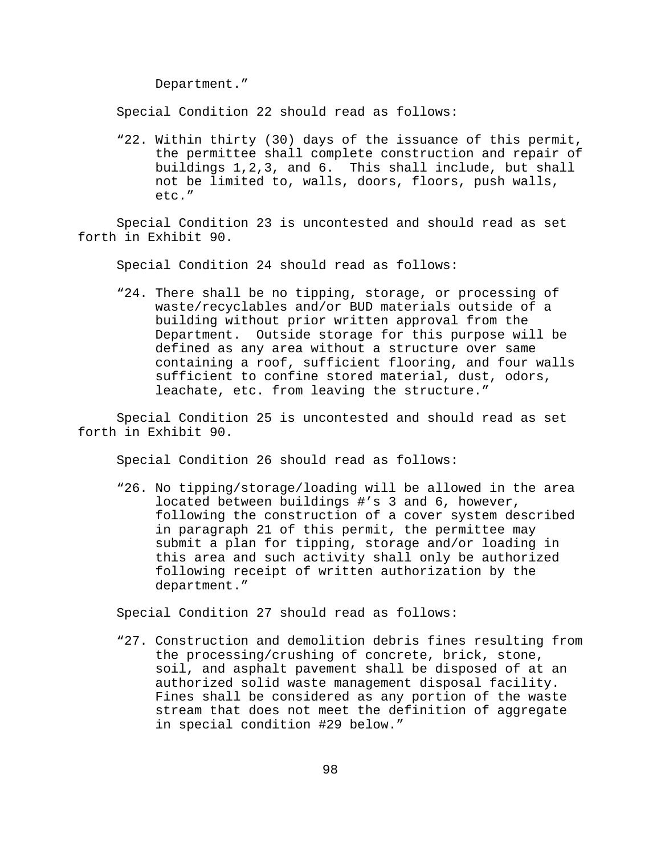Department."

Special Condition 22 should read as follows:

"22. Within thirty (30) days of the issuance of this permit, the permittee shall complete construction and repair of buildings 1,2,3, and 6. This shall include, but shall not be limited to, walls, doors, floors, push walls, etc."

Special Condition 23 is uncontested and should read as set forth in Exhibit 90.

Special Condition 24 should read as follows:

"24. There shall be no tipping, storage, or processing of waste/recyclables and/or BUD materials outside of a building without prior written approval from the Department. Outside storage for this purpose will be defined as any area without a structure over same containing a roof, sufficient flooring, and four walls sufficient to confine stored material, dust, odors, leachate, etc. from leaving the structure."

Special Condition 25 is uncontested and should read as set forth in Exhibit 90.

Special Condition 26 should read as follows:

"26. No tipping/storage/loading will be allowed in the area located between buildings #'s 3 and 6, however, following the construction of a cover system described in paragraph 21 of this permit, the permittee may submit a plan for tipping, storage and/or loading in this area and such activity shall only be authorized following receipt of written authorization by the department."

Special Condition 27 should read as follows:

"27. Construction and demolition debris fines resulting from the processing/crushing of concrete, brick, stone, soil, and asphalt pavement shall be disposed of at an authorized solid waste management disposal facility. Fines shall be considered as any portion of the waste stream that does not meet the definition of aggregate in special condition #29 below."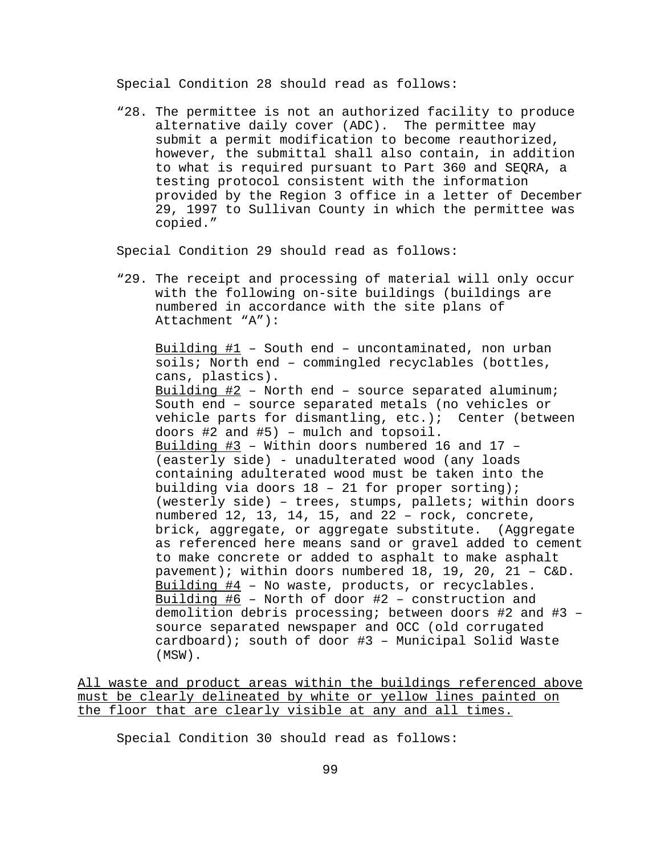Special Condition 28 should read as follows:

"28. The permittee is not an authorized facility to produce alternative daily cover (ADC). The permittee may submit a permit modification to become reauthorized, however, the submittal shall also contain, in addition to what is required pursuant to Part 360 and SEQRA, a testing protocol consistent with the information provided by the Region 3 office in a letter of December 29, 1997 to Sullivan County in which the permittee was copied."

Special Condition 29 should read as follows:

"29. The receipt and processing of material will only occur with the following on-site buildings (buildings are numbered in accordance with the site plans of Attachment "A"):

Building  $#1$  – South end – uncontaminated, non urban soils; North end – commingled recyclables (bottles, cans, plastics). Building  $#2$  – North end – source separated aluminum; South end – source separated metals (no vehicles or vehicle parts for dismantling, etc.); Center (between doors #2 and #5) – mulch and topsoil. Building #3 – Within doors numbered 16 and 17 – (easterly side) - unadulterated wood (any loads containing adulterated wood must be taken into the building via doors 18 – 21 for proper sorting); (westerly side) – trees, stumps, pallets; within doors numbered 12, 13, 14, 15, and 22 – rock, concrete, brick, aggregate, or aggregate substitute. (Aggregate as referenced here means sand or gravel added to cement to make concrete or added to asphalt to make asphalt pavement); within doors numbered 18, 19, 20, 21 – C&D. Building #4 – No waste, products, or recyclables. Building  $#6$  - North of door  $#2$  - construction and demolition debris processing; between doors #2 and #3 – source separated newspaper and OCC (old corrugated cardboard); south of door #3 – Municipal Solid Waste (MSW).

All waste and product areas within the buildings referenced above must be clearly delineated by white or yellow lines painted on the floor that are clearly visible at any and all times.

Special Condition 30 should read as follows: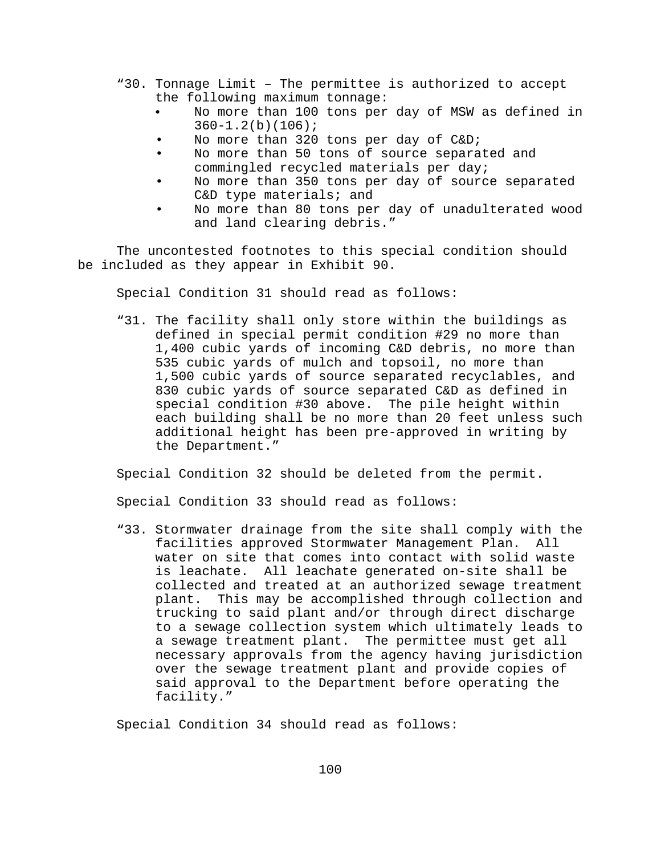- "30. Tonnage Limit The permittee is authorized to accept the following maximum tonnage:
	- No more than 100 tons per day of MSW as defined in  $360 - 1.2(b)(106);$
	- No more than 320 tons per day of C&D;
	- No more than 50 tons of source separated and commingled recycled materials per day;
	- No more than 350 tons per day of source separated C&D type materials; and
	- No more than 80 tons per day of unadulterated wood and land clearing debris."

The uncontested footnotes to this special condition should be included as they appear in Exhibit 90.

Special Condition 31 should read as follows:

"31. The facility shall only store within the buildings as defined in special permit condition #29 no more than 1,400 cubic yards of incoming C&D debris, no more than 535 cubic yards of mulch and topsoil, no more than 1,500 cubic yards of source separated recyclables, and 830 cubic yards of source separated C&D as defined in special condition #30 above. The pile height within each building shall be no more than 20 feet unless such additional height has been pre-approved in writing by the Department."

Special Condition 32 should be deleted from the permit.

Special Condition 33 should read as follows:

"33. Stormwater drainage from the site shall comply with the facilities approved Stormwater Management Plan. All water on site that comes into contact with solid waste is leachate. All leachate generated on-site shall be collected and treated at an authorized sewage treatment plant. This may be accomplished through collection and trucking to said plant and/or through direct discharge to a sewage collection system which ultimately leads to a sewage treatment plant. The permittee must get all necessary approvals from the agency having jurisdiction over the sewage treatment plant and provide copies of said approval to the Department before operating the facility."

Special Condition 34 should read as follows: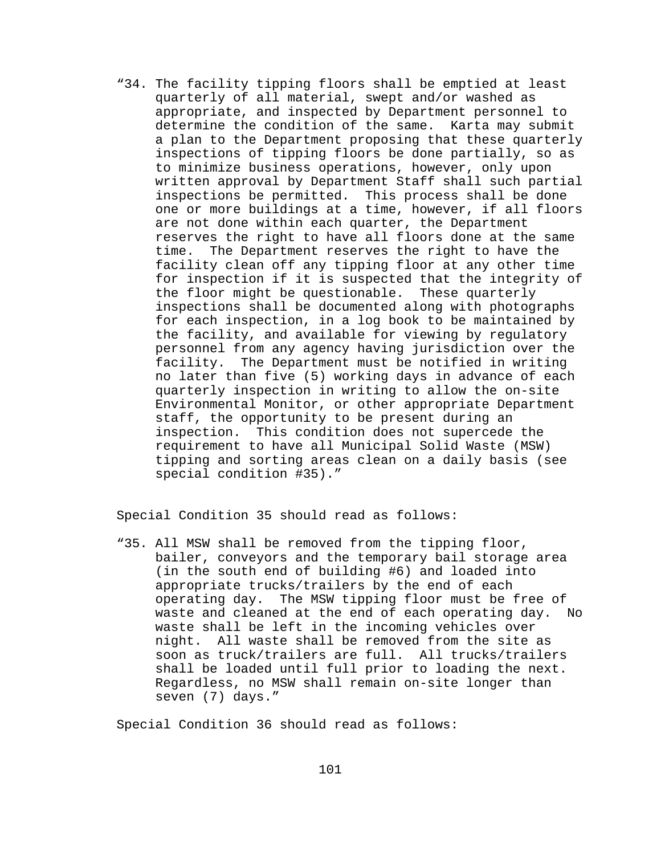"34. The facility tipping floors shall be emptied at least quarterly of all material, swept and/or washed as appropriate, and inspected by Department personnel to determine the condition of the same. Karta may submit a plan to the Department proposing that these quarterly inspections of tipping floors be done partially, so as to minimize business operations, however, only upon written approval by Department Staff shall such partial inspections be permitted. This process shall be done one or more buildings at a time, however, if all floors are not done within each quarter, the Department reserves the right to have all floors done at the same time. The Department reserves the right to have the facility clean off any tipping floor at any other time for inspection if it is suspected that the integrity of the floor might be questionable. These quarterly inspections shall be documented along with photographs for each inspection, in a log book to be maintained by the facility, and available for viewing by regulatory personnel from any agency having jurisdiction over the facility. The Department must be notified in writing no later than five (5) working days in advance of each quarterly inspection in writing to allow the on-site Environmental Monitor, or other appropriate Department staff, the opportunity to be present during an inspection. This condition does not supercede the requirement to have all Municipal Solid Waste (MSW) tipping and sorting areas clean on a daily basis (see special condition #35)."

Special Condition 35 should read as follows:

"35. All MSW shall be removed from the tipping floor, bailer, conveyors and the temporary bail storage area (in the south end of building #6) and loaded into appropriate trucks/trailers by the end of each operating day. The MSW tipping floor must be free of waste and cleaned at the end of each operating day. No waste shall be left in the incoming vehicles over night. All waste shall be removed from the site as soon as truck/trailers are full. All trucks/trailers shall be loaded until full prior to loading the next. Regardless, no MSW shall remain on-site longer than seven (7) days."

Special Condition 36 should read as follows: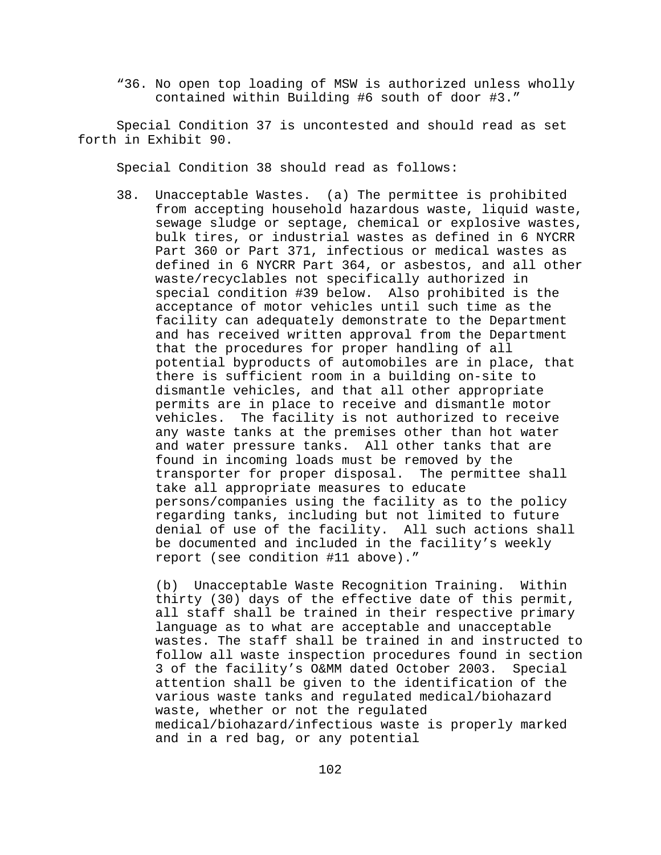"36. No open top loading of MSW is authorized unless wholly contained within Building #6 south of door #3."

Special Condition 37 is uncontested and should read as set forth in Exhibit 90.

Special Condition 38 should read as follows:

38. Unacceptable Wastes. (a) The permittee is prohibited from accepting household hazardous waste, liquid waste, sewage sludge or septage, chemical or explosive wastes, bulk tires, or industrial wastes as defined in 6 NYCRR Part 360 or Part 371, infectious or medical wastes as defined in 6 NYCRR Part 364, or asbestos, and all other waste/recyclables not specifically authorized in special condition #39 below. Also prohibited is the acceptance of motor vehicles until such time as the facility can adequately demonstrate to the Department and has received written approval from the Department that the procedures for proper handling of all potential byproducts of automobiles are in place, that there is sufficient room in a building on-site to dismantle vehicles, and that all other appropriate permits are in place to receive and dismantle motor vehicles. The facility is not authorized to receive any waste tanks at the premises other than hot water and water pressure tanks. All other tanks that are found in incoming loads must be removed by the transporter for proper disposal. The permittee shall take all appropriate measures to educate persons/companies using the facility as to the policy regarding tanks, including but not limited to future denial of use of the facility. All such actions shall be documented and included in the facility's weekly report (see condition #11 above)."

(b) Unacceptable Waste Recognition Training. Within thirty (30) days of the effective date of this permit, all staff shall be trained in their respective primary language as to what are acceptable and unacceptable wastes. The staff shall be trained in and instructed to follow all waste inspection procedures found in section 3 of the facility's O&MM dated October 2003. Special attention shall be given to the identification of the various waste tanks and regulated medical/biohazard waste, whether or not the regulated medical/biohazard/infectious waste is properly marked and in a red bag, or any potential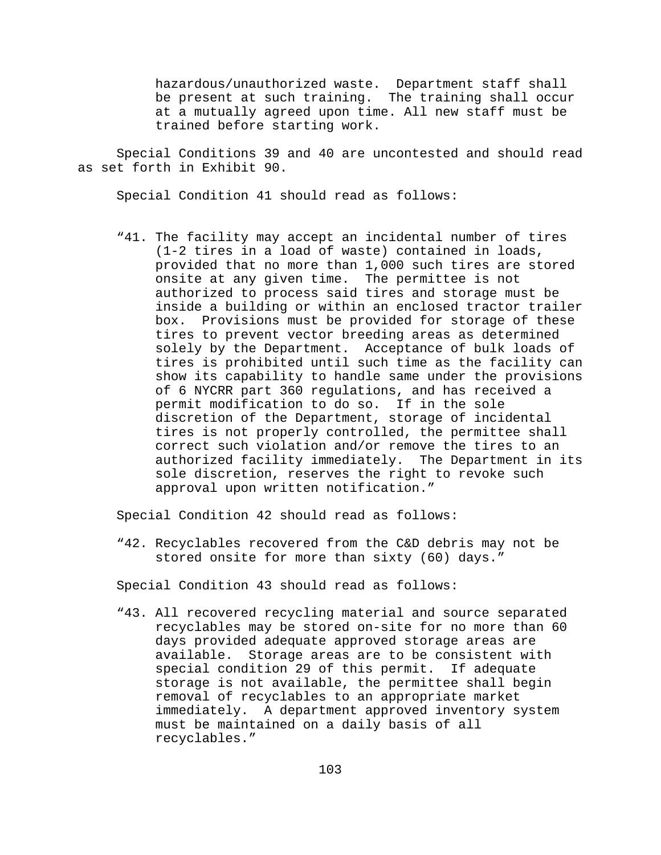hazardous/unauthorized waste. Department staff shall be present at such training. The training shall occur at a mutually agreed upon time. All new staff must be trained before starting work.

Special Conditions 39 and 40 are uncontested and should read as set forth in Exhibit 90.

Special Condition 41 should read as follows:

"41. The facility may accept an incidental number of tires (1-2 tires in a load of waste) contained in loads, provided that no more than 1,000 such tires are stored onsite at any given time. The permittee is not authorized to process said tires and storage must be inside a building or within an enclosed tractor trailer box. Provisions must be provided for storage of these tires to prevent vector breeding areas as determined solely by the Department. Acceptance of bulk loads of tires is prohibited until such time as the facility can show its capability to handle same under the provisions of 6 NYCRR part 360 regulations, and has received a permit modification to do so. If in the sole discretion of the Department, storage of incidental tires is not properly controlled, the permittee shall correct such violation and/or remove the tires to an authorized facility immediately. The Department in its sole discretion, reserves the right to revoke such approval upon written notification."

Special Condition 42 should read as follows:

"42. Recyclables recovered from the C&D debris may not be stored onsite for more than sixty (60) days."

Special Condition 43 should read as follows:

"43. All recovered recycling material and source separated recyclables may be stored on-site for no more than 60 days provided adequate approved storage areas are available. Storage areas are to be consistent with special condition 29 of this permit. If adequate storage is not available, the permittee shall begin removal of recyclables to an appropriate market immediately. A department approved inventory system must be maintained on a daily basis of all recyclables."